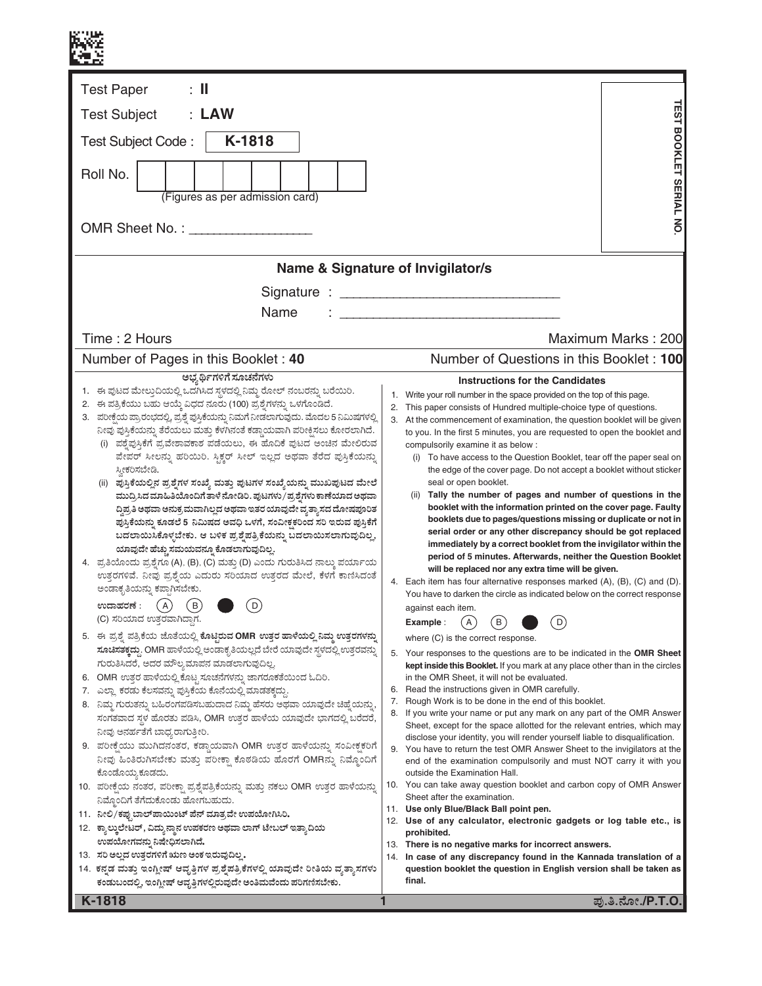| $\therefore$ II<br><b>Test Paper</b>                                                                                                                                                                                                                                                                                                                                                                                                                                                                                                                                                                                                                                                                                                                                                                                                                                                                                                                                                                                                                                                                                                                                                                                                                                                                                                                                                                                                                                                                                                                                                                                                                                                                                                                                                                                                                                                                                                                                                                                                                                                                                                                                                       |                                                                                                                                                                                                                                                                                                                                                                                                                                                                                                                                                                                                                                                                                                                                                                                                                                                                                                                                                                                                                                                                                                                                                                                                                                                                                                                                                                                                                                                                                                                                                                                                                                                                                                                                                                                                                                                                                                                                                                                                                                                                                                                                                                                                                                                                                                                            |
|--------------------------------------------------------------------------------------------------------------------------------------------------------------------------------------------------------------------------------------------------------------------------------------------------------------------------------------------------------------------------------------------------------------------------------------------------------------------------------------------------------------------------------------------------------------------------------------------------------------------------------------------------------------------------------------------------------------------------------------------------------------------------------------------------------------------------------------------------------------------------------------------------------------------------------------------------------------------------------------------------------------------------------------------------------------------------------------------------------------------------------------------------------------------------------------------------------------------------------------------------------------------------------------------------------------------------------------------------------------------------------------------------------------------------------------------------------------------------------------------------------------------------------------------------------------------------------------------------------------------------------------------------------------------------------------------------------------------------------------------------------------------------------------------------------------------------------------------------------------------------------------------------------------------------------------------------------------------------------------------------------------------------------------------------------------------------------------------------------------------------------------------------------------------------------------------|----------------------------------------------------------------------------------------------------------------------------------------------------------------------------------------------------------------------------------------------------------------------------------------------------------------------------------------------------------------------------------------------------------------------------------------------------------------------------------------------------------------------------------------------------------------------------------------------------------------------------------------------------------------------------------------------------------------------------------------------------------------------------------------------------------------------------------------------------------------------------------------------------------------------------------------------------------------------------------------------------------------------------------------------------------------------------------------------------------------------------------------------------------------------------------------------------------------------------------------------------------------------------------------------------------------------------------------------------------------------------------------------------------------------------------------------------------------------------------------------------------------------------------------------------------------------------------------------------------------------------------------------------------------------------------------------------------------------------------------------------------------------------------------------------------------------------------------------------------------------------------------------------------------------------------------------------------------------------------------------------------------------------------------------------------------------------------------------------------------------------------------------------------------------------------------------------------------------------------------------------------------------------------------------------------------------------|
| : LAW<br><b>Test Subject</b>                                                                                                                                                                                                                                                                                                                                                                                                                                                                                                                                                                                                                                                                                                                                                                                                                                                                                                                                                                                                                                                                                                                                                                                                                                                                                                                                                                                                                                                                                                                                                                                                                                                                                                                                                                                                                                                                                                                                                                                                                                                                                                                                                               |                                                                                                                                                                                                                                                                                                                                                                                                                                                                                                                                                                                                                                                                                                                                                                                                                                                                                                                                                                                                                                                                                                                                                                                                                                                                                                                                                                                                                                                                                                                                                                                                                                                                                                                                                                                                                                                                                                                                                                                                                                                                                                                                                                                                                                                                                                                            |
| K-1818<br>Test Subject Code:                                                                                                                                                                                                                                                                                                                                                                                                                                                                                                                                                                                                                                                                                                                                                                                                                                                                                                                                                                                                                                                                                                                                                                                                                                                                                                                                                                                                                                                                                                                                                                                                                                                                                                                                                                                                                                                                                                                                                                                                                                                                                                                                                               |                                                                                                                                                                                                                                                                                                                                                                                                                                                                                                                                                                                                                                                                                                                                                                                                                                                                                                                                                                                                                                                                                                                                                                                                                                                                                                                                                                                                                                                                                                                                                                                                                                                                                                                                                                                                                                                                                                                                                                                                                                                                                                                                                                                                                                                                                                                            |
| Roll No.<br>(Figures as per admission card)                                                                                                                                                                                                                                                                                                                                                                                                                                                                                                                                                                                                                                                                                                                                                                                                                                                                                                                                                                                                                                                                                                                                                                                                                                                                                                                                                                                                                                                                                                                                                                                                                                                                                                                                                                                                                                                                                                                                                                                                                                                                                                                                                | <b><i>TEST BOOKLET SERIAL NO</i></b>                                                                                                                                                                                                                                                                                                                                                                                                                                                                                                                                                                                                                                                                                                                                                                                                                                                                                                                                                                                                                                                                                                                                                                                                                                                                                                                                                                                                                                                                                                                                                                                                                                                                                                                                                                                                                                                                                                                                                                                                                                                                                                                                                                                                                                                                                       |
|                                                                                                                                                                                                                                                                                                                                                                                                                                                                                                                                                                                                                                                                                                                                                                                                                                                                                                                                                                                                                                                                                                                                                                                                                                                                                                                                                                                                                                                                                                                                                                                                                                                                                                                                                                                                                                                                                                                                                                                                                                                                                                                                                                                            |                                                                                                                                                                                                                                                                                                                                                                                                                                                                                                                                                                                                                                                                                                                                                                                                                                                                                                                                                                                                                                                                                                                                                                                                                                                                                                                                                                                                                                                                                                                                                                                                                                                                                                                                                                                                                                                                                                                                                                                                                                                                                                                                                                                                                                                                                                                            |
|                                                                                                                                                                                                                                                                                                                                                                                                                                                                                                                                                                                                                                                                                                                                                                                                                                                                                                                                                                                                                                                                                                                                                                                                                                                                                                                                                                                                                                                                                                                                                                                                                                                                                                                                                                                                                                                                                                                                                                                                                                                                                                                                                                                            | Name & Signature of Invigilator/s                                                                                                                                                                                                                                                                                                                                                                                                                                                                                                                                                                                                                                                                                                                                                                                                                                                                                                                                                                                                                                                                                                                                                                                                                                                                                                                                                                                                                                                                                                                                                                                                                                                                                                                                                                                                                                                                                                                                                                                                                                                                                                                                                                                                                                                                                          |
| Name                                                                                                                                                                                                                                                                                                                                                                                                                                                                                                                                                                                                                                                                                                                                                                                                                                                                                                                                                                                                                                                                                                                                                                                                                                                                                                                                                                                                                                                                                                                                                                                                                                                                                                                                                                                                                                                                                                                                                                                                                                                                                                                                                                                       |                                                                                                                                                                                                                                                                                                                                                                                                                                                                                                                                                                                                                                                                                                                                                                                                                                                                                                                                                                                                                                                                                                                                                                                                                                                                                                                                                                                                                                                                                                                                                                                                                                                                                                                                                                                                                                                                                                                                                                                                                                                                                                                                                                                                                                                                                                                            |
| Time: 2 Hours                                                                                                                                                                                                                                                                                                                                                                                                                                                                                                                                                                                                                                                                                                                                                                                                                                                                                                                                                                                                                                                                                                                                                                                                                                                                                                                                                                                                                                                                                                                                                                                                                                                                                                                                                                                                                                                                                                                                                                                                                                                                                                                                                                              | Maximum Marks: 200                                                                                                                                                                                                                                                                                                                                                                                                                                                                                                                                                                                                                                                                                                                                                                                                                                                                                                                                                                                                                                                                                                                                                                                                                                                                                                                                                                                                                                                                                                                                                                                                                                                                                                                                                                                                                                                                                                                                                                                                                                                                                                                                                                                                                                                                                                         |
| Number of Pages in this Booklet: 40<br>ಅಭ್ಯರ್ಥಿಗಳಿಗೆ ಸೂಚನೆಗಳು                                                                                                                                                                                                                                                                                                                                                                                                                                                                                                                                                                                                                                                                                                                                                                                                                                                                                                                                                                                                                                                                                                                                                                                                                                                                                                                                                                                                                                                                                                                                                                                                                                                                                                                                                                                                                                                                                                                                                                                                                                                                                                                              | Number of Questions in this Booklet: 100                                                                                                                                                                                                                                                                                                                                                                                                                                                                                                                                                                                                                                                                                                                                                                                                                                                                                                                                                                                                                                                                                                                                                                                                                                                                                                                                                                                                                                                                                                                                                                                                                                                                                                                                                                                                                                                                                                                                                                                                                                                                                                                                                                                                                                                                                   |
| 1. ಈ ಪುಟದ ಮೇಲ್ತುದಿಯಲ್ಲಿ ಒದಗಿಸಿದ ಸ್ಥಳದಲ್ಲಿ ನಿಮ್ಮ ರೋಲ್ ನಂಬರನ್ನು ಬರೆಯಿರಿ.<br>2. ಈ ಪತ್ರಿಕೆಯು ಬಹು ಆಯ್ಕೆ ವಿಧದ ನೂರು (100) ಪ್ರಶ್ನೆಗಳನ್ನು ಒಳಗೊಂಡಿದೆ.<br>3. ಪರೀಕ್ಷೆಯ ಪ್ರಾರಂಭದಲ್ಲಿ, ಪ್ರಶ್ನೆ ಪುಸ್ತಿಕೆಯನ್ನು ನಿಮಗೆ ನೀಡಲಾಗುವುದು. ಮೊದಲ 5 ನಿಮಿಷಗಳಲ್ಲಿ<br>ನೀವು ಪುಸ್ತಿಕೆಯನ್ನು ತೆರೆಯಲು ಮತ್ತು ಕೆಳಗಿನಂತೆ ಕಡ್ಡಾಯವಾಗಿ ಪರೀಕ್ಷಿಸಲು ಕೋರಲಾಗಿದೆ.<br>(i) ಪಶ್ನೆಪುಸ್ತಿಕೆಗೆ ಪ್ರವೇಶಾವಕಾಶ ಪಡೆಯಲು, ಈ ಹೊದಿಕೆ ಪುಟದ ಅಂಚಿನ ಮೇಲಿರುವ<br>ಪೇಪರ್ ಸೀಲನ್ನು ಹರಿಯಿರಿ. ಸ್ಟಿಕ್ಚರ್ ಸೀಲ್ ಇಲ್ಲದ ಅಥವಾ ತೆರೆದ ಪುಸ್ತಿಕೆಯನ್ನು<br>ಸ್ತೀಕರಿಸಬೇಡಿ.<br>(ii) ಪುಸ್ತಿಕೆಯಲ್ಲಿನ ಪ್ರಶ್ನೆಗಳ ಸಂಖ್ಯೆ ಮತ್ತು ಪುಟಗಳ ಸಂಖ್ಯೆಯನ್ನು ಮುಖಪುಟದ ಮೇಲೆ<br>ಮುದ್ರಿಸಿದ ಮಾಹಿತಿಯೊಂದಿಗೆ ತಾಳೆ ನೋಡಿರಿ. ಪುಟಗಳು/ಪ್ರಶ್ನೆಗಳು ಕಾಣೆಯಾದ ಅಥವಾ<br>ದ್ಧಿಪ್ರತಿ ಅಥವಾ ಅನುಕ್ರಮವಾಗಿಲ್ಲದ ಅಥವಾ ಇತರ ಯಾವುದೇ ವ್ಯತ್ಯಾಸದ ದೋಷಪೂರಿತ<br>ಪುಸ್ತಿಕೆಯನ್ನು ಕೂಡಲೆ 5 ನಿಮಿಷದ ಅವಧಿ ಒಳಗೆ, ಸಂವೀಕ್ಷಕರಿಂದ ಸರಿ ಇರುವ ಪುಸ್ತಿಕೆಗೆ<br>ಬದಲಾಯಿಸಿಕೊಳ್ಳಬೇಕು. ಆ ಬಳಿಕ ಪ್ರಶ್ನೆಪತ್ರಿಕೆಯನ್ನು ಬದಲಾಯಿಸಲಾಗುವುದಿಲ್ಲ,<br>ಯಾವುದೇ ಹೆಚ್ಚು ಸಮಯವನ್ನೂ ಕೊಡಲಾಗುವುದಿಲ್ಲ.<br>4. ಪ್ರತಿಯೊಂದು ಪ್ರಶ್ನೆಗೂ (A), (B), (C) ಮತ್ತು (D) ಎಂದು ಗುರುತಿಸಿದ ನಾಲ್ಕು ಪರ್ಯಾಯ<br>ಉತ್ತರಗಳಿವೆ. ನೀವು ಪ್ರಶ್ನೆಯ ಎದುರು ಸರಿಯಾದ ಉತ್ತರದ ಮೇಲೆ, ಕೆಳಗೆ ಕಾಣಿಸಿದಂತೆ<br>ಅಂಡಾಕೃತಿಯನ್ನು ಕಪ್ಪಾಗಿಸಬೇಕು.<br>ಉದಾಹರಣೆ :<br>(A)<br>(В)<br>D<br>(C) ಸರಿಯಾದ ಉತ್ತರವಾಗಿದ್ದಾಗ.<br>5. ಈ ಪ್ರಶ್ನೆ ಪತ್ರಿಕೆಯ ಜೊತೆಯಲ್ಲಿ ಕೊಟ್ಟಿರುವ OMR ಉತ್ತರ ಹಾಳೆಯಲ್ಲಿ ನಿಮ್ಮ ಉತ್ತರಗಳನ್ನು<br>ಸೂಚಿಸತಕ್ಕದ್ದು. OMR ಹಾಳೆಯಲ್ಲಿ ಅಂಡಾಕೃತಿಯಲ್ಲದೆ ಬೇರೆ ಯಾವುದೇ ಸ್ಥಳದಲ್ಲಿ ಉತ್ತರವನ್ನು<br>ಗುರುತಿಸಿದರೆ, ಅದರ ಮೌಲ್ಯಮಾಪನ ಮಾಡಲಾಗುವುದಿಲ್ಲ.<br>6. OMR ಉತ್ತರ ಹಾಳೆಯಲ್ಲಿ ಕೊಟ್ಟ ಸೂಚನೆಗಳನ್ನು ಜಾಗರೂಕತೆಯಿಂದ ಓದಿರಿ.<br>7.   ಎಲ್ಲಾ ಕರಡು ಕೆಲಸವನ್ನು ಪುಸ್ತಿಕೆಯ ಕೊನೆಯಲ್ಲಿ ಮಾಡತಕ್ಕದ್ದು.<br>8. ನಿಮ್ಮ ಗುರುತನ್ನು ಬಹಿರಂಗಪಡಿಸಬಹುದಾದ ನಿಮ್ಮ ಹೆಸರು ಅಥವಾ ಯಾವುದೇ ಚಿಹ್ನೆಯನ್ನು,<br>ಸಂಗತವಾದ ಸ್ಥಳ ಹೊರತು ಪಡಿಸಿ, OMR ಉತ್ತರ ಹಾಳೆಯ ಯಾವುದೇ ಭಾಗದಲ್ಲಿ ಬರೆದರೆ,<br>ನೀವು ಅನರ್ಹತೆಗೆ ಬಾಧ್ಯರಾಗುತ್ತೀರಿ.<br>9.  ಪರೀಕ್ಷೆಯು ಮುಗಿದನಂತರ, ಕಡ್ಡಾಯವಾಗಿ OMR ಉತ್ತರ ಹಾಳೆಯನ್ನು ಸಂವೀಕ್ಷಕರಿಗೆ<br>ನೀವು ಹಿಂತಿರುಗಿಸಬೇಕು ಮತ್ತು ಪರೀಕ್ಷಾ ಕೊಠಡಿಯ ಹೊರಗೆ OMRನ್ನು ನಿಮ್ಮೊಂದಿಗೆ<br>ಕೊಂಡೊಯ್ಯ ಕೂಡದು.<br>10. ಪರೀಕ್ಷೆಯ ನಂತರ, ಪರೀಕ್ಷಾ ಪ್ರಶ್ನೆಪತ್ರಿಕೆಯನ್ನು ಮತ್ತು ನಕಲು OMR ಉತ್ತರ ಹಾಳೆಯನ್ನು<br>ನಿಮ್ಮೊಂದಿಗೆ ತೆಗೆದುಕೊಂಡು ಹೋಗಬಹುದು.<br>11. ನೀಲಿ/ಕಪ್ಪುಬಾಲ್ ಪಾಯಿಂಟ್ ಪೆನ್ ಮಾತ್ರವೇ ಉಪಯೋಗಿಸಿರಿ.<br>12. ಕ್ಯಾಲ್ಕುಲೇಟರ್, ವಿದ್ಯುನ್ಮಾನ ಉಪಕರಣ ಅಥವಾ ಲಾಗ್ ಟೇಬಲ್ ಇತ್ತಾದಿಯ<br>ಉಪಯೋಗವನ್ನು ನಿಷೇಧಿಸಲಾಗಿದೆ.<br>13. ಸರಿ ಅಲ್ಲದ ಉತ್ತರಗಳಿಗೆ ಋಣ ಅಂಕ ಇರುವುದಿಲ್ಲ. | 1. Write your roll number in the space provided on the top of this page.<br>This paper consists of Hundred multiple-choice type of questions.<br>2.<br>3.<br>At the commencement of examination, the question booklet will be given<br>to you. In the first 5 minutes, you are requested to open the booklet and<br>compulsorily examine it as below :<br>(i) To have access to the Question Booklet, tear off the paper seal on<br>the edge of the cover page. Do not accept a booklet without sticker<br>seal or open booklet.<br>Tally the number of pages and number of questions in the<br>(ii)<br>booklet with the information printed on the cover page. Faulty<br>booklets due to pages/questions missing or duplicate or not in<br>serial order or any other discrepancy should be got replaced<br>immediately by a correct booklet from the invigilator within the<br>period of 5 minutes. Afterwards, neither the Question Booklet<br>will be replaced nor any extra time will be given.<br>Each item has four alternative responses marked (A), (B), (C) and (D).<br>4.<br>You have to darken the circle as indicated below on the correct response<br>against each item.<br>(B)<br>( A )<br>D<br>Example :<br>where (C) is the correct response.<br>5. Your responses to the questions are to be indicated in the OMR Sheet<br>kept inside this Booklet. If you mark at any place other than in the circles<br>in the OMR Sheet, it will not be evaluated.<br>Read the instructions given in OMR carefully.<br>6.<br>Rough Work is to be done in the end of this booklet.<br>7.<br>8. If you write your name or put any mark on any part of the OMR Answer<br>Sheet, except for the space allotted for the relevant entries, which may<br>disclose your identity, you will render yourself liable to disqualification.<br>9. You have to return the test OMR Answer Sheet to the invigilators at the<br>end of the examination compulsorily and must NOT carry it with you<br>outside the Examination Hall.<br>10. You can take away question booklet and carbon copy of OMR Answer<br>Sheet after the examination.<br>11. Use only Blue/Black Ball point pen.<br>12. Use of any calculator, electronic gadgets or log table etc., is<br>prohibited.<br>13. There is no negative marks for incorrect answers. |
| 14. ಕನ್ನಡ ಮತ್ತು ಇಂಗ್ಲೀಷ್ ಆವೃತ್ತಿಗಳ ಪ್ರಶ್ನೆಪತ್ರಿಕೆಗಳಲ್ಲಿ ಯಾವುದೇ ರೀತಿಯ ವ್ಯತ್ನಾಸಗಳು<br>ಕಂಡುಬಂದಲ್ಲಿ, ಇಂಗ್ಲೀಷ್ ಆವೃತ್ತಿಗಳಲ್ಲಿರುವುದೇ ಅಂತಿಮವೆಂದು ಪರಿಗಣಿಸಬೇಕು.                                                                                                                                                                                                                                                                                                                                                                                                                                                                                                                                                                                                                                                                                                                                                                                                                                                                                                                                                                                                                                                                                                                                                                                                                                                                                                                                                                                                                                                                                                                                                                                                                                                                                                                                                                                                                                                                                                                                                                                                                                      | 14. In case of any discrepancy found in the Kannada translation of a<br>question booklet the question in English version shall be taken as<br>final.                                                                                                                                                                                                                                                                                                                                                                                                                                                                                                                                                                                                                                                                                                                                                                                                                                                                                                                                                                                                                                                                                                                                                                                                                                                                                                                                                                                                                                                                                                                                                                                                                                                                                                                                                                                                                                                                                                                                                                                                                                                                                                                                                                       |
| K-1818                                                                                                                                                                                                                                                                                                                                                                                                                                                                                                                                                                                                                                                                                                                                                                                                                                                                                                                                                                                                                                                                                                                                                                                                                                                                                                                                                                                                                                                                                                                                                                                                                                                                                                                                                                                                                                                                                                                                                                                                                                                                                                                                                                                     | ಪು.ತಿ.ನೋ./P.T.O.                                                                                                                                                                                                                                                                                                                                                                                                                                                                                                                                                                                                                                                                                                                                                                                                                                                                                                                                                                                                                                                                                                                                                                                                                                                                                                                                                                                                                                                                                                                                                                                                                                                                                                                                                                                                                                                                                                                                                                                                                                                                                                                                                                                                                                                                                                           |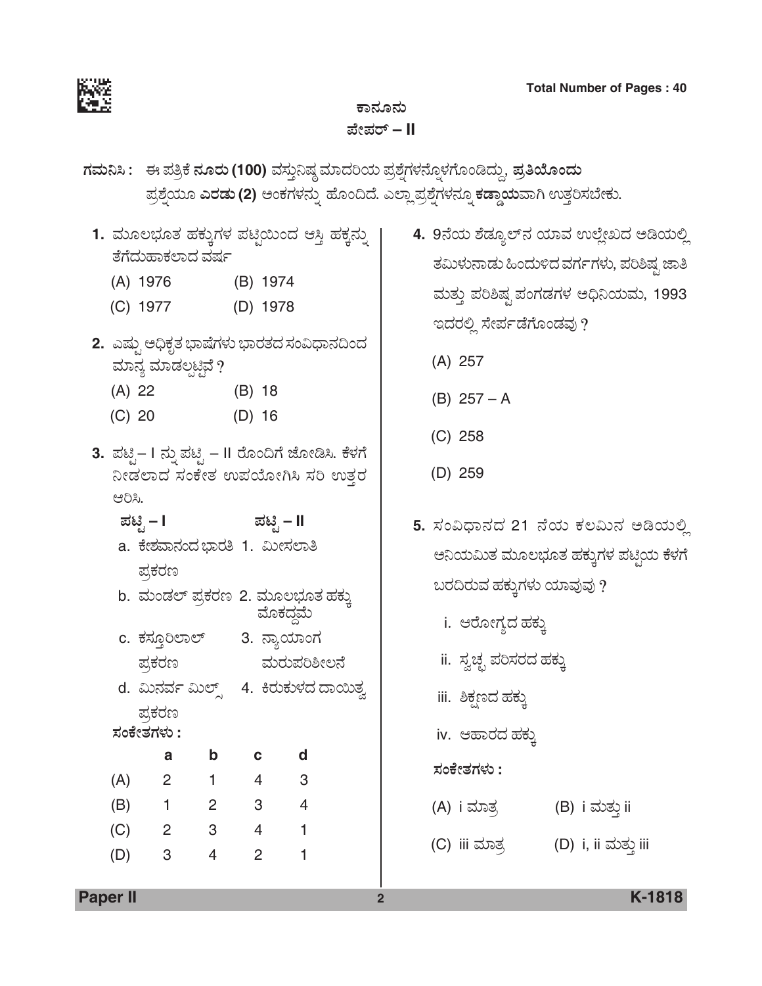

# ಕಾನೂನು *±æà±ÜÃ…* **– II**

- *WÜÊÜá¯Ô : D ±Ü£ÅPæ ®ÜãÃÜá* **(100)** ÊÜÓÜ᤯ÐÜu ÊÜÞ¨ÜÄ¿á ±ÜÅÍæ°WÜÙÜ®æã°ÙÜWæãíw¨Ü᪙, *±ÜÅ£Áãí¨Üá*   $\vec{a}$ ಪ್ರಶ್ನೆಯೂ ಎರಡು (2) ಅಂಕಗಳನ್ನು ಹೊಂದಿದೆ. ಎಲ್ಲಾ ಪ್ರಶ್ನೆಗಳನ್ನೂ ಕಡ್ಡಾಯವಾಗಿ ಉತ್ತರಿಸಬೇಕು.
	- 1. ಮೂಲಭೂತ ಹಕ್ಕುಗಳ ಪಟ್ಟಿಯಿಂದ ಆಸ್ತಿ ಹಕ್ಕನ್ನು ತೆಗೆದುಹಾಕಲಾದ ವರ್ಷ
		- (A) 1976 (B) 1974
		- (C) 1977 (D) 1978
	- 2. ಎಷ್ಟು ಅಧಿಕೃತ ಭಾಷೆಗಳು ಭಾರತದ ಸಂವಿಧಾನದಿಂದ ಮಾನ್ಯ ಮಾಡಲ್ಪಟ್ಟಿವೆ ?
		- (A) 22 (B) 18
		- (C) 20 (D) 16
	- 3. ಪಟ್ಟಿ– I ನ್ನು ಪಟ್ಟಿ II ರೊಂದಿಗೆ ಜೋಡಿಸಿ. ಕೆಳಗೆ ನೀಡಲಾದ ಸಂಕೇತ ಉಪಯೋಗಿಸಿ ಸರಿ ಉತ್ತರ ಆರಿಸಿ.
		- $\vec{v}$ ಪಟೈ I *≠*
		- a. ಕೇಶವಾನಂದ ಭಾರತಿ 1. ಮೀಸಲಾತಿ ಪ್ರಕರಣ
		- b. ಮಂಡಲ್ ಪ್ರಕರಣ 2. ಮೂಲಭೂತ ಹಕ್ಕು<br>ಮೊಕದ್ದಮೆ
		- c. ಕಸ್ತೂರಿಲಾಲ್ 3. ನ್ಯಾಯಾಂಗ ಪ್ರಕರಣ ಮರುಪರಿಶೀಲನೆ
		- d. ಮಿನರ್ವ ಮಿಲ್ಸ್ 4. ಕಿರುಕುಳದ ದಾಯಿತ್ವ ಪ್ರಕರಣ
		- *ÓÜíPæàñÜWÜÙÜá* **:**

|     | a | b | с | d |
|-----|---|---|---|---|
| (A) | 2 |   | 4 | 3 |
| (B) |   | 2 | 3 | 4 |
| (C) | 2 | 3 | 4 |   |
| (D) | 3 | 4 | 2 |   |

- 4. 9ನೆಯ ಶೆಡ್ಯೂಲ್ನ ಯಾವ ಉಲ್ಲೇಖದ ಆಡಿಯಲ್ಲಿ ತಮಿಳುನಾಡು ಹಿಂದುಳಿದ ವರ್ಗಗಳು, ಪರಿಶಿಷ್ಠ ಜಾತಿ ಮತ್ತು ಪರಿಶಿಷ್ಟ ಪಂಗಡಗಳ ಅಧಿನಿಯಮ, 1993 ಇದರಲ್ಲಿ ಸೇರ್ಪಡೆಗೊಂಡವು?
	- (A) 257
	- (B) 257 A
	- (C) 258
	- (D) 259
- 5. ಸಂವಿಧಾನದ 21 ನೆಯ ಕಲಮಿನ ಅಡಿಯಲ್ಲಿ ಅನಿಯಮಿತ ಮೂಲಭೂತ ಹಕ್ಕುಗಳ ಪಟ್ತಿಯ ಕೆಳಗೆ ಬರದಿರುವ ಹಕ್ಕುಗಳು ಯಾವುವು ?
	- i. ಆರೋಗ್ಯದ ಹಕ್ಕು
	- ii. ಸ್ವಚ್ಛ ಪರಿಸರದ ಹಕ್ಕು
	- iii. ಶಿಕ್ಷಣದ ಹಕ್ಕು
	- iv. ಆಹಾರದ ಹಕ್ಕು
	- *ÓÜíPæàñÜWÜÙÜá* **:**
	- (A) i ಮಾತ್ರ (B) i ಮತ್ತು ii
	- (C) iii ÊÜÞñÜÅ (D) i, ii ÊÜáñÜá¤ iii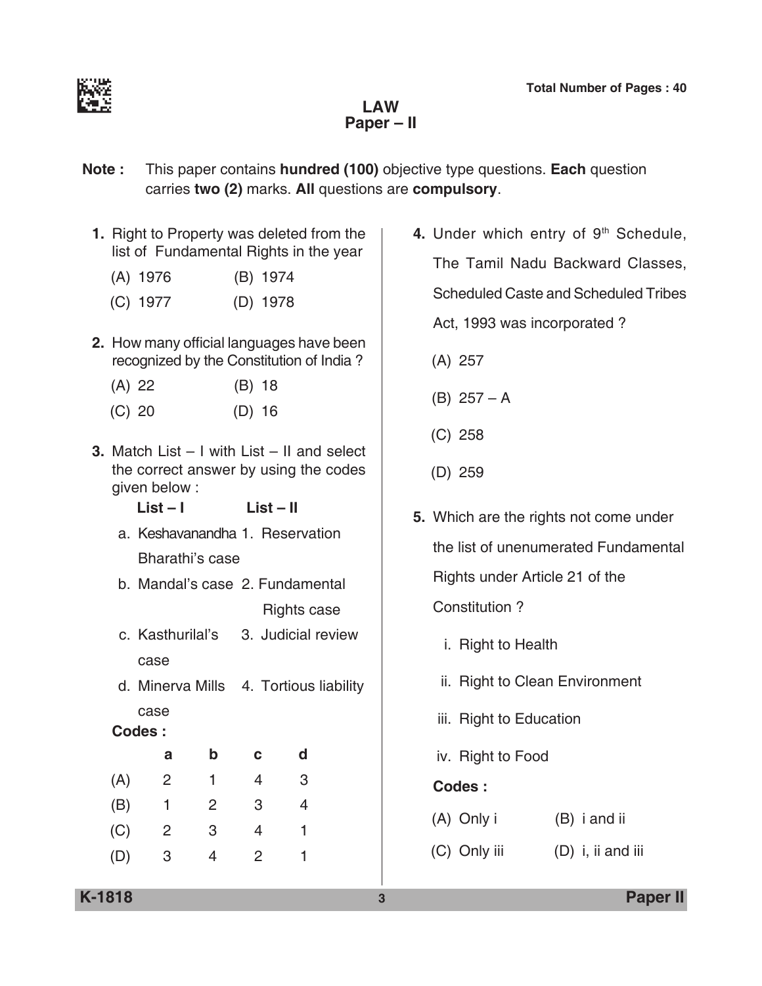

**Law Paper – II**

- **Note :** This paper contains **hundred (100)** objective type questions. **Each** question carries **two (2)** marks. **All** questions are **compulsory**.
	- **1.** Right to Property was deleted from the list of Fundamental Rights in the year
		- (A) 1976 (B) 1974
		- (C) 1977 (D) 1978
	- **2.** How many official languages have been recognized by the Constitution of India ?
		- (A) 22 (B) 18
		- (C) 20 (D) 16
	- **3.** Match List I with List II and select the correct answer by using the codes given below :
		- **List I List II**
		- a. Keshavanandha 1. Reservation Bharathi's case
		- b. Mandal's case 2. Fundamental Rights case
		- c. Kasthurilal's 3. Judicial review case
		- d. Minerva Mills 4. Tortious liability case

### **Codes :**

|     | а | b | с | d |
|-----|---|---|---|---|
| (A) | 2 |   | 4 | 3 |
| (B) | 1 | 2 | 3 |   |
| (C) | 2 | 3 | 4 |   |
| (D) | 3 | 4 | 2 |   |

- 4. Under which entry of 9<sup>th</sup> Schedule, The Tamil Nadu Backward classes, Scheduled Caste and Scheduled Tribes Act, 1993 was incorporated ?
	- (A) 257
	- (B) 257 A
	- (C) 258
	- (D) 259
- **5.** Which are the rights not come under the list of unenumerated Fundamental Rights under Article 21 of the constitution ?
	- i. Right to Health
	- ii. Right to Clean Environment
	- iii. Right to Education
	- iv. Right to food

- (A) Only i (B) i and ii
- (C) Only iii (D) i, ii and iii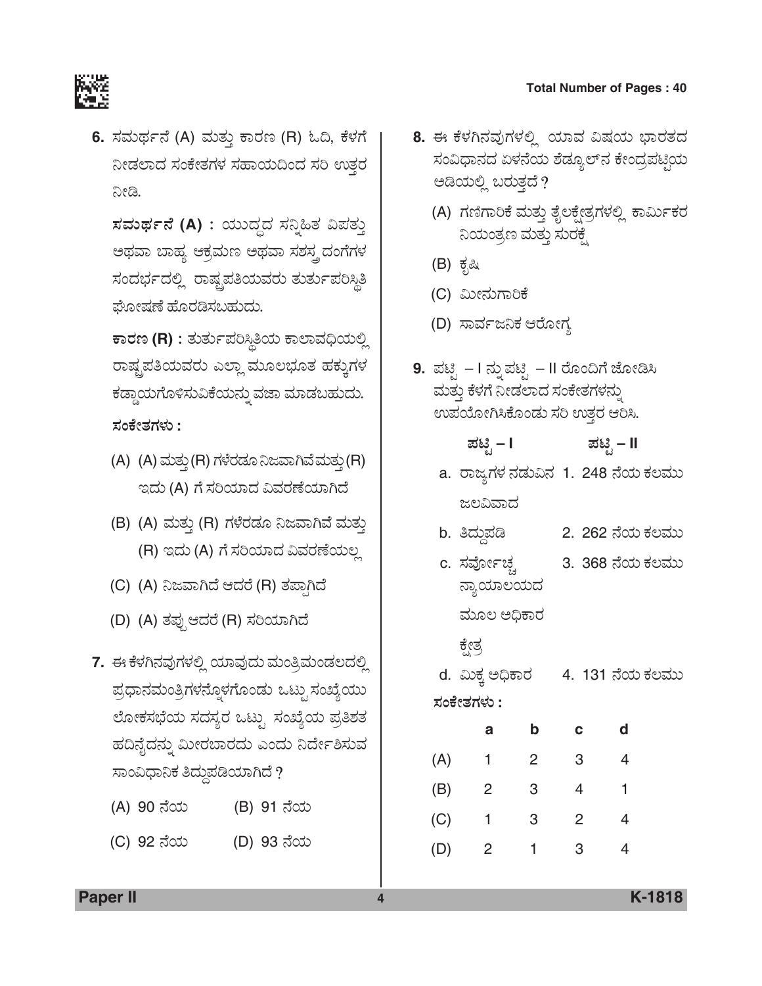

6. ಸಮರ್ಥನೆ (A) ಮತ್ತು ಕಾರಣ (R) ಓದಿ, ಕೆಳಗೆ ನೀಡಲಾದ ಸಂಕೇತಗಳ ಸಹಾಯದಿಂದ ಸರಿ ಉತ್ತರ ನೀಡಿ.

 $\vec{a}$ ಸಮರ್ಥನೆ (A) : ಯುದ್ಧದ ಸನ್ನಿಹಿತ ವಿಪತ್ತು ಅಥವಾ ಬಾಹ್ಯ ಆಕ್ರಮಣ ಅಥವಾ ಸಶಸ್ತ್ರದಂಗೆಗಳ ಸಂದರ್ಭದಲ್ಲಿ ರಾಷ್ಟ್ರಪತಿಯವರು ತುರ್ತುಪರಿಸ್ಥಿತಿ ಘೋಷಣೆ ಹೊರಡಿಸಬಹುದು.

 $\overline{P}$ ಕಾರಣ (R) : ತುರ್ತುಪರಿಸ್ಥಿತಿಯ ಕಾಲಾವಧಿಯಲ್ಲಿ ರಾಷ್ಟ್ರಪತಿಯವರು ಎಲ್ಲಾ ಮೂಲಭೂತ ಹಕ್ಕುಗಳ ಕಡ್ಡಾಯಗೊಳಿಸುವಿಕೆಯನ್ನು ವಜಾ ಮಾಡಬಹುದು. *ÓÜíPæàñÜWÜÙÜá* **:**

- (A) (A) ಮತ್ತು (R) ಗಳೆರಡೂ ನಿಜವಾಗಿವೆ ಮತ್ತು (R) ಇದು (A) ಗೆ ಸರಿಯಾದ ವಿವರಣೆಯಾಗಿದೆ
- (B) (A) ಮತ್ತು (R) ಗಳೆರಡೂ ನಿಜವಾಗಿವೆ ಮತ್ತು (R) ಇದು (A) ಗೆ ಸರಿಯಾದ ವಿವರಣೆಯಲ್ಲ
- (C) (A) ನಿಜವಾಗಿದೆ ಆದರೆ (R) ತಪಾಗಿದೆ
- (D) (A) ತಪ್ಪುಆದರೆ (R) ಸರಿಯಾಗಿದೆ
- 7. ಈ ಕೆಳಗಿನವುಗಳಲ್ಲಿ ಯಾವುದು ಮಂತ್ರಿಮಂಡಲದಲ್ಲಿ ಪ್ರಧಾನಮಂತ್ರಿಗಳನ್ನೊಳಗೊಂಡು ಒಟ್ಟು ಸಂಖ್ಯೆಯು ಲೋಕಸಭೆಯ ಸದಸ್ಯರ ಒಟ್ಟು ಸಂಖ್ಯೆಯ ಪ್ರತಿಶತ ಹದಿನೈದನ್ನು ಮೀರಬಾರದು ಎಂದು ನಿರ್ದೇಶಿಸುವ ಸಾಂವಿಧಾನಿಕ ತಿದ್ದುಪಡಿಯಾಗಿದೆ ?
	- (A) 90 ನೆಯ (B) 91 ನೆಯ
	- (C) 92 ನೆಯ (D) 93 ನೆಯ
- 8. ಈ ಕೆಳಗಿನವುಗಳಲ್ಲಿ ಯಾವ ವಿಷಯ ಭಾರತದ ಸಂವಿಧಾನದ ಏಳನೆಯ ಶೆಡ್ಯೂಲ್ನ ಕೇಂದ್ರಪಟ್ಟಿಯ ಅಡಿಯಲ್ಲಿ ಬರುತ್ತದೆ ?
	- (A) ಗಣಿಗಾರಿಕೆ ಮತ್ತು ತೈಲಕ್ಷೇತ್ರಗಳಲ್ಲಿ ಕಾರ್ಮಿಕರ ನಿಯಂತ್ರಣ ಮತ್ತು ಸುರಕ್ಷೆ
	- (B) ಕೃಷಿ
	- (C) ಮೀನುಗಾರಿಕೆ
	- (D) ಸಾರ್ವಜನಿಕ ಆರೋಗ್ಯ
- **9.** ಪಟ್ಟಿ I ನ್ನು ಪಟ್ಟಿ II ರೊಂದಿಗೆ ಜೋಡಿಸಿ ಮತ್ತು ಕೆಳಗೆ ನೀಡಲಾದ ಸಂಕೇತಗಳನ್ನು ಉಪಯೋಗಿಸಿಕೊಂಡು ಸರಿ ಉತ್ತರ ಆರಿಸಿ.

| ಪಟಿ – I | ಪಟಿ – II |
|---------|----------|
|         |          |

- a. ರಾಜ್ಯಗಳ ನಡುವಿನ 1. 248 ನೆಯ ಕಲಮು ಜಲವಿವಾದ
- b. ತಿದ್ದುಪಡಿ 2. 262 ನೆಯ ಕಲಮು
- c. ಸರ್ವೋಚ್ಛ 3. 368 ನೆಯ ಕಲಮು ನ್ಯಾಯಾಲಯದ
	- ಮೂಲ ಅಧಿಕಾರ
	- ಕ್ಷೇತ್ರ
- d. ಮಿಕ್ತ ಅಧಿಕಾರ 4. 131 ನೆಯ ಕಲಮು *ÓÜíPæàñÜWÜÙÜá* **:**

|     | а              | b | C | d |
|-----|----------------|---|---|---|
| (A) | 1              | 2 | 3 | 4 |
| (B) | 2              | 3 | 4 | 1 |
| (C) | 1              | 3 | 2 | 4 |
| (D) | $\overline{2}$ | 1 | 3 |   |

**Paper II 4 K-1818**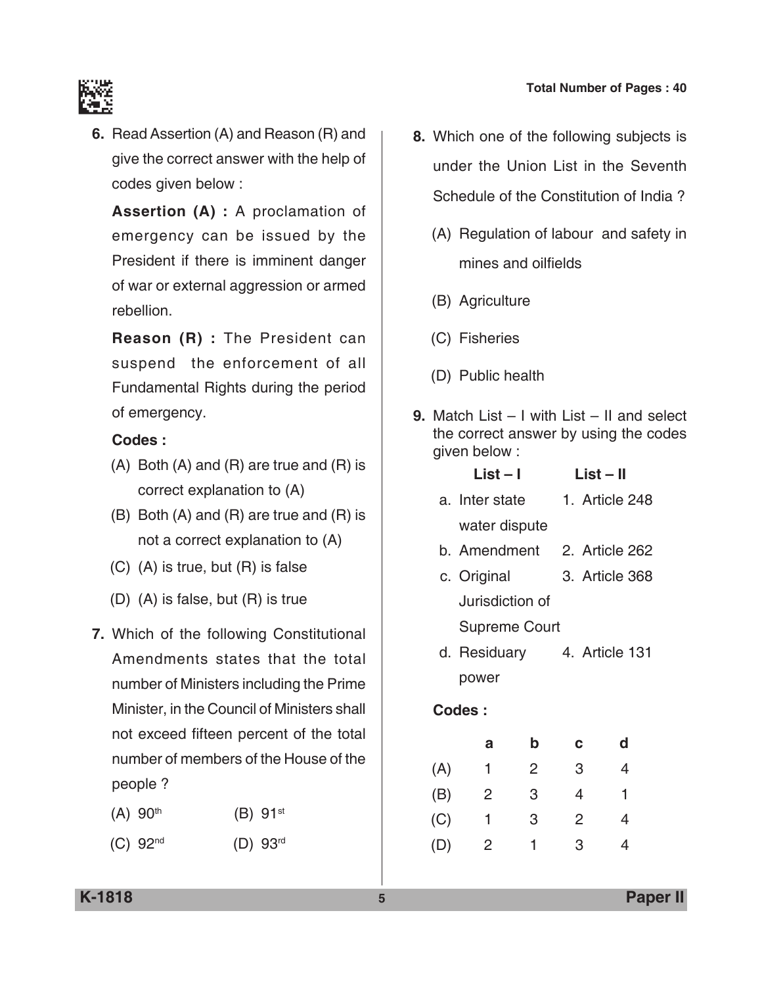

**6.** Read Assertion (A) and Reason (R) and give the correct answer with the help of codes given below :

 **Assertion (A) :** A proclamation of emergency can be issued by the President if there is imminent danger of war or external aggression or armed rebellion.

 **Reason (R) :** The President can suspend the enforcement of all Fundamental Rights during the period of emergency.

#### **Codes :**

- (A) Both (A) and (R) are true and (R) is correct explanation to (A)
- (B) Both (A) and (R) are true and (R) is not a correct explanation to (A)
- (C) (A) is true, but (R) is false
- (D) (A) is false, but (R) is true
- **7.** Which of the following constitutional Amendments states that the total number of Ministers including the Prime Minister, in the Council of Ministers shall not exceed fifteen percent of the total number of members of the House of the people ?
	- $(A) 90^{th}$  (B)  $91^{st}$
	- (C) 92nd (D) 93rd
- **8.** Which one of the following subjects is under the Union List in the Seventh schedule of the Constitution of India ?
	- (A) Regulation of labour and safety in mines and oilfields
	- (B) Agriculture
	- (C) Fisheries
	- (D) Public health
- **9.** Match List I with List II and select the correct answer by using the codes given below :

| $List - I$           | List – II      |
|----------------------|----------------|
| a. Inter state       | 1. Article 248 |
| water dispute        |                |
| b. Amendment         | 2. Article 262 |
| c. Original          | 3. Article 368 |
| Jurisdiction of      |                |
| <b>Supreme Court</b> |                |
| d. Residuary         | 4. Article 131 |
|                      |                |

power

|     | а | b | с | d |
|-----|---|---|---|---|
| (A) | 1 | 2 | 3 | 4 |
| (B) | 2 | 3 | 4 | 1 |
| (C) | 1 | 3 | 2 | 4 |
| (D) | 2 | 1 | 3 |   |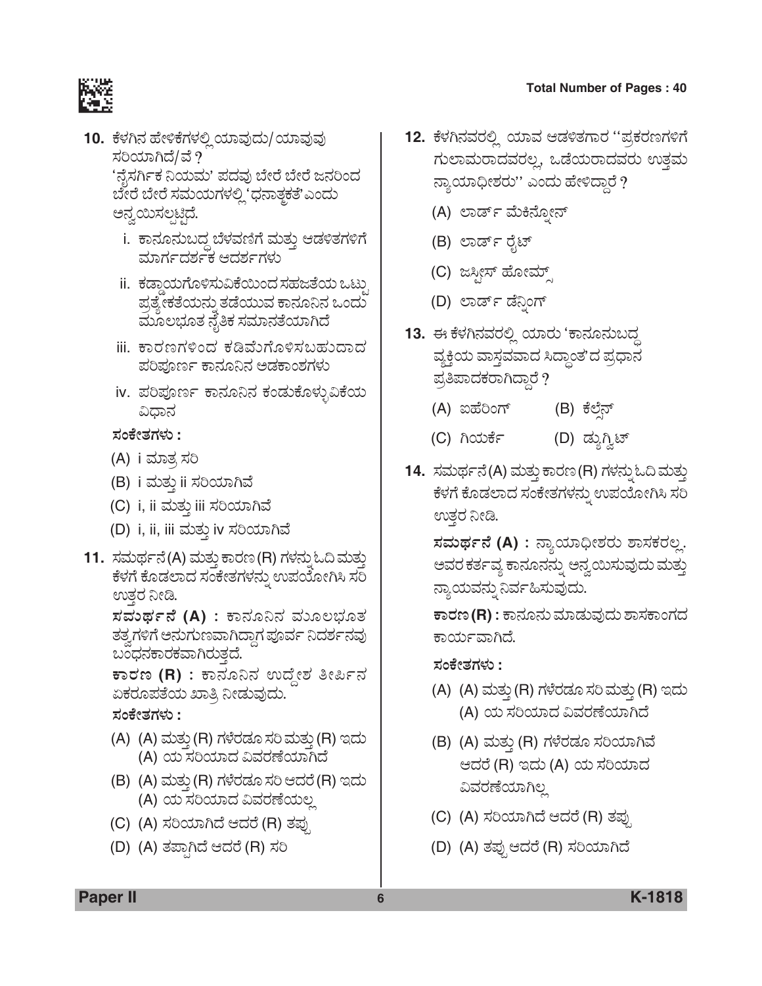

- <u>10. ಕೆಳಗಿನ ಹೇಳಿಕೆಗಳಲ್ಲಿ ಯಾವುದು/ ಯಾವುವು</u> ಸರಿಯಾಗಿದೆ/ವೆ ? 'ನೈಸರ್ಗಿಕ ನಿಯಮ' ಪದವು ಬೇರೆ ಬೇರೆ ಜನರಿಂದ ಬೇರೆ ಬೇರೆ ಸಮಯಗಳಲ್ಲಿ 'ಧನಾತ್ಮಕತೆ'ಎಂದು ಅನ್ವಯಿಸಲ್ಪಟ್ಟಿದೆ.
	- i. ಕಾನೂನುಬದ್ದ ಬೆಳವಣಿಗೆ ಮತ್ತು ಆಡಳಿತಗಳಿಗೆ ಮಾರ್ಗದರ್ಶಕ ಆದರ್ಶಗಳು
	- ii. ಕಡ್ಡಾಯಗೊಳಿಸುವಿಕೆಯಿಂದ ಸಹಜತೆಯ ಒಟ್ಟು ಪ್ರತ್ಯೇಕತೆಯನ್ನು ತಡೆಯುವ ಕಾನೂನಿನ ಒಂದು ಮೂಲಭೂತ ನೈತಿಕ ಸಮಾನತೆಯಾಗಿದೆ
	- iii. ಕಾರಣಗಳಿಂದ ಕಡಿಮೆಗೊಳಿಸಬಹುದಾದ ಪರಿಪೂರ್ಣ ಕಾನೂನಿನ ಅಡಕಾಂಶಗಳು
	- iv. ಪರಿಪೂರ್ಣ ಕಾನೂನಿನ ಕಂಡುಕೊಳ್ಳುವಿಕೆಯ ವಿಧಾನ

*ÓÜíPæàñÜWÜÙÜá* **:**

- (A) i ಮಾತ್ರ ಸರಿ
- (B) i ಮತ್ತು ii ಸರಿಯಾಗಿವೆ
- (C) i, ii ಮತ್ತು iii ಸರಿಯಾಗಿವೆ
- (D) i, ii, iii ಮತ್ತು iv ಸರಿಯಾಗಿವೆ
- **11.** ಸಮರ್ಥನೆ(A) ಮತ್ತು ಕಾರಣ (R) ಗಳನ್ನು ಓದಿ ಮತ್ತು<br>ಹಳಗೆ ಕೊಡಲಾದ ಸಂಕೇತಗಳನ್ನು ಉಪಯೋಗಿಸಿ ಸರಿ ಉತ್ತರ ನೀಡಿ.

 $\vec{z}$ ಮಧ್ಯ ಸಂಪ್ರವಾಹಿತ ಸಮಾಲಭೂತ ತತ್ವಗಳಿಗೆ ಅನುಗುಣವಾಗಿದ್ದಾಗ ಪೂರ್ವ ನಿದರ್ಶನವು ಬಂಧನಕಾರಕವಾಗಿರುತ್ತದೆ.

 $\overline{\texttt{F}}$ ಾರಣ (R) : ಕಾನೂನಿನ ಉದ್ದೇಶ ತೀರ್ಪಿನ<br>ಏಕರೂಪತೆಯ ಖಾತಿ ನೀಡುವುದು.

*ÓÜíPæàñÜWÜÙÜá* **:**

- (A) (A) ಮತ್ತು (R) ಗಳೆರಡೂ ಸರಿ ಮತ್ತು (R) ಇದು (A) ಯ ಸರಿಯಾದ ವಿವರಣೆಯಾಗಿದೆ
- (B) (A) ಮತ್ತು (R) ಗಳೆರಡೂ ಸರಿ ಆದರೆ (R) ಇದು (A) ಯ ಸರಿಯಾದ ವಿವರಣೆಯಲ್ಲ
- (C) (A) ಸರಿಯಾಗಿದೆ ಆದರೆ (R) ತಪ್ಪು
- (D) (A) ತಪ್ಪಾಗಿದೆ ಆದರೆ (R) ಸರಿ
- 12. ಕೆಳಗಿನವರಲ್ಲಿ ಯಾವ ಆಡಳಿತಗಾರ "ಪ್ರಕರಣಗಳಿಗೆ ಗುಲಾಮರಾದವರಲ್ಲ, ಒಡೆಯರಾದವರು ಉತ್ತಮ ನ್ಯಾಯಾಧೀಶರು'' ಎಂದು ಹೇಳಿದ್ದಾರೆ ?
	- (A) ಲಾರ್ಡ್ ಮೆಕಿನೋನ್
	- (B) ಲಾರ್ಡ್ ರೈಟ್
	- (C) ಜಸ್ಪೀಸ್ ಹೋಮ್
	- (D) ಲಾರ್ಡ್ ಡೆನಿಂಗ್
- <mark>13.</mark> ಈ ಕೆಳಗಿನವರಲ್ಲಿ ಯಾರು 'ಕಾನೂನುಬದ್ಧ ವ್ಯಕ್ತಿಯ ವಾಸ್ತವವಾದ ಸಿದ್ಧಾಂತ'ದ ಪ್ರಧಾನ ಪ್ರತಿಪಾದಕರಾಗಿದ್ದಾರೆ?
	- (A) ಐಹೆರಿಂಗ್ (B) ಕೆಲೆನ್
	- (C) ಗಿಯರ್ಕೆ (D) ಡ್ಯುಗ್ವಿಟ್
- 14. ಸಮರ್ಥನೆ(A) ಮತ್ತು ಕಾರಣ (R) ಗಳನ್ನು ಓದಿ ಮತ್ತು ಕೆಳಗೆ ಕೊಡಲಾದ ಸಂಕೇತಗಳನ್ನು ಉಪಯೋಗಿಸಿ ಸರಿ ಉತ್ತರ ನೀಡಿ.

 $\vec{z}$ ಮಧ್ಯನೆ (A) : ನ್ಯಾಯಾಧೀಶರು ಶಾಸಕರಲ್ಲ. ಅವರ ಕರ್ತವ್ಯ ಕಾನೂನನ್ನು ಅನ್ವಯಿಸುವುದು ಮತ್ತು ನ್ಯಾಯವನ್ನು ನಿರ್ವಹಿಸುವುದು.

 $\overline{\texttt{r}}$ ಾನೂನು ಮಾಡುವುದು ಶಾಸಕಾಂಗದ ಕಾರ್ಯವಾಗಿದೆ.

*ÓÜíPæàñÜWÜÙÜá* **:**

- (A) (A) ಮತ್ತು (R) ಗಳೆರಡೂ ಸರಿ ಮತ್ತು (R) ಇದು (A) ಯ ಸರಿಯಾದ ವಿವರಣೆಯಾಗಿದೆ
- (B) (A) ಮತ್ತು (R) ಗಳೆರಡೂ ಸರಿಯಾಗಿವೆ ಆದರೆ (R) ಇದು (A) ಯ ಸರಿಯಾದ ವಿವರಣೆಯಾಗಿಲ್ಲ
- (C) (A) ಸರಿಯಾಗಿದೆ ಆದರೆ (R) ತಪ್ಪು
- (D) (A) ತಪ್ಪುಆದರೆ (R) ಸರಿಯಾಗಿದೆ

**Paper II 6 K-1818**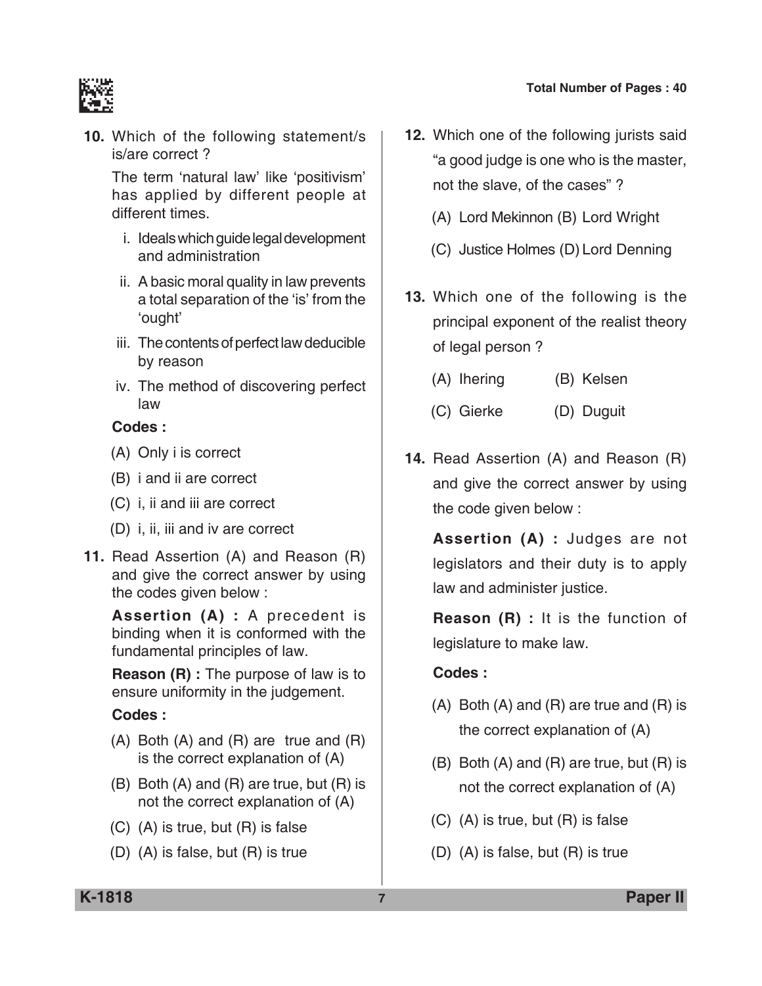

**10.** Which of the following statement/s is/are correct ?

 The term 'natural law' like 'positivism' has applied by different people at different times.

- i. Ideals which guide legal development and administration
- ii. A basic moral quality in law prevents a total separation of the 'is' from the 'ought'
- iii. The contents of perfect law deducible by reason
- iv. The method of discovering perfect law

#### **Codes :**

- (A) Only i is correct
- (B) i and ii are correct
- (C) i, ii and iii are correct
- (D) i, ii, iii and iv are correct
- **11.** Read Assertion (A) and Reason (R) and give the correct answer by using the codes given below :

 **Assertion (A) :** A precedent is binding when it is conformed with the fundamental principles of law.

 **Reason (R) :** The purpose of law is to ensure uniformity in the judgement.

#### **Codes :**

- (A) Both (A) and (R) are true and (R) is the correct explanation of (A)
- (B) Both (A) and (R) are true, but (R) is not the correct explanation of (A)
- (C) (A) is true, but (R) is false
- (D) (A) is false, but (R) is true
- **12.** Which one of the following jurists said "a good judge is one who is the master, not the slave, of the cases" ?
	- (A) Lord Mekinnon (B) Lord Wright
	- (C) Justice Holmes (D) Lord Denning
- **13.** Which one of the following is the principal exponent of the realist theory of legal person ?
	- (A) Ihering (B) Kelsen
	- (C) Gierke (D) Duguit
- **14.** Read Assertion (A) and Reason (R) and give the correct answer by using the code given below :

 **Assertion (A) :** Judges are not legislators and their duty is to apply law and administer justice.

 **Reason (R) :** It is the function of legislature to make law.

- $(A)$  Both  $(A)$  and  $(R)$  are true and  $(R)$  is the correct explanation of (A)
- (B) Both (A) and (R) are true, but (R) is not the correct explanation of (A)
- (C) (A) is true, but (R) is false
- (D) (A) is false, but (R) is true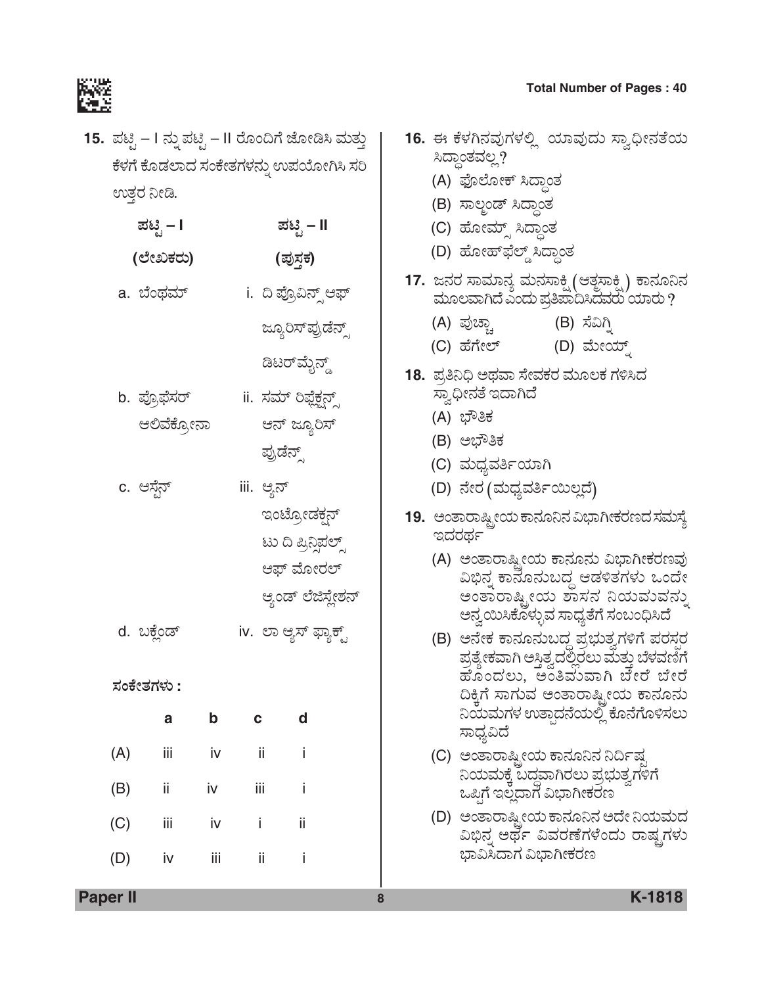

**15.** ಪಟ್ಟಿ – I ನ್ನು ಪಟ್ಟಿ – II ರೊಂದಿಗೆ ಜೋಡಿಸಿ ಮತ್ತು ಕೆಳಗೆ ಕೊಡಲಾದ ಸಂಕೇತಗಳನ್ನು ಉಪಯೋಗಿಸಿ ಸರಿ ಉತ್ತರ ನೀಡಿ.

|     | ಪಟ್ಟಿ – I    |     |              | ಪಟ್ಟಿ – II            |  |  |
|-----|--------------|-----|--------------|-----------------------|--|--|
|     | (ಲೇಖಕರು)     |     |              | (ಪುಸ್ತಕ)              |  |  |
|     | a. ಬೆಂಥಮ್    |     |              | i.  ದಿ ಪ್ರೊವಿನ್ಸ್ ಆಫ್ |  |  |
|     |              |     |              | ಜ್ಯೂರಿಸ್ಪಪ್ರಡೆನ್ಸ್    |  |  |
|     |              |     |              | ಡಿಟರ್ <i>ಮೈನ್ಡ್</i>   |  |  |
|     | b. ಪ್ರೊಫೆಸರ್ |     |              | ii. ಸಮ್ ರಿಫ್ಲೆಕ್ಷನ್ಸ್ |  |  |
|     | ಆಲಿವೆಕ್ರೋನಾ  |     |              | ಆನ್ ಜ್ಯೂರಿಸ್          |  |  |
|     |              |     |              | ಪ್ರುಡೆನ್ಸ್            |  |  |
|     | c. ಆಸ್ಟೆನ್   |     | iii. ಆ್ಯನ್   |                       |  |  |
|     |              |     |              | ಇಂಟ್ರೋಡಕ್ಷನ್          |  |  |
|     |              |     |              | ಟು ದಿ ಪ್ರಿನ್ಸಿಪಲ್ಸ್   |  |  |
|     |              |     |              | ಆಫ್ ಮೋರಲ್             |  |  |
|     |              |     |              | ಆ್ತಂಡ್ ಲೆಜಿಸ್ಲೇಶನ್    |  |  |
|     | d. ಬಕ್ಲೆಂಡ್  |     |              | iv. ಲಾ ಆ್ಯಸ್ ಫ್ಯಾಕ್ಟ್ |  |  |
|     | ಸಂಕೇತಗಳು :   |     |              |                       |  |  |
|     | a            | b   | $\mathbf{C}$ | d                     |  |  |
| (A) | iii          | iv  | $-$ ii       | - i                   |  |  |
| (B) | ii           | iv  | iii          | İ                     |  |  |
| (C) | İΪİ          | iv  | İ            | ij                    |  |  |
| (D) | iv           | iij | ii           | İ                     |  |  |
|     |              |     |              |                       |  |  |

# **Total Number of Pages : 40**<br>【行真】<br>【行真】

|  | 16. ಈ ಕೆಳಗಿನವುಗಳಲ್ಲಿ  ಯಾವುದು ಸ್ವಾಧೀನತೆಯ                                                                                                                                                                                                                   |              |  |
|--|-----------------------------------------------------------------------------------------------------------------------------------------------------------------------------------------------------------------------------------------------------------|--------------|--|
|  | ಸಿದ್ಧಾಂತವಲ್ಲ?                                                                                                                                                                                                                                             |              |  |
|  | (A) ಫೊಲೋಕ್ ಸಿದ್ಧಾಂತ                                                                                                                                                                                                                                       |              |  |
|  | (B) ಸಾಲ್ಜಂಡ್ ಸಿದ್ಧಾಂತ                                                                                                                                                                                                                                     |              |  |
|  | (C) ಹೋಮ್ಸ್ ಸಿದ್ಧಾಂತ                                                                                                                                                                                                                                       |              |  |
|  | (D) ಹೋಹ್ <i>ಫೆಲ್ಡ್</i> ಸಿದ್ಧಾಂತ                                                                                                                                                                                                                           |              |  |
|  | 17. ಜನರ ಸಾಮಾನ್ಯ ಮನಸಾಕ್ಷಿ (ಆತ್ಮಸಾಕ್ಷಿ) ಕಾನೂನಿನ                                                                                                                                                                                                             |              |  |
|  | ಮೂಲವಾಗಿದೆ ಎಂದು ಪ್ರತಿಪಾದಿಸಿದವರು ಯಾರು ?                                                                                                                                                                                                                     |              |  |
|  | (A) ಪುಚ್ಚಾ                                                                                                                                                                                                                                                | (B) ಸೆವಿಗ್ತಿ |  |
|  | (C) ಹೆಗೇಲ್                                                                                                                                                                                                                                                | (D) ಮೇಯ್ಡ್   |  |
|  | 18.  ಪ್ರತಿನಿಧಿ ಅಥವಾ ಸೇವಕರ ಮೂಲಕ ಗಳಿಸಿದ                                                                                                                                                                                                                     |              |  |
|  | ಸ್ವಾಧೀನತೆ ಇದಾಗಿದೆ                                                                                                                                                                                                                                         |              |  |
|  | (A) ಭೌತಿಕ                                                                                                                                                                                                                                                 |              |  |
|  | (B) ಅಭೌತಿಕ                                                                                                                                                                                                                                                |              |  |
|  | (C) ಮಧ್ಯವರ್ತಿಯಾಗಿ                                                                                                                                                                                                                                         |              |  |
|  | (D) ನೇರ (ಮಧ್ಯವರ್ತಿಯಿಲ್ಲದೆ)                                                                                                                                                                                                                                |              |  |
|  | 19.   ಅಂತಾರಾಷ್ಟ್ರೀಯ ಕಾನೂನಿನ ವಿಭಾಗೀಕರಣದ ಸಮಸ್ಯೆ                                                                                                                                                                                                             |              |  |
|  | ಇದರರ್ಥ                                                                                                                                                                                                                                                    |              |  |
|  | (A)  ಅಂತಾರಾಷ್ಟ್ರೀಯ ಕಾನೂನು ವಿಭಾಗೀಕರಣವು<br>ವಿಭಿನ್ನ ಕಾನೊನುಬದ್ಧ ಆಡಳಿತಗಳು ಒಂದೇ<br>ಅಂತಾರಾಷ್ಟ್ರೀಯ ಶಾಸನ ನಿಯಮವನ್ನು                                                                                                                                                 |              |  |
|  | ಅನ್ವಯಿಸಿಕೊಳ್ಳುವ ಸಾಧ್ಯತೆಗೆ ಸಂಬಂಧಿಸಿದೆ<br>(B)  ಅನೇಕ ಕಾನೂನುಬದ್ಧ ಪ್ರಭುತ್ವಗಳಿಗೆ ಪರಸ್ಪರ<br>ಪ್ರತ್ಯೇಕವಾಗಿ ಅಸ್ತಿತ್ವದಲ್ಲಿರಲು ಮತ್ತು ಬೆಳವಣಿಗೆ<br>ಹೊಂದಲು, ಅಂತಿವುವಾಗಿ ಬೇರೆ ಬೇರೆ<br>ದಿಕ್ಕಿಗೆ ಸಾಗುವ ಅಂತಾರಾಷ್ಟ್ರೀಯ ಕಾನೂನು<br>ನಿಯಮಗಳ ಉತ್ಪಾದನೆಯಲ್ಲಿ ಕೊನೆಗೊಳಿಸಲು<br>ಸಾಧ್ಯವಿದೆ |              |  |
|  | (C)  ಅಂತಾರಾಷ್ಟ್ರೀಯ ಕಾನೂನಿನ ನಿರ್ದಿಷ್ಟ<br>ನಿಯಮಕ್ಕೆ ಬದ್ದವಾಗಿರಲು ಪ್ರಭುತ್ವಗಳಿಗೆ<br>ಒಪ್ಪಿಗೆ ಇಲ್ಲದಾಗ ವಿಭಾಗೀಕರಣ                                                                                                                                                   |              |  |

**Paper II 8 K-1818**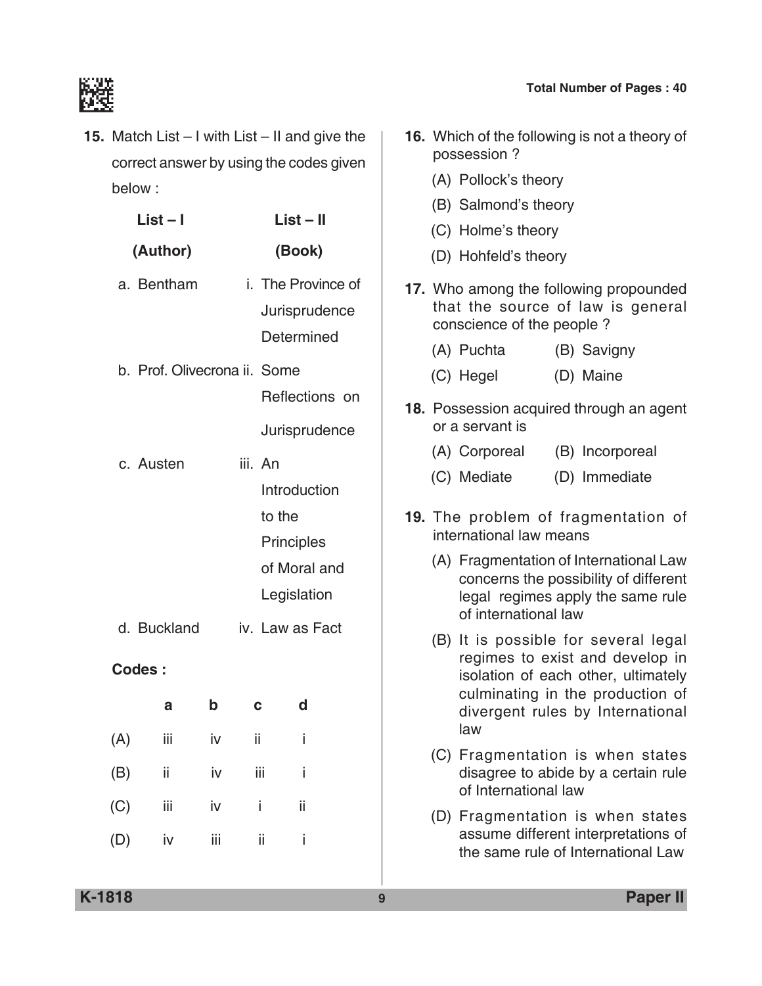**16.** Which of the following is not a theory of



**15.** Match List – I with List – II and give the correct answer by using the codes given below :

| List – I |                              |     | $List - II$ |                                                                                |        |                                     |  |
|----------|------------------------------|-----|-------------|--------------------------------------------------------------------------------|--------|-------------------------------------|--|
|          | (Author)                     |     |             |                                                                                | (Book) |                                     |  |
|          | a. Bentham                   |     |             | Determined                                                                     |        | i. The Province of<br>Jurisprudence |  |
|          | b. Prof. Olivecrona ii. Some |     |             |                                                                                |        | Reflections on                      |  |
|          | c. Austen                    |     |             | iii. An<br>Introduction<br>to the<br>Principles<br>of Moral and<br>Legislation |        | Jurisprudence                       |  |
|          | d. Buckland                  |     |             | iv. Law as Fact                                                                |        |                                     |  |
|          | Codes:                       |     |             |                                                                                |        |                                     |  |
|          | a                            | b   | C           |                                                                                | d      |                                     |  |
| (A)      | iij                          | iv  | ii          |                                                                                | İ      |                                     |  |
| (B)      | ii                           | iv  |             | iij                                                                            | i      |                                     |  |
| (C)      | iij                          | iv  |             | i                                                                              | ii     |                                     |  |
| (D)      | iv                           | iii |             | ii                                                                             | i      |                                     |  |

possession ? (A) Pollock's theory (B) Salmond's theory (C) Holme's theory (D) Hohfeld's theory **17.** Who among the following propounded that the source of law is general conscience of the people ? (A) Puchta (B) Savigny (C) Hegel (D) Maine **18.** Possession acquired through an agent or a servant is (A) Corporeal (B) Incorporeal (C) Mediate (D) Immediate **19.** The problem of fragmentation of international law means (A) Fragmentation of International Law concerns the possibility of different legal regimes apply the same rule of international law (B) It is possible for several legal regimes to exist and develop in isolation of each other, ultimately culminating in the production of divergent rules by International law (C) Fragmentation is when states disagree to abide by a certain rule of International law (D) Fragmentation is when states assume different interpretations of

the same rule of International Law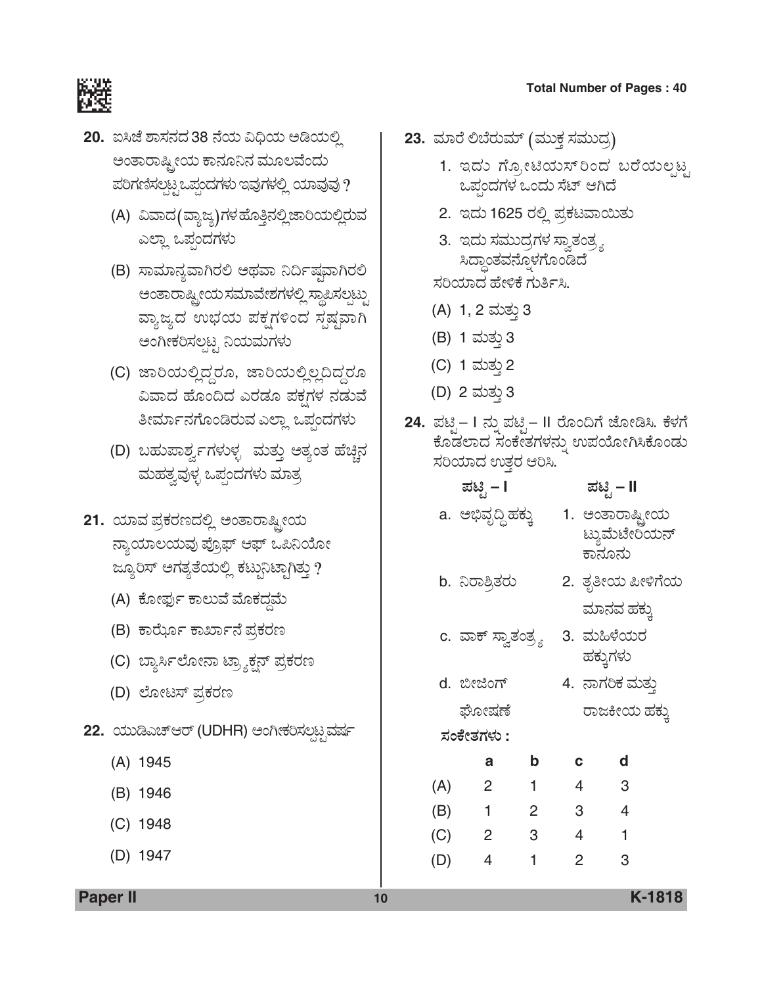

- **20.** ಐಸಿಜೆ ಶಾಸನದ 38 ನೆಯ ವಿಧಿಯ ಆಡಿಯಲ್ಲಿ ಅಂತಾರಾಷ್ಟ್ರೀಯ ಕಾನೂನಿನ ಮೂಲವೆಂದು  $z$ ರಿಗಣಿಸಲ್ಪಟ್ಟ ಒಪ್ಪಂದಗಳು ಇವುಗಳಲ್ಲಿ ಯಾವುವು ?
	- (A) ವಿವಾದ(ವ್ಯಾಜ್ಯ)ಗಳ ಹೊತ್ತಿನಲ್ಲಿ ಜಾರಿಯಲ್ಲಿರುವ ಎಲ್ಲಾ ಒಪ್ಗಂದಗಳು
	- (B) ಸಾಮಾನ್ಯವಾಗಿರಲಿ ಅಥವಾ ನಿರ್ದಿಷ್ಠವಾಗಿರಲಿ ಅಂತಾರಾಷ್ಟ್ರೀಯ ಸಮಾವೇಶಗಳಲ್ಲಿ ಸ್ಥಾಪಿಸಲ್ಪಟ್ಟು ವ್ಯಾಜ್ಯದ ಉಭಯ ಪಕ್ಷಗಳಿಂದ ಸ್ಪಷ್ಟವಾಗಿ ಅಂಗೀಕರಿಸಲಟ್ಟ ನಿಯಮಗಳು
	- (C) ಜಾರಿಯಲ್ಲಿದ್ದರೂ, ಜಾರಿಯಲ್ಲಿಲ್ಲದಿದ್ದರೂ ವಿವಾದ ಹೊಂದಿದ ಎರಡೂ ಪಕ್ಷಗಳ ನಡುವೆ ತೀರ್ಮಾನಗೊಂಡಿರುವ ಎಲ್ಲಾ ಒಪಂದಗಳು
	- (D) ಬಹುಪಾರ್ಶ್ವಗಳುಳ್ಳ ಮತ್ತು ಅತ್ಯಂತ ಹೆಚ್ಚಿನ ಮಹತ್ವವುಳ್ಳ ಒಪ್ಪಂದಗಳು ಮಾತ್ರ
- 21. ಯಾವ ಪ್ರಕರಣದಲ್ಲಿ ಅಂತಾರಾಷ್ಟ್ರೀಯ ನ್ಯಾಯಾಲಯವು ಪ್ರೊಫ್ ಆಫ್ ಒಪಿನಿಯೋ ಜ್ಯೂರಿಸ್ ಅಗತ್ಯತೆಯಲ್ಲಿ ಕಟ್ಟುನಿಟ್ಟಾಗಿತ್ತು ?
	- (A) ಕೋರ್ಫು ಕಾಲುವೆ ಮೊಕದ್ದಮೆ
	- (B) ಕಾರ್ಝೊ ಕಾರ್ಖಾನೆ ಪ್ರಕರಣ
	- (C) ಬ್ಯಾರ್ಸಿಲೋನಾ ಟ್ರ್ಯಾಕ್ಷನ್ ಪ್ರಕರಣ
	- (D) ಲೋಟಸ್ ಪ್ರಕರಣ
- 22. ಯುಡಿಎಚ್ಆರ್ (UDHR) ಅಂಗೀಕರಿಸಲಟ್ಟಮರ್ಷ
	- (A) 1945
	- (B) 1946
	- (C) 1948
	- (D) 1947

**23.** ಮಾರೆ ಲಿಬೆರುಮ್ (ಮುಕ್ತ ಸಮುದೃ)

- 1. ಇದು ಗ್ಯೋಟಿಯಸ್ ರಿಂದ ಬರೆಯಲಟ್ಟ ಒಪಂದಗಳ ಒಂದು ಸೆಟ್ ಆಗಿದೆ
- 2. ಇದು 1625 ರಲ್ಲಿ ಪ್ರಕಟವಾಯಿತು
- 3. ಇದು ಸಮುದ್ರಗಳ ಸ್ವಾತಂತ್ರ್ಯ ಸಿದ್ಧಾಂತವನ್ನೊಳಗೊಂಡಿದೆ

ಸರಿಯಾದ ಹೇಳಿಕೆ ಗುರ್ತಿಸಿ.

- (A) 1, 2 ಮತ್ತು 3
- (B) 1 ಮತ್ತು 3
- (C) 1 ಮತು 2
- (D) 2 ಮತ್ತು 3
- 24. ಪಟ್ಟಿ– I ನ್ನು ಪಟ್ಟಿ– II ರೊಂದಿಗೆ ಜೋಡಿಸಿ. ಕೆಳಗೆ ಕೊಡಲಾದ ಸಂಕೇತಗಳನ್ನು ಉಪಯೋಗಿಸಿಕೊಂಡು ಸರಿಯಾದ ಉತ್ತರ ಆರಿಸಿ.

|     | ಪಟ್ಟಿ – I           |                | ಪಟಿೖ – II      |                                             |  |
|-----|---------------------|----------------|----------------|---------------------------------------------|--|
|     | a. ಅಭಿವೃದ್ಧಿ ಹಕ್ಕು  |                |                | 1. ಅಂತಾರಾಷ್ಟ್ರೀಯ<br>ಟ್ಯುಮೆಟೇರಿಯನ್<br>ಕಾನೂನು |  |
|     | b. ನಿರಾಶ್ರಿತರು      |                |                | 2. ತೃತೀಯ ಪೀಳಿಗೆಯ<br>ಮಾನವ ಹಕ್ಕು              |  |
|     | c. ವಾಕ್ ಸ್ವಾತಂತ್ರ್ಯ |                |                | 3. ಮಹಿಳೆಯರ<br>ಹಕ್ಕುಗಳು                      |  |
|     | d. ಬೀಜಿಂಗ್          |                |                | 4. ನಾಗರಿಕ ಮತ್ತು                             |  |
|     | ಘೋಷಣೆ               |                |                | ರಾಜಕೀಯ ಹಕ್ಕು                                |  |
|     | ಸಂಕೇತಗಳು :          |                |                |                                             |  |
|     | а                   | b              | C              | d                                           |  |
| (A) | $\overline{2}$      | $\overline{1}$ | $\overline{4}$ | -3                                          |  |
| (B) | $\blacksquare$ 1    | 2              | 3              | $\overline{4}$                              |  |
| (C) | $\overline{2}$      | $\mathbf{3}$   | 4              | 1                                           |  |
| (D) | 4                   | 1              | 2              | 3                                           |  |

**Paper II 10 K-1818**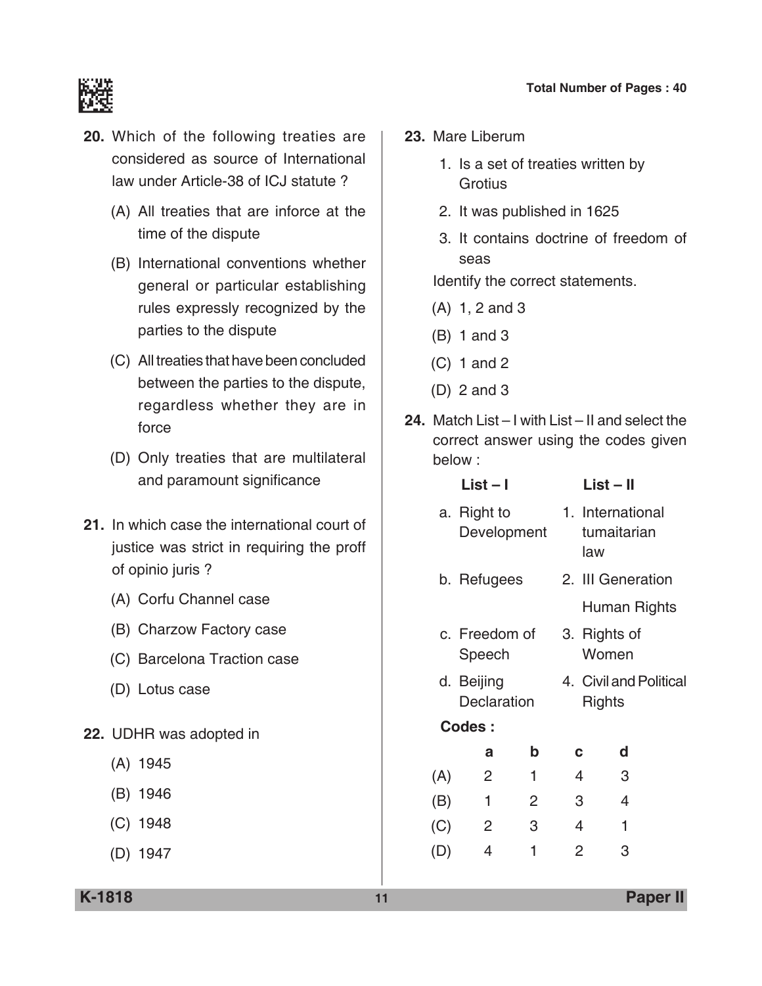

- **20.** Which of the following treaties are considered as source of International law under Article-38 of ICJ statute ?
	- (A) All treaties that are inforce at the time of the dispute
	- (B) International conventions whether general or particular establishing rules expressly recognized by the parties to the dispute
	- (C) All treaties that have been concluded between the parties to the dispute, regardless whether they are in force
	- (D) Only treaties that are multilateral and paramount significance
- **21.** In which case the international court of justice was strict in requiring the proff of opinio juris ?
	- (A) Corfu Channel case
	- (B) Charzow factory case
	- (C) Barcelona Traction case
	- (D) Lotus case
- **22.** UDHR was adopted in
	- (A) 1945
	- (B) 1946
	- (C) 1948
	- (D) 1947

**23.** Mare Liberum

- 1. Is a set of treaties written by **Grotius**
- 2. It was published in 1625
- 3. It contains doctrine of freedom of seas

Identify the correct statements.

- (A) 1, 2 and 3
- (B) 1 and 3
- (C) 1 and 2
- (D) 2 and 3
- **24.** Match List I with List II and select the correct answer using the codes given below :

|     | List – I                         |             | List – II             |                                 |  |
|-----|----------------------------------|-------------|-----------------------|---------------------------------|--|
|     | a. Right to<br>Development       |             | law                   | 1. International<br>tumaitarian |  |
|     | b. Refugees                      |             |                       | 2. III Generation               |  |
|     |                                  |             |                       | Human Rights                    |  |
|     | c. Freedom of<br>Speech          |             | 3. Rights of<br>Women |                                 |  |
|     | d. Beijing<br><b>Declaration</b> |             | Rights                | 4. Civil and Political          |  |
|     | Codes:                           |             |                       |                                 |  |
|     | a                                | $\mathbf b$ | C                     | d                               |  |
| (A) | $\overline{2}$                   | 1           | 4                     | 3                               |  |
| (B) | 1                                | 2           | 3                     | 4                               |  |
| (C) | 2                                | 3           | $\overline{4}$        | 1                               |  |
| (D) | 4                                | 1           | 2                     | 3                               |  |
|     |                                  |             |                       |                                 |  |

**K-1818 11 Paper II**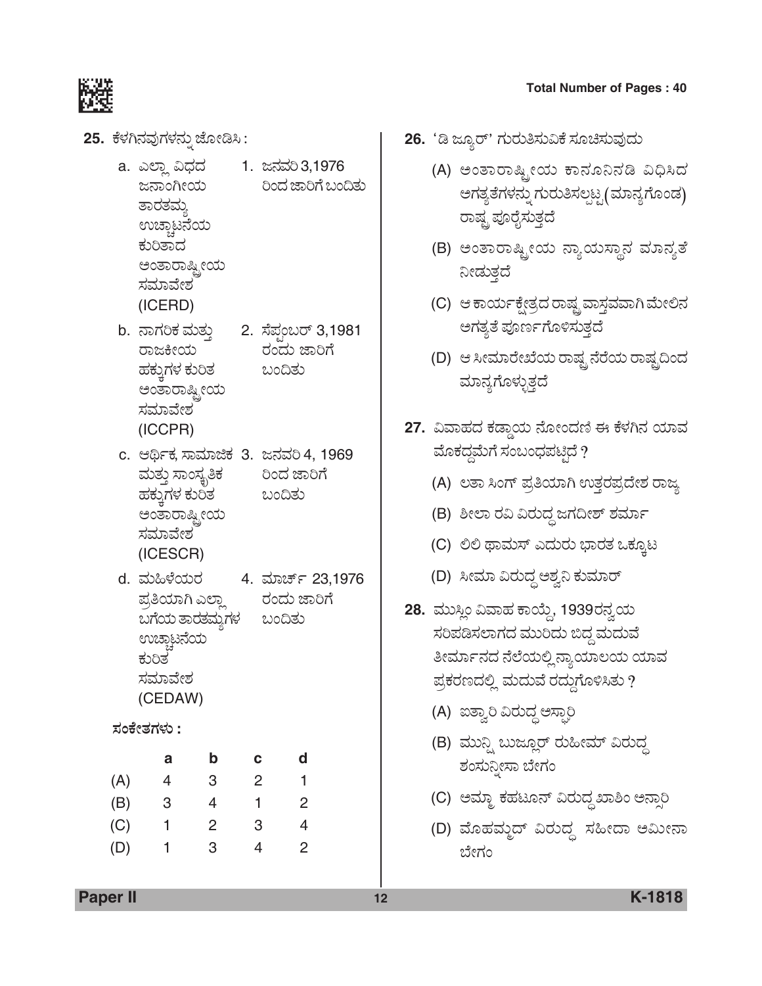**25.** ಕೆಳಗಿನವುಗಳನ್ನು ಜೋಡಿಸಿ :

ಸಮಾವೇಶ

(ICESCR)

- a. ಎಲ್ಲಾ ವಿಧದ 1. ಜನವರಿ 3,1976 ಜನಾಂಗೀಯ ರಿಂದ ಜಾರಿಗೆ ಬಂದಿತು ತಾರತಮ್ಮ ಉಚ್ಚಾಟನೆಯ ಕುರಿತಾದ ಅಂತಾರಾಷ್ಟ್ರೀಯ ಸಮಾವೇಶ (ICERD) b. ನಾಗರಿಕ ಮತ್ತು 2. ಸೆಪಂಬರ್ 3,1981 ರಾಜಕೀಯ ರಂದು ಜಾರಿಗೆ ಹಕ್ಕುಗಳ ಕುರಿತ ಬಂದಿತು ಅಂತಾರಾಷ್ಟ್ರೀಯ
- (ICCPR) c. ಆರ್ಥಿಕ, ಸಾಮಾಜಿಕ 3. ಜನವರಿ 4, 1969 ಮತ್ತು ಸಾಂಸ್ಕೃತಿಕ ರಿಂದ ಜಾರಿಗೆ ಹಕ್ಕುಗಳ ಕುರಿತ ಅಂತಾರಾಷ್ಟ್ರೀಯ ಸಮಾವೇಶ
- d. ÊÜá×Ùæ¿áÃÜ 4. ÊÜÞa…ì 23,1976 ಪ್ರತಿಯಾಗಿ ಎಲ್ಲಾ ರಂದು ಜಾರಿಗೆ ಬಗೆಯ ತಾರತಮ್ಮಗಳ ಬಂದಿತು ಉಚ್ಚಾಟನೆಯ ಕುರಿತ ಸಮಾವೇಶ (CEDAW)

# *ÓÜíPæàñÜWÜÙÜá* **:**

|     | а | b | с | d |
|-----|---|---|---|---|
| (A) | 4 | 3 | 2 |   |
| (B) | 3 | 4 | 1 | 2 |
| (C) | 1 | 2 | 3 | 4 |
| (D) | 1 | 3 | 4 | 2 |

- 26. 'ಡಿ ಜ್ಯೂರ್' ಗುರುತಿಸುವಿಕೆ ಸೂಚಿಸುವುದು
	- (A) ಅಂತಾರಾಷ್ಟ್ರೀಯ ಕಾನೂನಿನಡಿ ವಿಧಿಸಿದ ಅಗತ್ಯತೆಗಳನ್ನು ಗುರುತಿಸಲ್ಪಟ್ಟ (ಮಾನ್ಯಗೊಂಡ) ರಾಷ್ಟ್ರ ಪೂರೈಸುತ್ತದೆ
	- (B) ಅಂತಾರಾಷ್ಟ್ರೀಯ ನ್ಯಾಯಸ್ಥಾನ ಮಾನ್ಯತೆ ನೀಡುತ್ತದೆ
	- (C) ಆ ಕಾರ್ಯಕ್ಷೇತ್ರದ ರಾಷ್ಟ್ರವಾಸ್ಗಮಾಗಿ ಮೇಲಿನ ಅಗತ್ಯತೆ ಪೂರ್ಣಗೊಳಿಸುತ್ತದೆ
	- (D) ಆ ಸೀಮಾರೇಖೆಯ ರಾಷ್ಟ್ರ ನೆರೆಯ ರಾಷ್ಟ್ರದಿಂದ ಮಾನ್ಯಗೊಳ್ಳುತ್ತದೆ
- 27. ವಿವಾಹದ ಕಡ್ಡಾಯ ನೋಂದಣಿ ಈ ಕೆಳಗಿನ ಯಾವ ಮೊಕದ್ದಮೆಗೆ ಸಂಬಂಧಪಟ್ಟಿದೆ ?
	- (A) ಲತಾ ಸಿಂಗ್ ಪ್ರತಿಯಾಗಿ ಉತ್ತರಪ್ರದೇಶ ರಾಜ್ಯ
	- (B) ಶೀಲಾ ರವಿ ವಿರುದ್ಧ ಜಗದೀಶ್ ಶರ್ಮಾ
	- (C) ಲಿಲಿ ಥಾಮಸ್ ಎದುರು ಭಾರತ ಒಕ್ಕೂಟ
	- (D) ಸೀಮಾ ವಿರುದ್ಧ ಅಶ್ವನಿ ಕುಮಾರ್
- **28.** ಮುಸ್ಲಿಂ ವಿವಾಹ ಕಾಯ್ದೆ, 1939ರನ್ನಯ ಸರಿಪಡಿಸಲಾಗದ ಮುರಿದು ಬಿದ್ದ ಮದುವೆ ತೀರ್ಮಾನದ ನೆಲೆಯಲ್ಲಿ ನ್ಯಾಯಾಲಯ ಯಾವ ಪ್ರಕರಣದಲ್ಲಿ ಮದುವೆ ರದ್ದುಗೊಳಿಸಿತು ?
	- (A) ಐತ್ವಾರಿ ವಿರುದ್ಧ ಅಸ್ಪಾರಿ
	- (B) ಮುನ್ನಿ ಬುಜ್ಞೂರ್ ರುಹೀಮ್ ವಿರುದ್ಧ ಶಂಸುನೀಸಾ ಬೇಗಂ
	- (C) ಆಮ್ಜಾ ಕಹಟೂನ್ ವಿರುದ್ಧ ಖಾಶಿಂ ಅನ್ಸಾರಿ
	- (D) ಮೊಹಮ್ಮದ್ ವಿರುದ್ಧ ಸಹೀದಾ ಅಮೀನಾ ಬೇಗಂ

**Paper II 12 K-1818**

#### **Total Number of Pages : 40**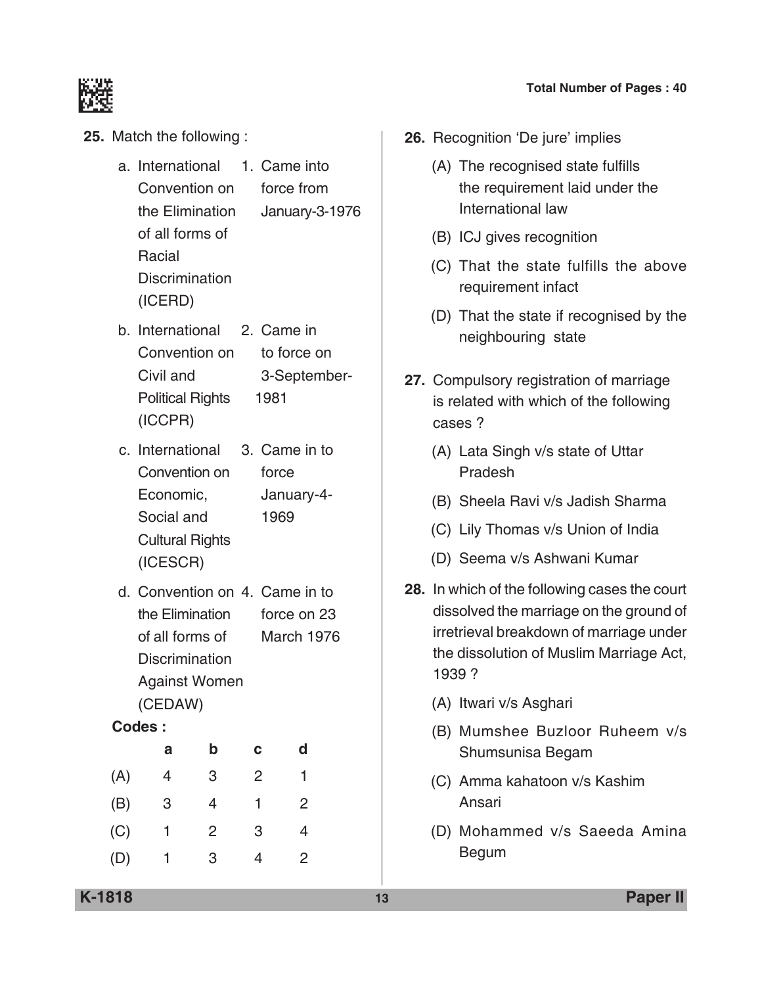

- **25.** Match the following :
	- a. International 1. Came into convention on force from the Elimination January-3-1976 of all forms of Racial **Discrimination** (ICERD)
	- b. International 2. Came in Convention on to force on Civil and 3-September-Political Rights 1981 (ICCPR)
	- c. International 3. Came in to Convention on force Economic, January-4- Social and 1969 Cultural Rights (ICESCR)
	- d. Convention on 4. Came in to the Elimination force on 23 of all forms of March 1976 **Discrimination**  Against women (CEDAW)

#### **Codes :**

|     | а | b | с | d |
|-----|---|---|---|---|
| (A) | 4 | 3 | 2 |   |
| (B) | 3 | 4 | 1 | 2 |
| (C) | 1 | 2 | 3 | 4 |
| (D) | 1 | 3 | 4 | 2 |

#### **Total Number of Pages : 40**

- **26.** Recognition 'De jure' implies
	- (A) The recognised state fulfills the requirement laid under the International law
	- (B) ICJ gives recognition
	- (C) That the state fulfills the above requirement infact
	- (D) That the state if recognised by the neighbouring state
- **27.** Compulsory registration of marriage is related with which of the following cases ?
	- (A) Lata Singh v/s state of Uttar Pradesh
	- (B) Sheela Ravi v/s Jadish Sharma
	- (C) Lily Thomas v/s Union of India
	- (D) Seema v/s Ashwani Kumar
- **28.** In which of the following cases the court dissolved the marriage on the ground of irretrieval breakdown of marriage under the dissolution of Muslim Marriage Act, 1939 ?
	- (A) Itwari v/s Asghari
	- (B) Mumshee Buzloor Ruheem v/s Shumsunisa Begam
	- (C) Amma kahatoon v/s Kashim Ansari
	- (D) Mohammed v/s Saeeda Amina Begum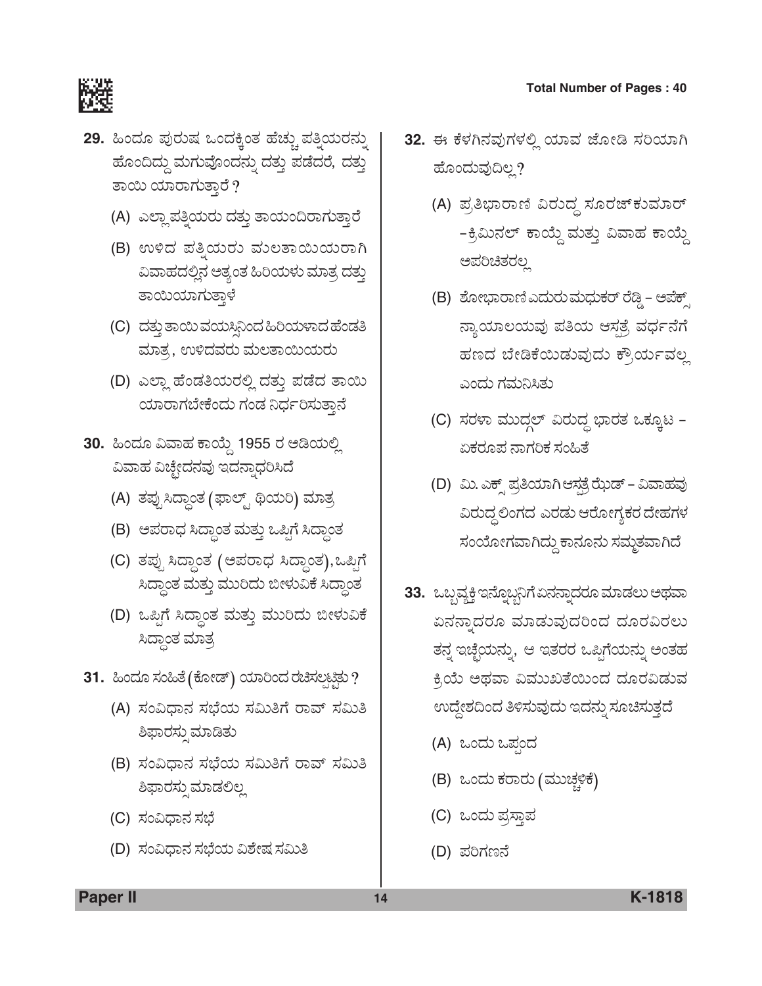

- **29.** ಹಿಂದೂ ಪುರುಷ ಒಂದಕ್ಕಿಂತ ಹೆಚ್ಚು ಪತ್ತಿಯರನ್ನು ಹೊಂದಿದ್ದು ಮಗುವೊಂದನ್ನು ದತ್ತು ಪಡೆದರೆ, ದತ್ತು ತಾಯಿ ಯಾರಾಗುತ್ತಾರೆ ?
	- (A) ಎಲ್ಲಾ ಪತ್ನಿಯರು ದತ್ತು ತಾಯಂದಿರಾಗುತ್ತಾರೆ
	- (B) ಉಳಿದ ಪತ್ನಿಯರು ಮಲತಾಯಿಯರಾಗಿ ವಿವಾಹದಲ್ಲಿನ ಅತ್ಯಂತ ಹಿರಿಯಳು ಮಾತ್ರ ದತ್ತು ತಾಯಿಯಾಗುತ್ತಾಳೆ
	- (C) ದತ್ತು ತಾಯಿ ವಯಸಿನಿಂದ ಹಿರಿಯಳಾದ ಹೆಂಡತಿ ಮಾತ್ರ, ಉಳಿದವರು ಮಲತಾಯಿಯರು
	- (D) ಎಲ್ಲಾ ಹೆಂಡತಿಯರಲ್ಲಿ ದತ್ತು ಪಡೆದ ತಾಯಿ ಯಾರಾಗಬೇಕೆಂದು ಗಂಡ ನಿರ್ಧರಿಸುತ್ತಾನೆ
- 30. ಹಿಂದೂ ವಿವಾಹ ಕಾಯ್ದೆ 1955 ರ **ಅಡಿಯಲ್ಲಿ** ವಿವಾಹ ವಿಚ್ಛೇದನವು ಇದನ್ನಾಧರಿಸಿದೆ
	- (A) ತಪ್ಪುಸಿದ್ಧಾಂತ (ಫಾಲ್ಟ್ ಥಿಯರಿ) ಮಾತ್ರ
	- (B) ಅಪರಾಧ ಸಿದ್ಧಾಂತ ಮತ್ತು ಒಪ್ಪಿಗೆ ಸಿದ್ಧಾಂತ
	- (C) ತಪ್ಪು ಸಿದ್ಧಾಂತ (ಅಪರಾಧ ಸಿದ್ಧಾಂತ),ಒಪ್ಪಿಗೆ ಸಿದ್ಧಾಂತ ಮತ್ತು ಮುರಿದು ಬೀಳುವಿಕೆ ಸಿದ್ಧಾಂತ
	- (D) ಒಪ್ಪಿಗೆ ಸಿದ್ಧಾಂತ ಮತ್ತು ಮುರಿದು ಬೀಳುವಿಕೆ ಸಿದ್ದಾಂತ ಮಾತ್ರ
- 31. ಹಿಂದೂ ಸಂಹಿತೆ (ಕೋಡ್) ಯಾರಿಂದ ರಚಿಸಲ್ಪಟ್ಟಲ**?** 
	- (A) ಸಂವಿಧಾನ ಸಭೆಯ ಸಮಿತಿಗೆ ರಾವ್ ಸಮಿತಿ ಶಿಫಾರಸ್ಪುಮಾಡಿತು
	- (B) ಸಂವಿಧಾನ ಸಭೆಯ ಸಮಿತಿಗೆ ರಾವ್ ಸಮಿತಿ ಶಿಫಾರಸ್ತುಮಾಡಲಿಲ್ಲ
	- (C) ಸಂವಿಧಾನ ಸಭೆ
	- (D) ಸಂವಿಧಾನ ಸಭೆಯ ವಿಶೇಷ ಸಮಿತಿ
- 32. ಈ ಕೆಳಗಿನವುಗಳಲ್ಲಿ ಯಾವ ಜೋಡಿ ಸರಿಯಾಗಿ ಹೊಂದುವುದಿಲ್ಲ?
	- (A) ಪ್ರತಿಭಾರಾಣಿ ವಿರುದ್ಧ ಸೂರಜ್**ಕುಮಾ**ರ್ -ಕ್ರಿಮಿನಲ್ ಕಾಯ್ದೆ ಮತ್ತು ವಿವಾಹ ಕಾಯ್ದೆ ಅಪರಿಚಿತರಲ್ಲ
	- (B) ಶೋಭಾರಾಣಿ ಎದುರು ಮಧುಕರ್ ರೆಡ್ಡಿ ಅಪೆಕ್ಸ್ ನ್ಯಾಯಾಲಯವು ಪತಿಯ ಆಸ್ಪತ್ರೆ ವರ್ಧನೆಗೆ ಹಣದ ಬೇಡಿಕೆಯಿಡುವುದು ಕ್ರೌರ್ಯವಲ್ಲ ಎಂದು ಗಮನಿಸಿತು
	- $(C)$  ಸರಳಾ ಮುದ್ಗಲ್ ವಿರುದ್ಧ ಭಾರತ ಒಕ್ಕೂಟ ಏಕರೂಪ ನಾಗರಿಕ ಸಂಹಿತೆ
	- (D) ಮಿ. ಎಕ್ಸ್ ಪ್ರತಿಯಾಗಿ ಆಸ್ಪತ್ರೆ ಝೆಡ್ ವಿವಾಹವು ವಿರುದ್ಧ ಲಿಂಗದ ಎರಡು ಆರೋಗ್ಯಕರ ದೇಹಗಳ ಸಂಯೋಗವಾಗಿದ್ದು ಕಾನೂನು ಸಮ್ಮತವಾಗಿದೆ
- 33. ಒಬ್ಬವ್ಯಕ್ತಿ ಇನ್ನೊಬ್ಬನಿಗೆ ಏನನ್ನಾದರೂ ಮಾಡಲು ಅಥವಾ ಏನನ್ನಾದರೂ ಮಾಡುವುದರಿಂದ ದೂರವಿರಲು ತನ್ನ ಇಚ್ಚೆಯನ್ನು, ಆ ಇತರರ ಒಪ್ಪಿಗೆಯನ್ನು ಅಂತಹ ಕ್ತಿಯೆ ಅಥವಾ ವಿಮುಖತೆಯಿಂದ ದೂರವಿಡುವ ಉದ್ದೇಶದಿಂದ ತಿಳಿಸುವುದು ಇದನ್ನು ಸೂಚಿಸುತ್ತದೆ
	- (A) ಒಂದು ಒಪ್ಪಂದ
	- (B) ಒಂದು ಕರಾರು (ಮುಚ್ಚಳಿಕೆ)
	- (C) ಒಂದು ಪ್ರಸ್ತಾಪ
	- (D) ಪರಿಗಣನೆ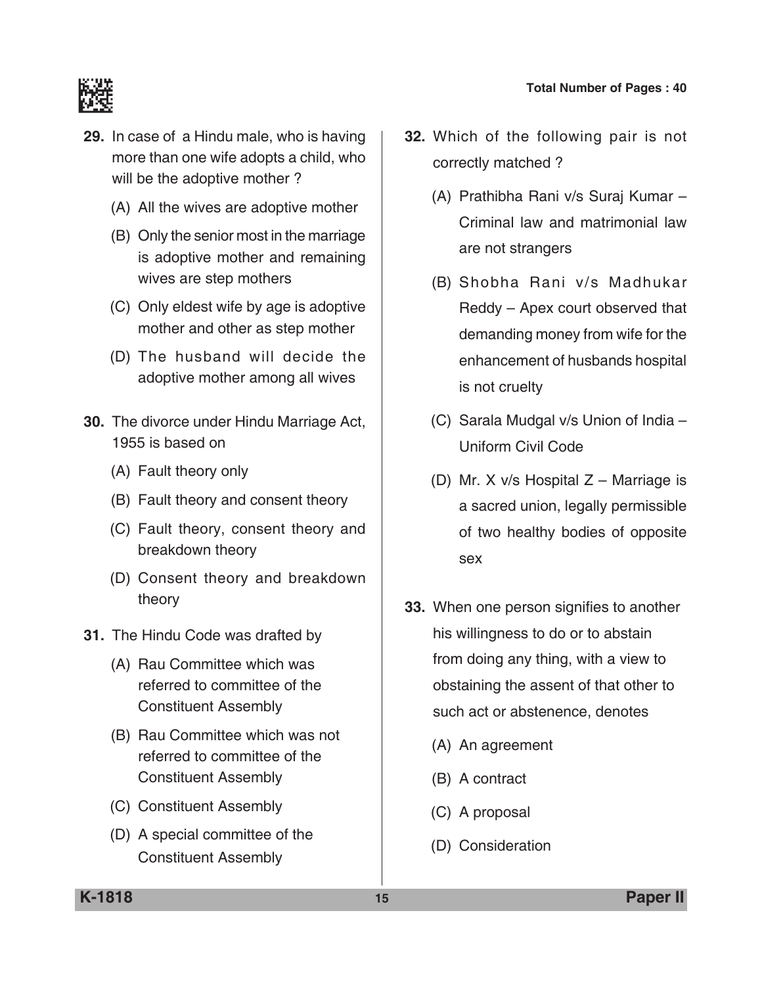

- **29.** In case of a Hindu male, who is having more than one wife adopts a child, who will be the adoptive mother?
	- (A) All the wives are adoptive mother
	- (B) Only the senior most in the marriage is adoptive mother and remaining wives are step mothers
	- (C) Only eldest wife by age is adoptive mother and other as step mother
	- (D) The husband will decide the adoptive mother among all wives
- **30.** The divorce under Hindu Marriage Act, 1955 is based on
	- (A) Fault theory only
	- (B) Fault theory and consent theory
	- (C) Fault theory, consent theory and breakdown theory
	- (D) Consent theory and breakdown theory
- **31.** The Hindu Code was drafted by
	- (A) Rau Committee which was referred to committee of the Constituent Assembly
	- (B) Rau Committee which was not referred to committee of the Constituent Assembly
	- (C) Constituent Assembly
	- (D) A special committee of the Constituent Assembly
- **32.** Which of the following pair is not correctly matched ?
	- (A) Prathibha Rani v/s Suraj Kumar Criminal law and matrimonial law are not strangers
	- (B) Shobha Rani v/s Madhukar Reddy – Apex court observed that demanding money from wife for the enhancement of husbands hospital is not cruelty
	- (C) Sarala Mudgal v/s Union of India Uniform civil code
	- (D) Mr. X v/s Hospital Z Marriage is a sacred union, legally permissible of two healthy bodies of opposite sex
- **33.** When one person signifies to another his willingness to do or to abstain from doing any thing, with a view to obstaining the assent of that other to such act or abstenence, denotes
	- (A) An agreement
	- (B) A contract
	- (C) A proposal
	- (D) Consideration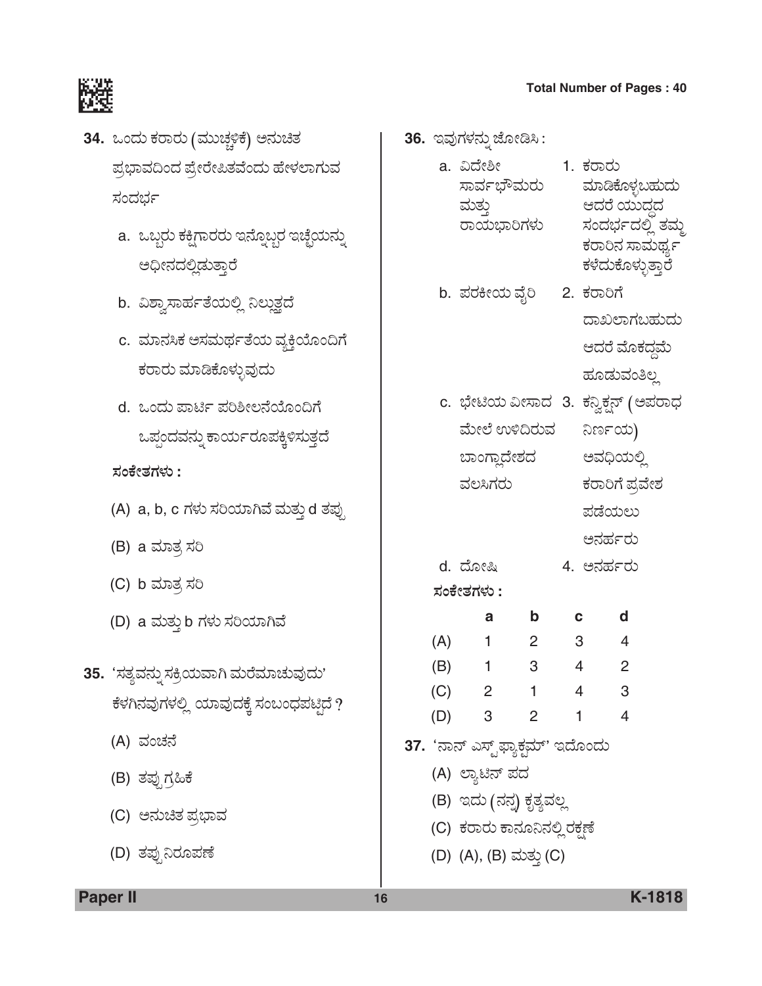ಸಂದರ್ಭದಲ್ಲಿ ತಮ್ಮ ಕರಾರಿನ ಸಾಮರ್ಥ್ಯ ಕಳೆದುಕೊಳ್ಳುತ್ತಾರೆ



- 34. ಒಂದು ಕರಾರು (ಮುಚ್ಚಳಿಕೆ) ಅನುಚಿತ ಪ್ರಭಾವದಿಂದ ಪ್ರೇರೇಪಿತವೆಂದು ಹೇಳಲಾಗುವ ಸಂದರ್ಭ
	- a. ಒಬ್ಬರು ಕಕ್ಷಿಗಾರರು ಇನ್ನೊಬ್ಬರ ಇಚ್ಛೆಯನ್ನು ಅಧೀನದಲ್ಲಿಡುತ್ತಾರೆ
	- b. ವಿಶ್ವಾಸಾರ್ಹತೆಯಲ್ಲಿ ನಿಲ್ಲುತ್ತದೆ
	- c. ಮಾನಸಿಕ ಅಸಮರ್ಥತೆಯ ವ್ಯಕ್ತಿಯೊಂದಿಗೆ ಕರಾರು ಮಾಡಿಕೊಳ್ಳುವುದು
	- d. ಒಂದು ಪಾರ್ಟಿ ಪರಿಶೀಲನೆಯೊಂದಿಗೆ ಒಪ್ಪಂದವನ್ನು ಕಾರ್ಯರೂಪಕ್ಕಿಳಿಸುತ್ತದೆ
	- *ÓÜíPæàñÜWÜÙÜá* **:**
	- (A) a, b, c ಗಳು ಸರಿಯಾಗಿವೆ ಮತ್ತು d ತಪ್ಪು
	- (B) a ಮಾತ್ರ ಸರಿ
	- $(C)$  b ಮಾತ್ರ ಸರಿ
	- (D) a ಮತ್ತು b ಗಳು ಸರಿಯಾಗಿವೆ
- 35. 'ಸತ್ಯವನ್ನು ಸಕ್ರಿಯವಾಗಿ ಮರೆಮಾಚುವುದು' ಕೆಳಗಿನವುಗಳಲ್ಲಿ ಯಾವುದಕ್ಕೆ ಸಂಬಂಧಪಟ್ಟಿದೆ ?
	- (A) ವಂಚನೆ
	- (B) ತಪ್ಪುಗ್ರಹಿಕೆ
	- (C) ಅನುಚಿತ ಪ್ರಭಾವ
	- (D) ತಪ್ಪುನಿರೂಪಣೆ

**36.** ಇವುಗಳನ್ನು ಜೋಡಿಸಿ :

- a. ವಿದೇಶೀ 1. ಕರಾರು<br>ಸಾರ್ವಭೌಮರು ಮಾಡಿಕೊಳ್ಳಬಹುದು ಸಾರ್ವಭೌಮರು ÊÜáñÜá¤ B¨ÜÃæ ¿áá¨Üœ¨Ü
- b. ಪರಕೀಯ ವೈರಿ 2. ಕರಾರಿಗೆ ದಾಖಲಾಗಬಹುದು ಆದರೆ ಮೊಕದ್ದಮೆ ಹೂಡುವಂತಿಲ್ಲ
- c. ಭೇಟಿಯ ವೀಸಾದ 3. ಕನ್ವಿಕ್ಷನ್ (ಅಪರಾಧ ಮೇಲೆ ಉಳಿದಿರುವ ನಿರ್ಣಯ) ಬಾಂಗ್ಲಾದೇಶದ ಅವಧಿಯಲ್ಲಿ ವಲಸಿಗರು ಕರಾರಿಗೆ ಪ್ರವೇಶ
	- ಪಡೆಯಲು
		- ಅನರ್ಹರು
- d. ¨æãàÑ 4. A®ÜÖÜìÃÜá

*ÓÜíPæàñÜWÜÙÜá* **:**

|     | а              | b | C | d |
|-----|----------------|---|---|---|
| (A) |                | 2 | 3 |   |
| (B) |                | 3 | 4 | 2 |
| (C) | $\overline{2}$ |   | 4 | 3 |
| (D) | 3              | 2 |   |   |

- 37. 'ನಾನ್ ಎಸ್ಟ್**ಫ್ಯಾಕ್ಟಮ್'** ಇದೊಂದು
	- (A) ಲ್ಯಾಟಿನ್ ಪದ
	- (B) ಇದು (ನನ್ನ) ಕೃತ್ಯವಲ್ಲ
	- (C) ಕರಾರು ಕಾನೂನಿನಲ್ಲಿ ರಕಣೆ
	- (D) (A), (B) ಮತ್ತು (C)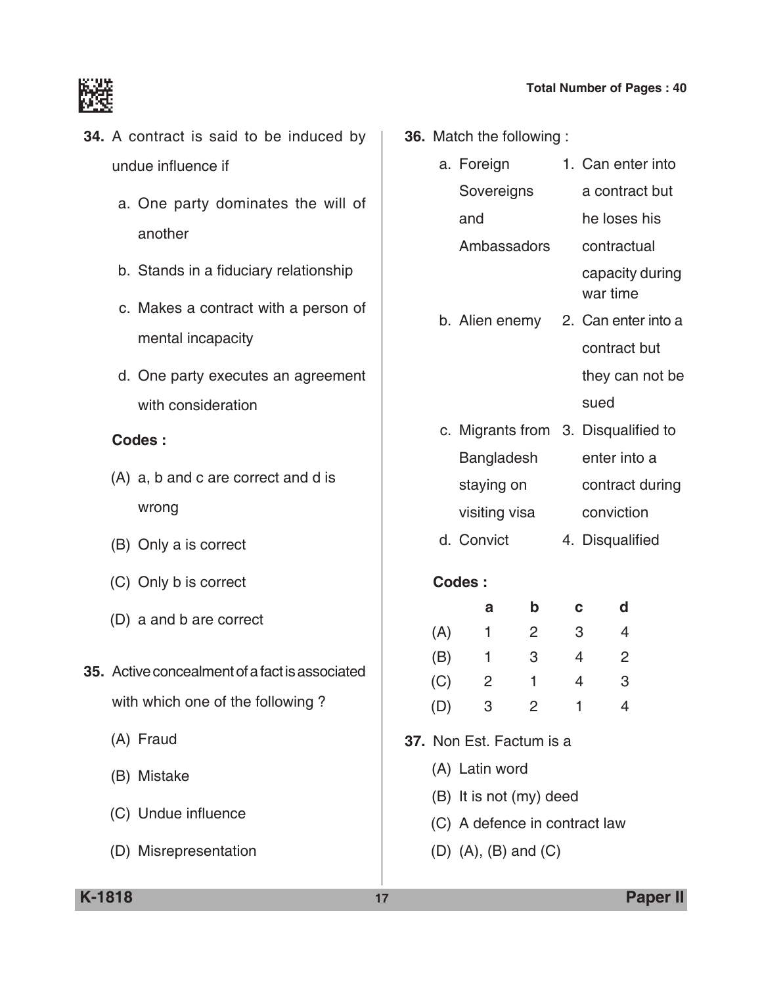

- **34.** A contract is said to be induced by undue influence if
	- a. One party dominates the will of another
	- b. Stands in a fiduciary relationship
	- c. Makes a contract with a person of mental incapacity
	- d. One party executes an agreement with consideration

### **Codes :**

- (A) a, b and c are correct and d is wrong
- (B) Only a is correct
- (C) Only b is correct
- (D) a and b are correct
- **35.** Active concealment of a fact is associated with which one of the following ?
	- (A) Fraud
	- (B) Mistake
	- (C) Undue influence
	- (D) Misrepresentation
- **36.** Match the following :
	- a. Foreign 1. Can enter into Sovereigns a contract but and he loses his Ambassadors contractual capacity during war time b. Alien enemy 2. Can enter into a
	- contract but they can not be sued
	- c. Migrants from 3. Disqualified to Bangladesh enter into a staying on contract during visiting visa conviction
	- d. Convict 4. Disqualified

|     | а | b | с | a |
|-----|---|---|---|---|
| (A) | 1 | 2 | 3 |   |
| (B) | 1 | 3 | 4 | 2 |
| (C) | 2 |   | 4 | З |
| (D) | 3 | 2 |   |   |

- **37.** Non Est. Factum is a
	- (A) Latin word
	- (B) It is not (my) deed
	- (C) A defence in contract law
	- (D) (A), (B) and (C)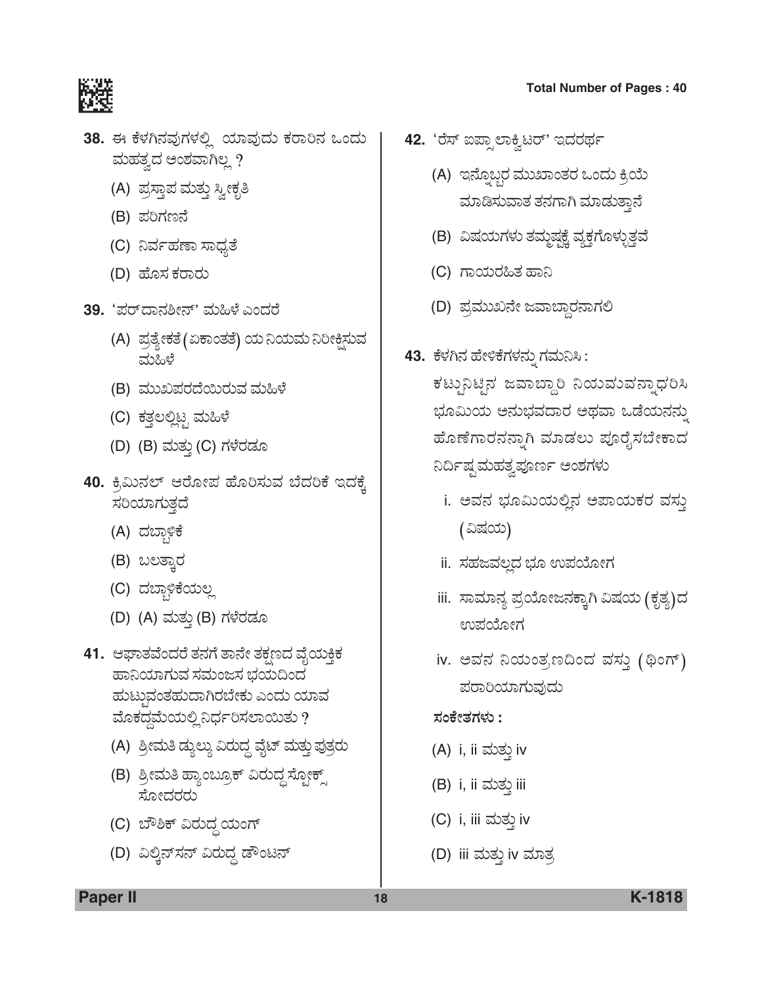

- 38. ಈ ಕೆಳಗಿನವುಗಳಲ್ಲಿ ಯಾವುದು ಕರಾರಿನ ಒಂದು ಮಹತ್ವದ ಅಂಶವಾಗಿಲ್ಲ ?
	- (A) ಪ್ರಸ್ತಾಪ ಮತ್ತು ಸ್ವೀಕೃತಿ
	- (B) ಪರಿಗಣನೆ
	- (C) ನಿರ್ವಹಣಾ ಸಾಧ್ಯತೆ
	- (D) ಹೊಸ ಕರಾರು
- **39.** 'ಪರ್ದಾನಶೀನ್' ಮಹಿಳೆ ಎಂದರೆ
	- (A) ಪ್ರತ್ಯೇಕತೆ (ಏಕಾಂತತೆ) ಯ ನಿಯಮ ನಿರೀಕ್ಷಿಸುವ ಮಹಿಳೆ
	- (B) ಮುಖಪರದೆಯಿರುವ ಮಹಿಳೆ
	- (C) ಕತ್ತಲಲ್ಲಿಟ್ಟ ಮಹಿಳೆ
	- (D) (B) ಮತ್ತು (C) ಗಳೆರಡೂ
- 40. ಕ್ರಿಮಿನಲ್ ಆರೋಪ ಹೊರಿಸುವ ಬೆದರಿಕೆ ಇದಕ್ಕೆ ಸರಿಯಾಗುತ್ತದೆ
	- (A) ದಬ್ಬಾಳಿಕೆ
	- (B) ಬಲತ್ತಾರ
	- (C) ದಬ್ಬಾಳಿಕೆಯಲ್ಲ
	- (D) (A) ಮತ್ತು (B) ಗಳೆರಡೂ
- **41.** ಆಘಾತವೆಂದರೆ ತನಗೆ ತಾನೇ ತಕ್ಷಣದ ವೈಯಕ್ತಿಕ ಹಾನಿಯಾಗುವ ಸಮಂಜಸ ಭಯದಿಂದ ಹುಟ್ಪುವಂತಹುದಾಗಿರಬೇಕು ಎಂದು ಯಾವ ಮೊಕದ್ದಮೆಯಲ್ಲಿ ನಿರ್ಧರಿಸಲಾಯಿತು ?
	- (A) ಶ್ರೀಮತಿ ಡ್ಯುಲ್ಯು ವಿರುದ್ಧ ವೈಟ್ ಮತ್ತು ಪುತ್ರರು
	- (B) ಶ್ರೀಮತಿ ಹ್ಯಾಂಬ್ರೂಕ್ ವಿರುದ್ಧ ಸ್ಪೋಕ್ಸ್ ಸೋದರರು
	- (C) ಬೌಶಿಕ್ ವಿರುದ್ಧ ಯಂಗ್
	- (D) ವಿಲ್ಕಿನ್ಸನ್ ವಿರುದ್ಧ ಡೌಂಟನ್
- **Total Number of Pages : 40**
- 42. 'ರೆಸ್ ಐಪ್ಪಾಲಾಕ್ಷಿಟರ್' ಇದರರ್ಥ
	- (A) ಇನ್ನೊಬ್ಬರ ಮುಖಾಂತರ ಒಂದು ಕ್ರಿಯೆ ಮಾಡಿಸುವಾತ ತನಗಾಗಿ ಮಾಡುತ್ತಾನೆ
	- (B) ವಿಷಯಗಳು ತಮ್ಮಷ್ಟಕ್ಕೆ ವ್ಯಕ್ತಗೊಳ್ಳುತ್ತವೆ
	- (C) ಗಾಯರಹಿತ ಹಾನಿ
	- (D) ಪ್ರಮುಖನೇ ಜವಾಬ್ದಾರನಾಗಲಿ
- 43. ಕೆಳಗಿನ ಹೇಳಿಕೆಗಳನ್ನು ಗಮನಿಸಿ:

ಕಟ್ಟುನಿಟೈನ ಜವಾಬ್ದಾರಿ ನಿಯಮುವನ್ನಾಧರಿಸಿ ಭೂಮಿಯ ಅನುಭವದಾರ ಅಥವಾ ಒಡೆಯನನ್ನು ಹೊಣೆಗಾರನನ್ನಾಗಿ ಮಾಡಲು ಪೂರೈಸಬೇಕಾದ ನಿರ್ದಿಷ್ಟಮಹತ್ವಪೂರ್ಣ <mark>ಅಂಶಗ</mark>ಳು

- i. ಅವನ ಭೂಮಿಯಲ್ಲಿನ ಅಪಾಯಕರ ವಸ್ತು (ವಿಷಯ)
- ii. ಸಹಜವಲ್ಲದ ಭೂ ಉಪಯೋಗ
- iii. ಸಾಮಾನ್ಯ ಪ್ರಯೋಜನಕ್ಕಾಗಿ ವಿಷಯ (ಕೃತ್ಯ)ದ ಉಪಯೋಗ
- iv. ಅವನ ನಿಯಂತ್ರಣದಿಂದ ವಸ್ತು (ಥಿಂಗ್) ಪರಾರಿಯಾಗುವುದು

#### *ÓÜíPæàñÜWÜÙÜá* **:**

- (A) i, ii ಮತ್ತು iv
- (B) i, ii ಮತ್ತು iii
- (C) i, iii ಮತ್ತು iv
- (D) iii ಮತ್ತು iv ಮಾತ್ರ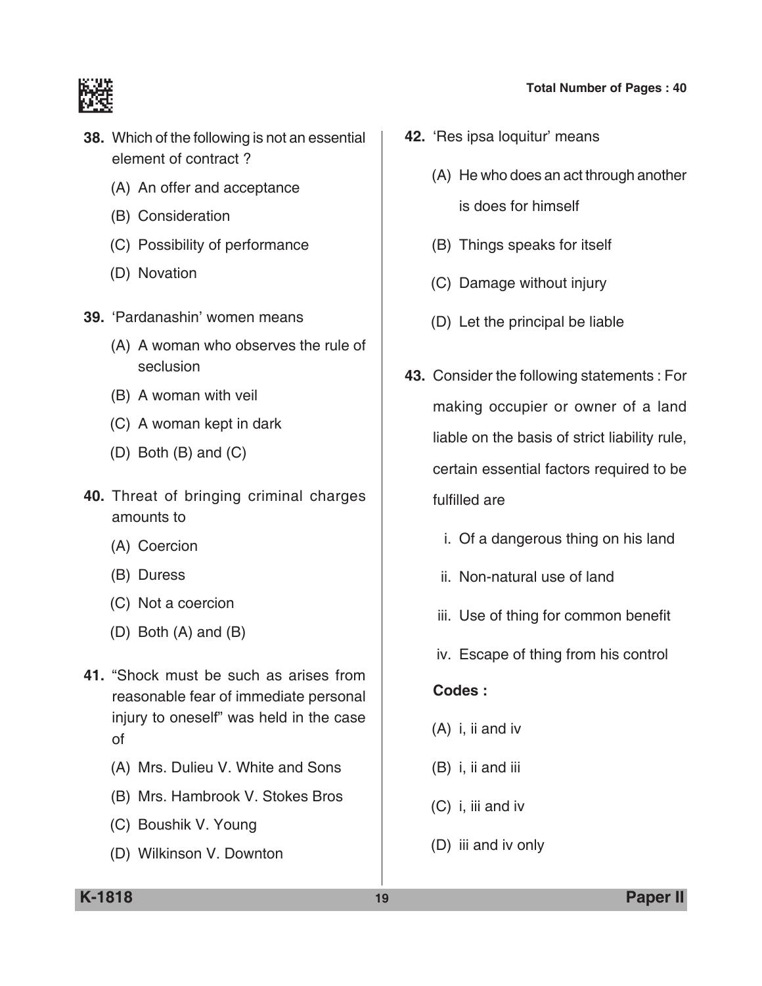



- **38.** Which of the following is not an essential element of contract ?
	- (A) An offer and acceptance
	- (B) Consideration
	- (C) Possibility of performance
	- (D) Novation
- **39.** 'Pardanashin' women means
	- (A) A woman who observes the rule of seclusion
	- (B) A woman with veil
	- (C) A woman kept in dark
	- (D) Both (B) and (C)
- **40.** Threat of bringing criminal charges amounts to
	- (A) Coercion
	- (B) Duress
	- (C) Not a coercion
	- (D) Both (A) and (B)
- **41.** "Shock must be such as arises from reasonable fear of immediate personal injury to oneself" was held in the case of
	- (A) Mrs. Dulieu V. White and Sons
	- (B) Mrs. Hambrook V. Stokes Bros
	- (C) Boushik V. Young
	- (D) Wilkinson V. Downton
- **42.** 'Res ipsa loquitur' means
	- (A) He who does an act through another is does for himself
		-
	- (B) Things speaks for itself
	- (C) Damage without injury
	- (D) Let the principal be liable
- **43.** Consider the following statements : For making occupier or owner of a land liable on the basis of strict liability rule, certain essential factors required to be fulfilled are
	- i. Of a dangerous thing on his land
	- ii. Non-natural use of land
	- iii. Use of thing for common benefit
	- iv. Escape of thing from his control

- (A) i, ii and iv
- (B) i, ii and iii
- (C) i, iii and iv
- (D) iii and iv only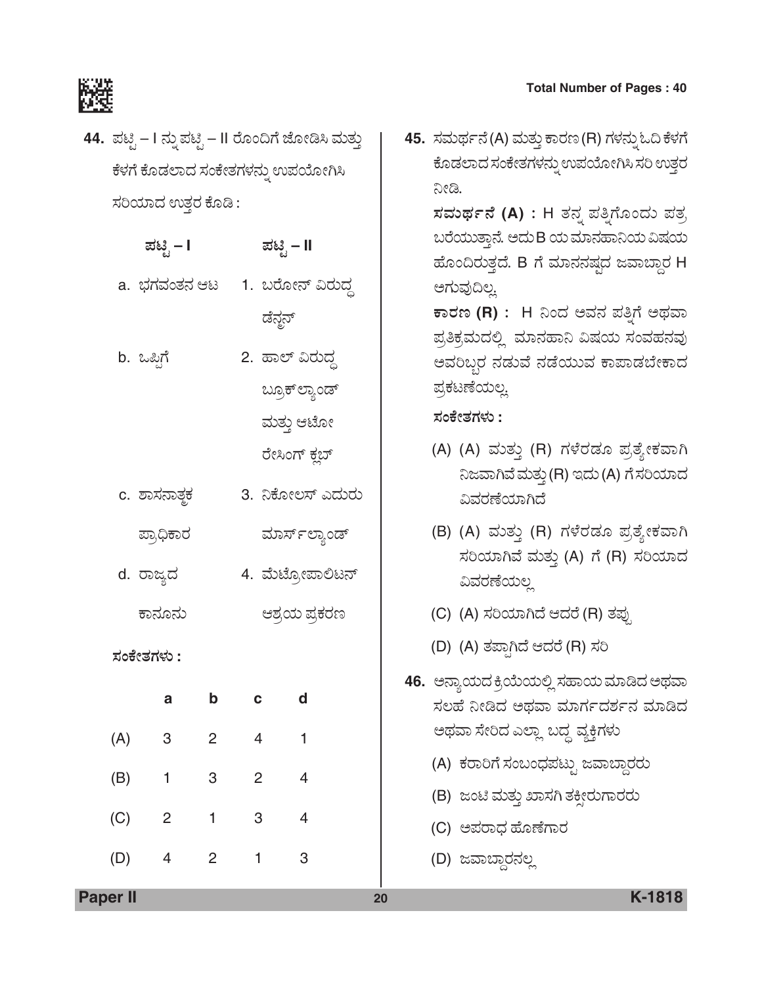

**44.** ಪಟ್ಟಿ – I ನ್ನು ಪಟ್ಟಿ – II ರೊಂದಿಗೆ ಜೋಡಿಸಿ ಮತ್ತು ಕೆಳಗೆ ಕೊಡಲಾದ ಸಂಕೇತಗಳನ್ನು ಉಪಯೋಗಿಸಿ ಸರಿಯಾದ ಉತ್ತರ ಕೊಡಿ:

|     | ಪಟ್ಟಿ – I                  |                |                  | ಪಟ್ಟಿ – II     |  |
|-----|----------------------------|----------------|------------------|----------------|--|
|     | a.  ಭಗವಂತನ ಆಟ              |                | 1. ಬರೋನ್ ವಿರುದ್ಧ |                |  |
|     |                            |                | ಡೆನ್ಜನ್          |                |  |
|     | b. ಒಪ್ಪಿಗೆ                 |                | 2. ಹಾಲ್ ವಿರುದ್ಧ  |                |  |
|     |                            |                |                  | ಬ್ರೂಕ್ ಲ್ಯಾಂಡ್ |  |
|     |                            |                |                  | ಮತ್ತು ಆಟೋ      |  |
|     |                            |                |                  | ರೇಸಿಂಗ್ ಕ್ಲಬ್  |  |
|     | c. ಶಾಸನಾತ್ <del>ಠ</del> ಕ  |                | 3. ನಿಕೋಲಸ್ ಎದುರು |                |  |
|     | ಪ್ರಾಧಿಕಾರ                  |                |                  | ಮಾರ್ಸ್ಲ್ಯಾಂಡ್  |  |
|     | d. ರಾಜ್ಯದ                  |                | 4. ಮೆಟ್ರೋಪಾಲಿಟನ್ |                |  |
|     | ಕಾನೂನು                     |                |                  | ಆಶ್ರಯ ಪ್ರಕರಣ   |  |
|     | ಸಂಕೇತಗಳು :                 |                |                  |                |  |
|     | a                          | b              | C                | d              |  |
| (A) | 3                          | $\overline{2}$ | $\overline{4}$   | $\mathbf{1}$   |  |
| (B) | $\overline{\phantom{0}}$ 1 | 3              | 2 <sup>1</sup>   | $\overline{4}$ |  |
|     | $(C)$ 2                    | $\mathbf{1}$   | 3                | $\overline{4}$ |  |
| (D) | $\overline{4}$             | $\overline{2}$ | 1                | 3              |  |
|     |                            |                |                  |                |  |

45. ಸಮರ್ಥನೆ(A) ಮತ್ತು ಕಾರಣ (R) ಗಳನ್ನು ಓದಿ ಕೆಳಗೆ ಕೊಡಲಾದ ಸಂಕೇತಗಳನ್ನು ಉಪಯೋಗಿಸಿ ಸರಿ ಉತ್ತರ ನೀಡಿ.

> $\vec{a}$ ಸಮರ್ಥನೆ (A) : H ತನ್ನ ಪತ್ತಿಗೊಂದು ಪತ್ರ ಬರೆಯುತ್ತಾನೆ. ಆದು B ಯ ಮಾನಹಾನಿಯ ವಿಷಯ ಹೊಂದಿರುತ್ತದೆ. B ಗೆ ಮಾನನಷ್ಯದ ಜವಾಬ್ದಾರ H ಅಗುವುದಿಲ್ಲ

> $\overline{P}$ ಕಾರಣ (R) : H ನಿಂದ ಅವನ ಪತ್ತಿಗೆ ಅಥವಾ ಪ್ರತಿಕ್ರಮದಲ್ಲಿ ಮಾನಹಾನಿ ವಿಷಯ ಸಂವಹನವು ಅವರಿಬ್ಬರ ನಡುವೆ ನಡೆಯುವ ಕಾಪಾಡಬೇಕಾದ ಪ್ರಕಟಣೆಯಲ್ಲ

*ÓÜíPæàñÜWÜÙÜá* **:**

- (A) (A) ಮತ್ತು (R) ಗಳೆರಡೂ ಪ್ರತ್ಯೇಕವಾಗಿ ನಿಜವಾಗಿವೆ ಮತ್ತು (R) ಇದು (A) ಗೆ ಸರಿಯಾದ ವಿವರಣೆಯಾಗಿದೆ
- (B) (A) ಮತ್ತು (R) ಗಳೆರಡೂ ಪ್ರತ್ಯೇಕವಾಗಿ ಸರಿಯಾಗಿವೆ ಮತ್ತು (A) ಗೆ (R) ಸರಿಯಾದ ವಿವರಣೆಯಲ
- (C) (A) ಸರಿಯಾಗಿದೆ ಆದರೆ (R) ತಪು
- (D) (A) ತಪ್ಪಾಗಿದೆ ಆದರೆ (R) ಸರಿ
- 46. ಆನ್ಯಾಯದ ಕ್ರಿಯೆಯಲ್ಲಿ ಸಹಾಯ ಮಾಡಿದ ಅಥವಾ ಸಲಹೆ ನೀಡಿದ ಅಥವಾ ಮಾರ್ಗದರ್ಶನ ಮಾಡಿದ ಅಥವಾ ಸೇರಿದ ಎಲ್ಲಾ ಬದ್ದ ವ್ಯಕ್ತಿಗಳು
	- (A) ಕರಾರಿಗೆ ಸಂಬಂಧಪಟ್ಟು ಜವಾಬ್ದಾರರು
	- (B) ಜಂಟಿ ಮತ್ತು ಖಾಸಗಿ ತಕ್ಷೀರುಗಾರರು
	- (C) ಅಪರಾಧ ಹೊಣೆಗಾರ
	- (D) ಜವಾಬ್ದಾರನಲ್ಲ

**Paper II 20 K-1818**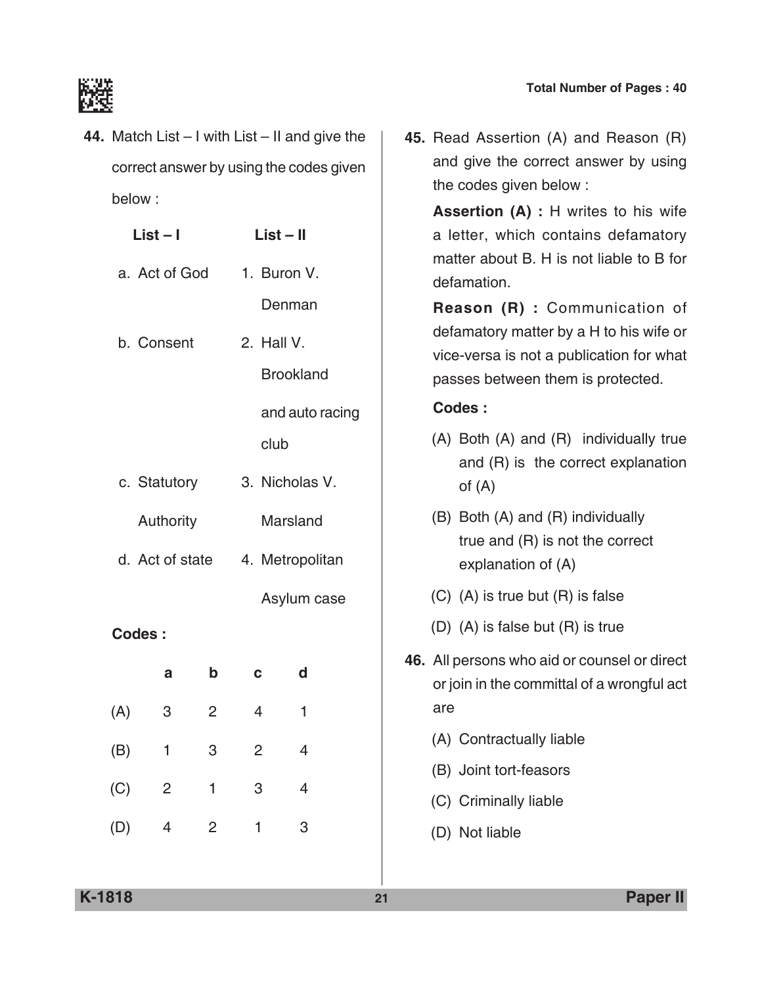

**44.** Match List – I with List – II and give the correct answer by using the codes given below :

|               | $List - I$      |                | $List - II$    |                  | a letter, which                           |  |  |                                |
|---------------|-----------------|----------------|----------------|------------------|-------------------------------------------|--|--|--------------------------------|
| a. Act of God |                 | 1. Buron V.    |                |                  |                                           |  |  | matter about B.<br>defamation. |
|               |                 |                |                | Denman           | Reason (R)                                |  |  |                                |
|               | b. Consent      |                | 2. Hall V.     |                  | defamatory mat<br>vice-versa is no        |  |  |                                |
|               |                 |                |                | <b>Brookland</b> | passes betwee                             |  |  |                                |
|               |                 |                |                | and auto racing  | <b>Codes:</b>                             |  |  |                                |
|               |                 |                | club           |                  | (A) Both (A) ar<br>and $(R)$ is           |  |  |                                |
|               | c. Statutory    |                |                | 3. Nicholas V.   | of $(A)$                                  |  |  |                                |
|               | Authority       |                |                | Marsland         | (B) Both (A) an<br>true and (R            |  |  |                                |
|               | d. Act of state |                |                | 4. Metropolitan  | explanation                               |  |  |                                |
|               |                 |                |                | Asylum case      | $(C)$ $(A)$ is true b                     |  |  |                                |
| <b>Codes:</b> |                 |                |                |                  | $(D)$ $(A)$ is false                      |  |  |                                |
|               | a               | $\mathbf b$    | $\mathbf C$    | d                | 46. All persons who<br>or join in the cor |  |  |                                |
| (A)           | 3               | $\overline{2}$ | $\overline{4}$ | 1                | are                                       |  |  |                                |
| (B)           | $\mathbf{1}$    | 3              | $\overline{2}$ | $\overline{4}$   | (A) Contractual                           |  |  |                                |
|               |                 |                |                |                  | (B) Joint tort-fe                         |  |  |                                |
| (C)           | $\overline{2}$  | 1              | 3              | $\overline{4}$   | (C) Criminally li                         |  |  |                                |
| (D)           | $\overline{4}$  | $\overline{2}$ | 1              | 3                | (D) Not liable                            |  |  |                                |
|               |                 |                |                |                  |                                           |  |  |                                |

**45.** Read Assertion (A) and Reason (R) and give the correct answer by using the codes given below :

**Assertion (A) :** H writes to his wife contains defamatory H is not liable to B for

 **Reason (R) :** Communication of tter by a H to his wife or ot a publication for what n them is protected.

- nd (R) individually true the correct explanation
- nd (R) individually  $t$ ) is not the correct of  $(A)$
- out  $(R)$  is false
- but  $(R)$  is true
- **aid or counsel or direct** mmittal of a wrongful act
	- lly liable
	- asors<sup></sup>
	- iable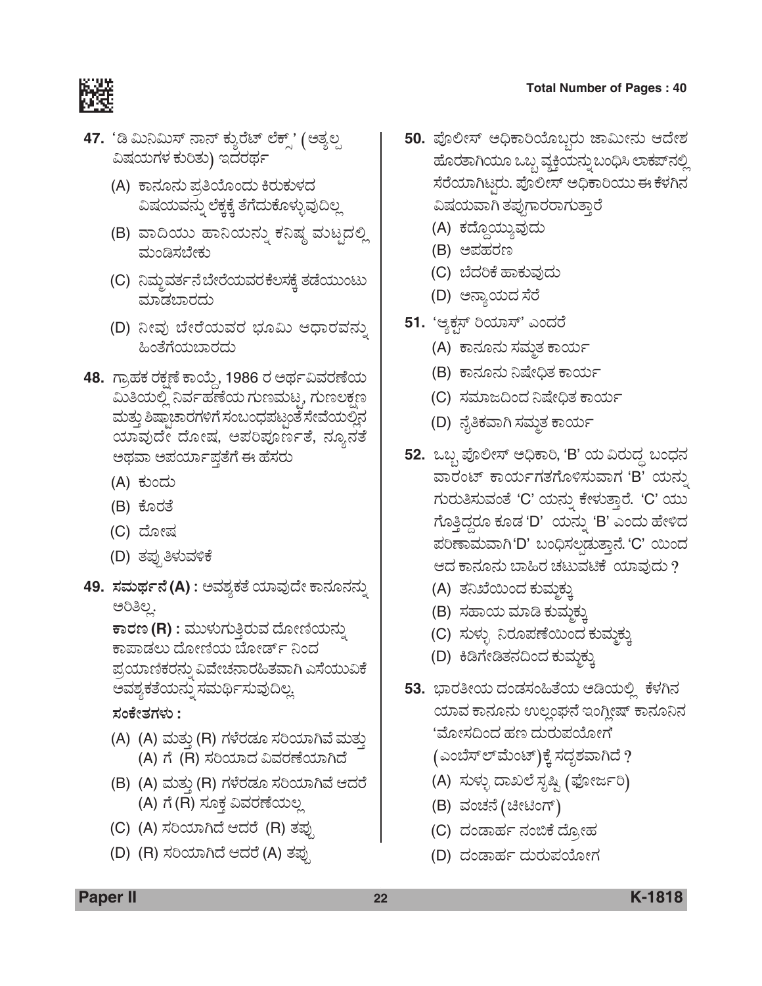

- 47. 'ಡಿ ಮಿನಿಮಿಸ್ ನಾನ್ ಕ್ಶುರೆಟ್ ಲೆಕ್ಸ್' (ಅತ್ಯಲ್ಪ ವಿಷಯಗಳ ಕುರಿತು) ಇದರರ್ಥ
	- (A) ಕಾನೂನು ಪ್ರತಿಯೊಂದು ಕಿರುಕುಳದ ವಿಷಯವನ್ನು ಲೆಕ್ಕಕ್ಕೆ ತೆಗೆದುಕೊಳ್ಳುವುದಿಲ್ಲ
	- (B) ವಾದಿಯು ಹಾನಿಯನ್ನು ಕನಿಷ್ಠ ಮಟ್ಟದಲ್ಲಿ ಮಂಡಿಸಬೇಕು
	- (C) ನಿಮ್ಜರ್ವನೆ ಬೇರೆಯವರ ಕೆಲಸಕ್ಕೆ ತಡೆಯುಂಟು ಮಾಡಬಾರದು
	- (D) ನೀವು ಬೇರೆಯವರ ಭೂಮಿ ಆಧಾರವನ್ನು ಹಿಂತೆಗೆಯಬಾರದು
- **48.** ಗ್ರಾಹಕ ರಕ್ಷಣೆ ಕಾಯ್ತೆ, 1986 ರ ಅರ್ಥವಿವರಣೆಯ ಮಿತಿಯಲ್ಲಿ ನಿರ್ವಹಣೆಯ ಗುಣಮಟ್ಟ, ಗುಣಲಕ್ಷಣ ಮತ್ತು ಶಿಷ್ಠಾಚಾರಗಳಿಗೆ ಸಂಬಂಧಪಟ್ಟಂತೆ ಸೇವೆಯಲ್ಲಿನ ಯಾವುದೇ ದೋಷ, ಅಪರಿಪೂರ್ಣತೆ, ನ್ಯೂನತೆ ಅಥವಾ ಅಪರ್ಯಾಪ್ತತೆಗೆ ಈ ಹೆಸರು
	- (A) ಕುಂದು
	- (B) ಕೊರತೆ
	- (C) ದೋಷ
	- (D) ತಪ್ಪುತಿಳುವಳಿಕೆ
- 49. ಸಮರ್ಥನೆ(A) : ಅವಶ್ಯಕತೆ ಯಾವುದೇ ಕಾನೂನನ್ನು ಅರಿತಿಲ್ಲ.

 $\overline{\texttt{F}}$ ಾರಣ (R) : ಮುಳುಗುತ್ತಿರುವ ದೋಣಿಯನ್ನು ಕಾಪಾಡಲು ದೋಣಿಯ ಬೋರ್ಡ್ ನಿಂದ ಪ್ರಯಾಣಿಕರನ್ನು ವಿವೇಚನಾರಹಿತವಾಗಿ ಎಸೆಯುವಿಕೆ ಅವಶ್ಯಕತೆಯನ್ನು ಸಮರ್ಥಿಸುವುದಿಲ್ಲ

*ÓÜíPæàñÜWÜÙÜá* **:**

- (A) (A) ಮತ್ತು (R) ಗಳೆರಡೂ ಸರಿಯಾಗಿವೆ ಮತ್ತು (A) ಗೆ (R) ಸರಿಯಾದ ವಿವರಣೆಯಾಗಿದೆ
- (B) (A) ಮತ್ತು (R) ಗಳೆರಡೂ ಸರಿಯಾಗಿವೆ ಆದರೆ (A) ಗೆ (R) ಸೂಕ್ತ ವಿವರಣೆಯಲ್ಲ
- (C) (A) ಸರಿಯಾಗಿದೆ ಆದರೆ (R) ತಪು
- (D) (R) ಸರಿಯಾಗಿದೆ ಆದರೆ (A) ತಪ್ಪು
- **50.** ಪೊಲೀಸ್ ಅಧಿಕಾರಿಯೊಬ್ಬರು ಜಾಮೀನು ಆದೇಶ ಹೊರತಾಗಿಯೂ ಒಬ್ಬ ವ್ಯಕ್ತಿಯನ್ನು ಬಂಧಿಸಿ ಲಾಕಪ್*ನ*ಲ್ಲಿ ಸೆರೆಯಾಗಿಟ್ಟರು. ಪೊಲೀಸ್ ಅಧಿಕಾರಿಯು ಈ ಕೆಳಗಿನ ವಿಷಯವಾಗಿ ತಪ್ಪುಗಾರರಾಗುತ್ತಾರೆ
	- (A) ಕದ್ದೊಯ್ಯುವುದು
	- (B) ಅಪಹರಣ
	- (C) ಬೆದರಿಕೆ ಹಾಕುವುದು
	- (D) ಅನ್ಯಾಯದ ಸೆರೆ
- **51.** 'ಆ್ಯಕ್ಷಸ್ ರಿಯಾಸ್' ಎಂದರೆ
	- (A) ಕಾನೂನು ಸಮ್ದತ ಕಾರ್ಯ
	- (B) ಕಾನೂನು ನಿಷೇಧಿತ ಕಾರ್ಯ
	- (C) ಸಮಾಜದಿಂದ ನಿಷೇಧಿತ ಕಾರ್ಯ
	- (D) ನೈತಿಕವಾಗಿ ಸಮ್ಮತ ಕಾರ್ಯ
- 52. ಒಬ್ಬ ಪೊಲೀಸ್ ಅಧಿಕಾರಿ, 'B' ಯ ವಿರುದ್ಧ ಬಂಧನ ವಾರಂಟ್ ಕಾರ್ಯಗತಗೊಳಿಸುವಾಗ 'B' ಯನ್ನು ಗುರುತಿಸುವಂತೆ 'C' ಯನ್ನು ಕೇಳುತ್ತಾರೆ. 'C' ಯು ಗೊತ್ತಿದ್ದರೂ ಕೂಡ 'D'ಯನ್ನು 'B' ಎಂದು ಹೇಳಿದ ಪರಿಣಾಮವಾಗಿ'D' ಬಂಧಿಸಲಡುತ್ತಾನೆ. 'C' ಯಿಂದ ಆದ ಕಾನೂನು ಬಾಹಿರ ಚಟುವಟಿಕೆ ಯಾವುದು ?
	- (A) ತನಿಖೆಯಿಂದ ಕುಮಕ್ಕು
	- (B) ಸಹಾಯ ಮಾಡಿ ಕುಮ್ತಕ್ಕು
	- (C) ಸುಳ್ಳು ನಿರೂಪಣೆಯಿಂದ ಕುಮ್<u>ದ</u>ಕ್ಕು
	- (D) ಕಿಡಿಗೇಡಿತನದಿಂದ ಕುಮ್ಮಕ್ಕು
- 53. ಭಾರತೀಯ ದಂಡಸಂಹಿತೆಯ ಅಡಿಯಲ್ಲಿ ಕೆಳಗಿನ ಯಾವ ಕಾನೂನು ಉಲ್ಲಂಘನೆ ಇಂಗ್ಲೀಷ್ ಕಾನೂನಿನ 'ಮೋಸದಿಂದ ಹಣ ದುರುಪಯೋಗ'

(ಎಂಬೆಸ್ ಲ್ ಮೆಂಟ್)ಕ್ಕೆ ಸದೃಶವಾಗಿದೆ ?

- (A) ಸುಳ್ಳು ದಾಖಲೆ ಸೃಷ್ಟಿ (ಫೋರ್ಜರಿ)
- (B) ವಂಚನೆ (ಚೀಟಿಂಗ್)
- (C) ದಂಡಾರ್ಹ ನಂಬಿಕೆ ದ್ರೋಹ
- (D) ದಂಡಾರ್ಹ ದುರುಪಯೋಗ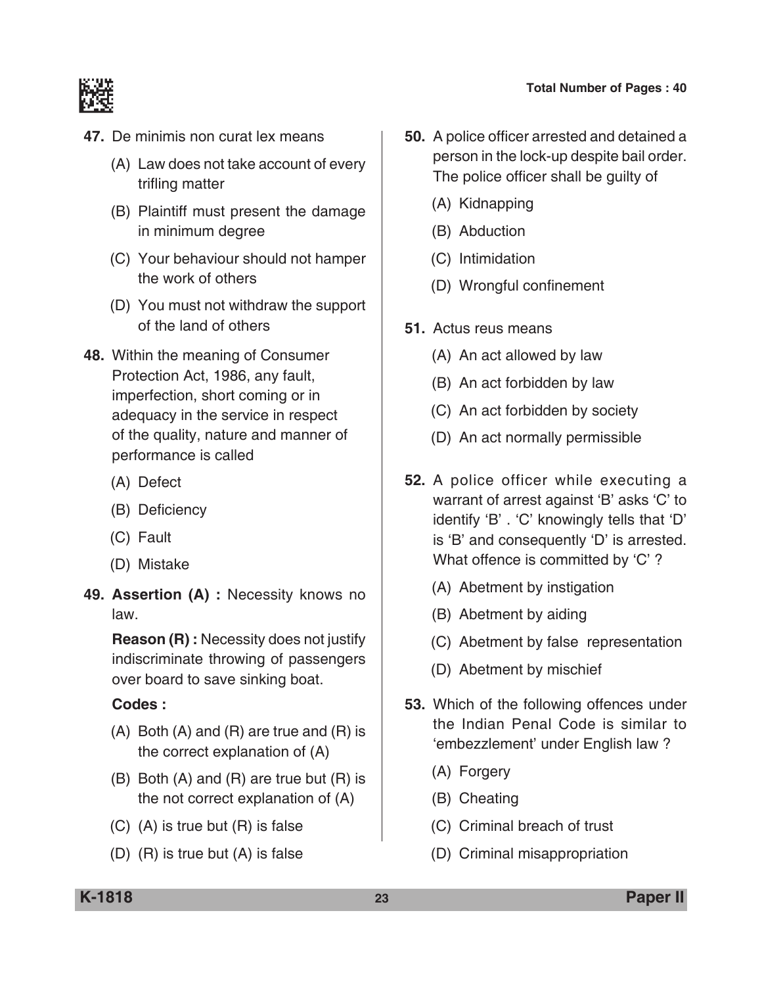

- **47.** De minimis non curat lex means
	- (A) Law does not take account of every trifling matter
	- (B) Plaintiff must present the damage in minimum degree
	- (C) Your behaviour should not hamper the work of others
	- (D) You must not withdraw the support of the land of others
- **48.** Within the meaning of consumer protection Act, 1986, any fault, imperfection, short coming or in adequacy in the service in respect of the quality, nature and manner of performance is called
	- (A) Defect
	- (B) Deficiency
	- (C) Fault
	- (D) Mistake
- **49. Assertion (A) :** Necessity knows no law.

 **Reason (R) :** Necessity does not justify indiscriminate throwing of passengers over board to save sinking boat.

- (A) Both (A) and (R) are true and (R) is the correct explanation of (A)
- (B) Both (A) and (R) are true but (R) is the not correct explanation of (A)
- (C) (A) is true but (R) is false
- (D) (R) is true but (A) is false
- **50.** A police officer arrested and detained a person in the lock-up despite bail order. The police officer shall be guilty of
	- (A) Kidnapping
	- (B) Abduction
	- (C) Intimidation
	- (D) Wrongful confinement
- **51.** Actus reus means
	- (A) An act allowed by law
	- (B) An act forbidden by law
	- (C) An act forbidden by society
	- (D) An act normally permissible
- **52.** A police officer while executing a warrant of arrest against 'B' asks 'C' to identify 'B' . 'C' knowingly tells that 'D' is 'B' and consequently 'D' is arrested. What offence is committed by 'C' ?
	- (A) Abetment by instigation
	- (B) Abetment by aiding
	- (C) Abetment by false representation
	- (D) Abetment by mischief
- **53.** Which of the following offences under the Indian Penal Code is similar to 'embezzlement' under English law ?
	- (A) Forgery
	- (B) Cheating
	- (C) Criminal breach of trust
	- (D) Criminal misappropriation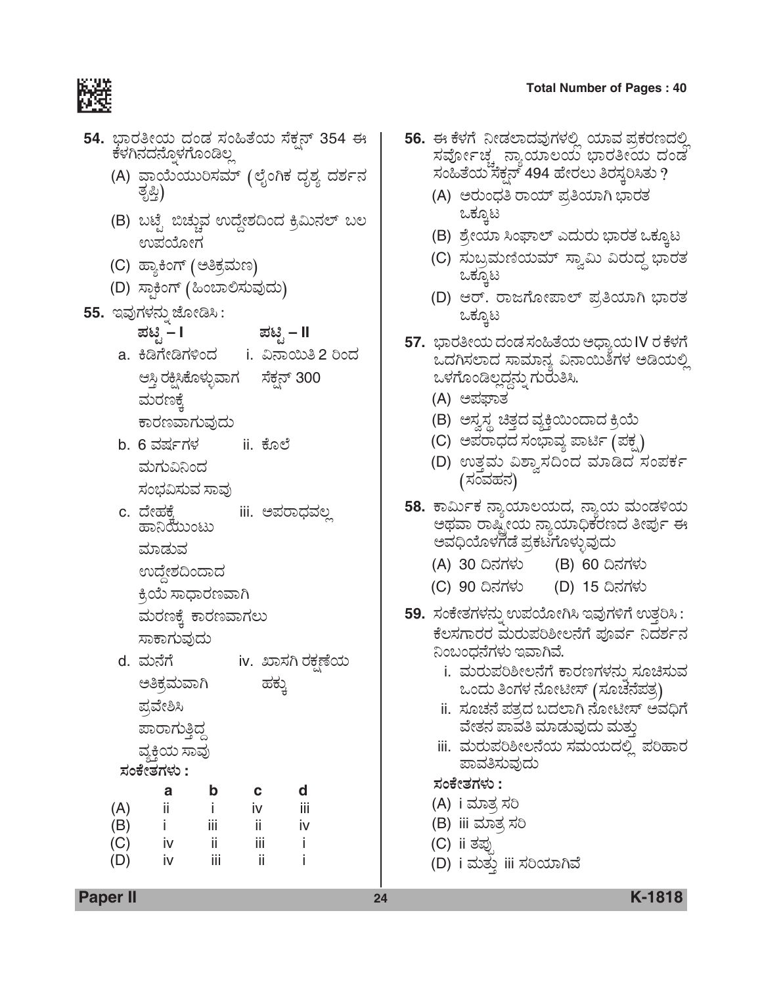

|            | 54. ಭಾರತೀಯ ದಂಡ ಸಂಹಿತೆಯ ಸೆಕ್ಷನ್ 354 ಈ<br>ಕೆಳಗಿನದನ್ತೊಳಗೊಂಡಿಲ್ಲ |
|------------|--------------------------------------------------------------|
|            | (A) ವಾಯೆಯುರಿಸಮ್ (ಲೈಂಗಿಕ ದೃಶ್ಯ ದರ್ಶನ<br>ತೃಪ್ತಿ)               |
|            | (B) ಬಟ್ಟೆ ಬಿಚ್ಚುವ ಉದ್ದೇಶದಿಂದ ಕ್ರಿಮಿನಲ್ ಬಲ<br>ಉಪಯೋಗ           |
|            | (C) ಹ್ಯಾಕಿಂಗ್ (ಅತಿಕ್ರಮಣ)                                     |
|            | (D) ಸ್ಥಾಕಿಂಗ್ (ಹಿಂಬಾಲಿಸುವುದು)                                |
|            | 55.  ಇವುಗಳನ್ನು ಜೋಡಿಸಿ :                                      |
|            | ಪಟ್ಟಿ –<br>ಪಟ್ಟಿ – II                                        |
|            | a. ಕಿಡಿಗೇಡಿಗಳಿಂದ     i. ವಿನಾಯಿತಿ 2 ರಿಂದ                      |
|            | ಆಸ್ತಿ ರಕ್ಷಿಸಿಕೊಳ್ಳುವಾಗ     ಸೆಕ್ಷನ್ 300                       |
|            | ಮರಣಕ್ಕೆ                                                      |
|            | ಕಾರಣವಾಗುವುದು                                                 |
|            | b. 6 ವರ್ಷಗಳ<br>ii. ಕೊಲೆ                                      |
|            | ಮಗುವಿನಿಂದ                                                    |
|            | ಸಂಭವಿಸುವ ಸಾವು                                                |
|            | c. ದೇಹಕೆ<br>iii. ಅಪರಾಧವಲ್ಲ<br>ಹಾನಿಯುಂಟು                      |
|            | ಮಾಡುವ                                                        |
|            | ಉದ್ದೇಶದಿಂದಾದ                                                 |
|            | ಕ್ರಿಯೆ ಸಾಧಾರಣವಾಗಿ                                            |
|            | ಮರಣಕ್ಕೆ ಕಾರಣವಾಗಲು                                            |
|            | ಸಾಕಾಗುವುದು                                                   |
|            | d. ಮನೆಗೆ<br>iv.  ಖಾಸಗಿ ರಕಣೆಯ                                 |
|            | ಅತಿಕ್ರಮವಾಗಿ<br>ಹಕ್ಕು                                         |
|            | ಪ್ರವೇಶಿಸಿ                                                    |
|            | ಪಾರಾಗುತ್ತಿದ್ದ                                                |
|            | ವ್ಯಕ್ತಿಯ ಸಾವು                                                |
|            | ಸಂಕೇತಗಳು :                                                   |
|            | d<br>b<br>a<br>с                                             |
| (A)<br>(B) | ii.<br>iii<br>i.<br>iv<br>ij<br>i.<br>iij<br>iv              |
| (C)        | iii<br>iv<br>ii<br>i                                         |

(D) iv iii ii i

- 5**6.** ಈ ಕೆಳಗೆ ನೀಡಲಾದವುಗಳಲ್ಲಿ ಯಾವ ಪ್ರಕರಣದಲ್ಲಿ<br>¨ಸರ್ವೋಚ್ಚ ನ್ಯಾಯಾಲಯ ಭಾರತೀಯ ದಂಡ ಸಂಹಿತೆಯ ಸೆಕ್ಷನ್ 494 ಹೇರಲು ತಿರಸ್ತರಿಸಿತು ?
	- (A) ಅರುಂಧತಿ ರಾಯ್ ಪ್ರತಿಯಾಗಿ ಭಾರತ ಒಕ್ಕೂಟ
	- (B) ಶ್ರೇಯಾ ಸಿಂಘಾಲ್ ಎದುರು ಭಾರತ ಒಕ್ಕೂಟ
	- (C) ಸುಬ್ರಮಣಿಯಮ್ ಸ್ವಾಮಿ ವಿರುದ್ಧ ಭಾರತ ಒಕ್ಕೂಟ
	- (D) ಆರ್. ರಾಜಗೋಪಾಲ್ ಪ್ರತಿಯಾಗಿ ಭಾರತ ಒಕ್ಕೂಟ
- **57.** ಭಾರತೀಯ ದಂಡ ಸಂಹಿತೆಯ ಅಧ್ಯಾಯ IV ರ ಕೆಳಗೆ ಒದಗಿಸಲಾದ ಸಾಮಾನ್ಯ ವಿನಾಯಿತಿಗಳ ಅಡಿಯಲ್ಲಿ ಒಳಗೊಂಡಿಲ್ಲದ್ದನ್ನು ಗುರುತಿಸಿ.
	- (A) ಅಪಘಾತ
	- (B) ಅಸ್ವಸ್ಥ ಚಿತ್ತದ ವ್ಯಕ್ತಿಯಿಂದಾದ ಕ್ರಿಯೆ
	- (C) ಅಪರಾಧದ ಸಂಭಾವ್ಯ ಪಾರ್ಟಿ (ಪಕ್ಷ)
	- (D) ಉತ್ತಮ ವಿಶ್ವಾಸದಿಂದ ಮಾಡಿದ ಸಂಪರ್ಕ (ಸಂವಹನ)
- 58. ಕಾರ್ಮಿಕ ನ್ಯಾಯಾಲಯದ, ನ್ಯಾಯ ಮಂಡಳಿಯ ಅಥವಾ ರಾಷ್ಟ್ರೀಯ ನ್ಯಾಯಾಧಿಕರಣದ ತೀರ್ಪು ಈ ಅವಧಿಯೊಳಗಡೆ ಪ್ರಕಟಗೊಳ್ಳುವುದು
	- (A) 30 ದಿನಗಳು (B) 60 ದಿನಗಳು
	- (C) 90 ದಿನಗಳು (D) 15 ದಿನಗಳು
- **59.** ಸಂಕೇತಗಳನ್ನು ಉಪಯೋಗಿಸಿ ಇವುಗಳಿಗೆ ಉತ್ತರಿಸಿ : ಕೆಲಸಗಾರರ ಮರುಪರಿಶೀಲನೆಗೆ ಪೂರ್ವ ನಿದರ್ಶನ ನಿಂಬಂಧನೆಗಳು ಇವಾಗಿವೆ.
	- i. ಮರುಪರಿಶೀಲನೆಗೆ ಕಾರಣಗಳನ್ನು ಸೂಚಿಸುವ ಒಂದು ತಿಂಗಳ ನೋಟೀಸ್ (ಸೂಚನೆಪತ್ರ)
	- ii. ಸೂಚನೆ ಪತ್ರದ ಬದಲಾಗಿ ನೋಟೀಸ್ ಅವಧಿಗೆ ವೇತನ ಪಾವತಿ ಮಾಡುವುದು ಮತ್ತು
	- iii. ಮರುಪರಿಶೀಲನೆಯ ಸಮಯದಲ್ಲಿ ಪರಿಹಾರ ಪಾವತಿಸುವುದು
	- *ÓÜíPæàñÜWÜÙÜá* **:**
	- (A) i ಮಾತ್ರ ಸರಿ
	- (B) iii ಮಾತ್ರ ಸರಿ
	- (C) ii ತಪು
	- (D) i ಮತ್ತು iii ಸರಿಯಾಗಿವೆ

**Paper II 24 K-1818**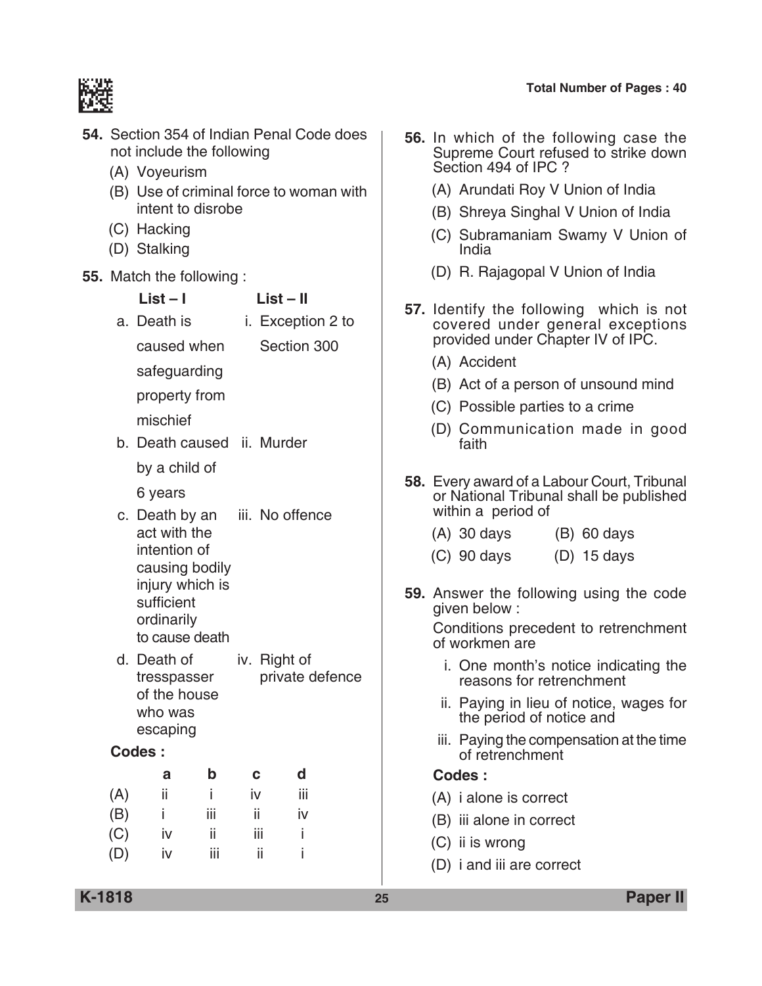

| <b>54.</b> Section 354 of Indian Penal Code does<br>not include the following<br>(A) Voyeurism | 56. In which of the following case the<br>Supreme Court refused to strike down<br>Section 494 of IPC ?              |
|------------------------------------------------------------------------------------------------|---------------------------------------------------------------------------------------------------------------------|
| (B) Use of criminal force to woman with                                                        | (A) Arundati Roy V Union of India                                                                                   |
| intent to disrobe                                                                              | (B) Shreya Singhal V Union of India                                                                                 |
| (C) Hacking<br>(D) Stalking                                                                    | (C) Subramaniam Swamy V Union of<br>India                                                                           |
| 55. Match the following:                                                                       | (D) R. Rajagopal V Union of India                                                                                   |
| $List - I$<br>$List - II$<br>a. Death is<br>i. Exception 2 to<br>Section 300<br>caused when    | 57. Identify the following which is not<br>covered under general exceptions<br>provided under Chapter IV of IPC.    |
| safeguarding                                                                                   | (A) Accident                                                                                                        |
|                                                                                                | (B) Act of a person of unsound mind                                                                                 |
| property from                                                                                  | (C) Possible parties to a crime                                                                                     |
| mischief<br>b. Death caused ii. Murder                                                         | (D) Communication made in good<br>faith                                                                             |
| by a child of                                                                                  |                                                                                                                     |
| 6 years<br>iii. No offence<br>c. Death by an                                                   | <b>58.</b> Every award of a Labour Court, Tribunal<br>or National Tribunal shall be published<br>within a period of |
| act with the                                                                                   | $(A)$ 30 days<br>$(B)$ 60 days                                                                                      |
| intention of<br>causing bodily                                                                 | $(C)$ 90 days<br>$(D)$ 15 days                                                                                      |
| injury which is<br>sufficient                                                                  | 59. Answer the following using the code<br>given below:                                                             |
| ordinarily<br>to cause death                                                                   | Conditions precedent to retrenchment<br>of workmen are                                                              |
| d. Death of<br>iv. Right of<br>private defence<br>tresspasser                                  | i. One month's notice indicating the<br>reasons for retrenchment                                                    |
| of the house<br>who was                                                                        | ii. Paying in lieu of notice, wages for<br>the period of notice and                                                 |
| escaping<br><b>Codes:</b>                                                                      | iii. Paying the compensation at the time<br>of retrenchment                                                         |
| $\mathbf b$<br>d<br>a<br>C                                                                     | Codes:                                                                                                              |
| ii<br>(A)<br>Ť<br>iii<br>iv                                                                    | (A) i alone is correct                                                                                              |
| iii<br>ii<br>(B)<br>iv<br>Ĺ                                                                    | (B) iii alone in correct                                                                                            |
| (C)<br>ii.<br>iij<br>iv                                                                        | (C) ii is wrong                                                                                                     |
| ii<br>(D)<br>iii<br>iv                                                                         | (D) i and iii are correct                                                                                           |
|                                                                                                |                                                                                                                     |

**K-1818 25 Paper II**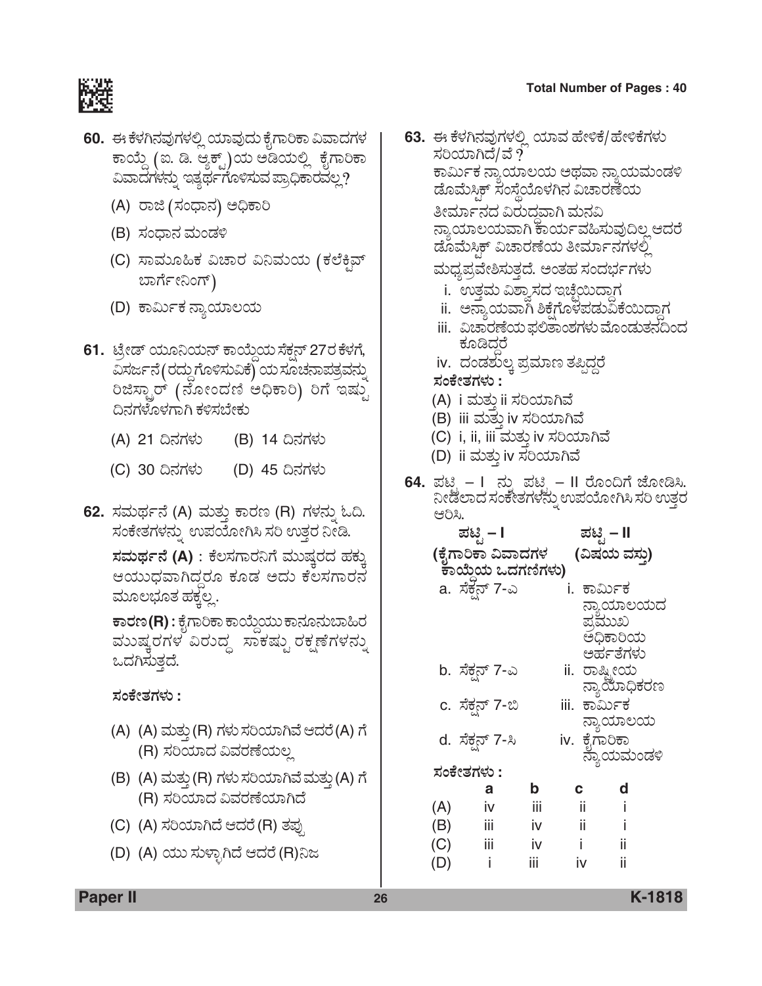

- **60.** ಈ ಕೆಳಗಿನವುಗಳಲ್ಲಿ ಯಾವುದು ಕೈಗಾರಿಕಾ ವಿವಾದಗಳ ಕಾಯ್ದೆ (ಐ. ಡಿ. ಆ್ಯಕ್ಟ್)ಯ ಅಡಿಯಲ್ಲಿ ಕೈಗಾರಿಕಾ ವಿವಾದಗಳನ್ನು ಇತ್ಯರ್ಥಗೊಳಿಸುವ ಪ್ರಾಧಿಕಾರವಲ್ಲ?
	- (A) ರಾಜಿ (ಸಂಧಾನ) ಅಧಿಕಾರಿ
	- (B) ಸಂಧಾನ ಮಂಡಳಿ
	- (C) ಸಾಮೂಹಿಕ ವಿಚಾರ ವಿನಿಮಯ (ಕಲೆಕಿವ್ ಬಾರ್ಗೇನಿಂಗ್)
	- (D) ಕಾರ್ಮಿಕ ನ್ಯಾಯಾಲಯ
- 61. ಟ್ರೇಡ್ ಯೂನಿಯನ್ ಕಾಯ್ದೆಯ ಸೆಕ್ಷನ್ 27ರ ಕೆಳಗೆ, ವಿಸರ್ಜನೆ(ರದ್ದುಗೊಳಿಸುವಿಕೆ) ಯ ಸೂಚನಾಪತ್ರವನ್ನು ರಿಜಿಸ್ಟಾರ್ (ನೋಂದಣಿ ಅಧಿಕಾರಿ) ರಿಗೆ ಇಷ್ಟು ದಿನಗಳೊಳಗಾಗಿ ಕಳಿಸಬೇಕು
	- (A) 21 ದಿನಗಳು (B) 14 ದಿನಗಳು
	- (C) 30 ದಿನಗಳು (D) 45 ದಿನಗಳು
- **62.** ಸಮರ್ಥನೆ (A) ಮತ್ತು ಕಾರಣ (R) ಗಳನ್ನು ಓದಿ. ಸಂಕೇತಗಳನ್ನು ಉಪಯೋಗಿಸಿ ಸರಿ ಉತ್ತರ ನೀಡಿ.

 $\vec{z}$ ಸಮರ್ಥನೆ (A) : ಕೆಲಸಗಾರನಿಗೆ ಮುಷ್ತರದ ಹಕ್ಕು ಆಯುಧವಾಗಿದ್ದರೂ ಕೂಡ ಅದು ಕೆಲಸಗಾರನೆ ಮೂಲಭೂತ ಹಕ್ಕಲ್ಲ.

 $\overline{\mathbf{r}}$ ಾರಣ (R) : ಕೈಗಾರಿಕಾ ಕಾಯ್ದೆಯು ಕಾನೂನುಬಾಹಿರ ಮುಷ್ಕರಗಳ ವಿರುದ್ಧ ಸಾಕಷ್ಟು ರಕ್ಷಣೆಗಳನ್ನು ಒದಗಿಸುತ್ತದೆ.

*ÓÜíPæàñÜWÜÙÜá* **:**

- (A) (A) ಮತ್ತು(R) ಗಳು ಸರಿಯಾಗಿವೆ ಆದರೆ(A) ಗೆ (R) ಸರಿಯಾದ ವಿವರಣೆಯಲ್ಲ
- (B) (A) ಮತ್ತು (R) ಗಳು ಸರಿಯಾಗಿವೆ ಮತ್ತು (A) ಗೆ (R) ಸರಿಯಾದ ವಿವರಣೆಯಾಗಿದೆ
- (C) (A) ಸರಿಯಾಗಿದೆ ಆದರೆ (R) ತಪ್ಪು
- (D) (A) ಯು ಸುಳ್ಳಾಗಿದೆ ಆದರೆ (R)ನಿಜ
- **63.** ಈ ಕೆಳಗಿನವುಗಳಲ್ಲಿ ಯಾವ ಹೇಳಿಕೆ/ಹೇಳಿಕೆಗಳು ಸರಿಯಾಗಿದೆ/ವೆ ? ಕಾರ್ಮಿಕ ನ್ಯಾಯಾಲಯ ಅಥವಾ ನ್ಯಾಯಮಂಡಳಿ ಹೊಮೆಸ್ಟಿಕ್ ಸಂಸ್ಥೆಯೊಳಗಿನ ವಿಚಾರಣೆಯ ತೀರ್ಮಾನದ ವಿರುದವಾಗಿ ಮನವಿ ನ್ಯಾಯಾಲಯವಾಗಿ ಕಾರ್ಯವಹಿಸುವುದಿಲ್ಲ ಆದರೆ ಡೊಮೆಸ್ತಿಕ್ ವಿಚಾರಣೆಯ ತೀರ್ಮಾನಗಳಲ್ಲಿ ಮಧ್ಯಪ್ರವೇಶಿಸುತ್ತದೆ. ಅಂತಹ ಸಂದರ್ಭಗಳು i. ಉತ್ತಮ ವಿಶ್ವಾಸದ ಇಚ್ಛೆಯಿದ್ದಾಗ ii. ಅನ್ಯಾಯವಾಗಿ ಶಿಕ್ಷೆಗೊಳಪಡುವಿಕೆಯಿದ್ದಾಗ iii. ವಿಚಾರಣೆಯ ಫಲಿತಾಂಶಗಳು ಮೊಂಡುತನದಿಂದ ಕೂಡಿದರೆ iv. ದಂಡಶುಲ್ಕ ಪ್ರಮಾಣ ತಪ್ಪಿದ್ದರೆ *ÓÜíPæàñÜWÜÙÜá* **:** (A) i ಮತ್ತು ii ಸರಿಯಾಗಿವೆ (B) iii ಮತ್ತು iv ಸರಿಯಾಗಿವೆ (C) i, ii, iii ಮತ್ತು iv ಸರಿಯಾಗಿವೆ (D) ii ಮತ್ತು iv ಸರಿಯಾಗಿವೆ **64.** ಪಟಿೃ – I ನ್ನು ಪಟಿೃ – II ರೊಂದಿಗೆ ಜೋಡಿಸಿ. ¯àvÜÇÝ¨Ü ÓÜíPæàñÜWÜÙÜ®Üá° E±ÜÁãàXÔ ÓÜÄ EñܤÃÜ ಆರಿಸಿ. *±Üqr* **– I** *±Üqr* **– II**  $($ ಕೈಗಾರಿಕಾ ವಿವಾದಗಳ (ವಿಷಯ ವಸು)  $\overline{a}$ ಾಯೆಯ ಒದಗಣಿಗಳು) a. ಸೆಕ್ಷನ್ 7-ಎ i. ಕಾರ್ಮಿಕ ನ್ಯಾಯಾಲಯದ ಪ್ರಮಖ ಅಧಿಕಾರಿಯ ಅರ್ಹತೆಗಳು<br>ii. ರಾಷ್ಟೀಯ b. ಸೆಕ್ಷನ್ 7-ಎ ನ್ಯಾಯಾಧಿಕರಣ c. ಸೆಕ್ಷನ್ 7-ಬಿ iii. ಕಾರ್ಮಿಕ ನ್ಯಾಯಾಲಯ<br>iv. ಕೈಗಾರಿಕಾ d. ಸೆಕ್ಷನ್ 7-ಸಿ ್ಲೆ <sup>ರಾ</sup> ನ್ಯಾಯಮಂಡಳಿ<br>ಸಂಕೇತಗಳು :<br>**abcd a b c d** (A) iv iii ii i (B) iii iv ii i (C) iii iv i ii

(D) i iii iv ii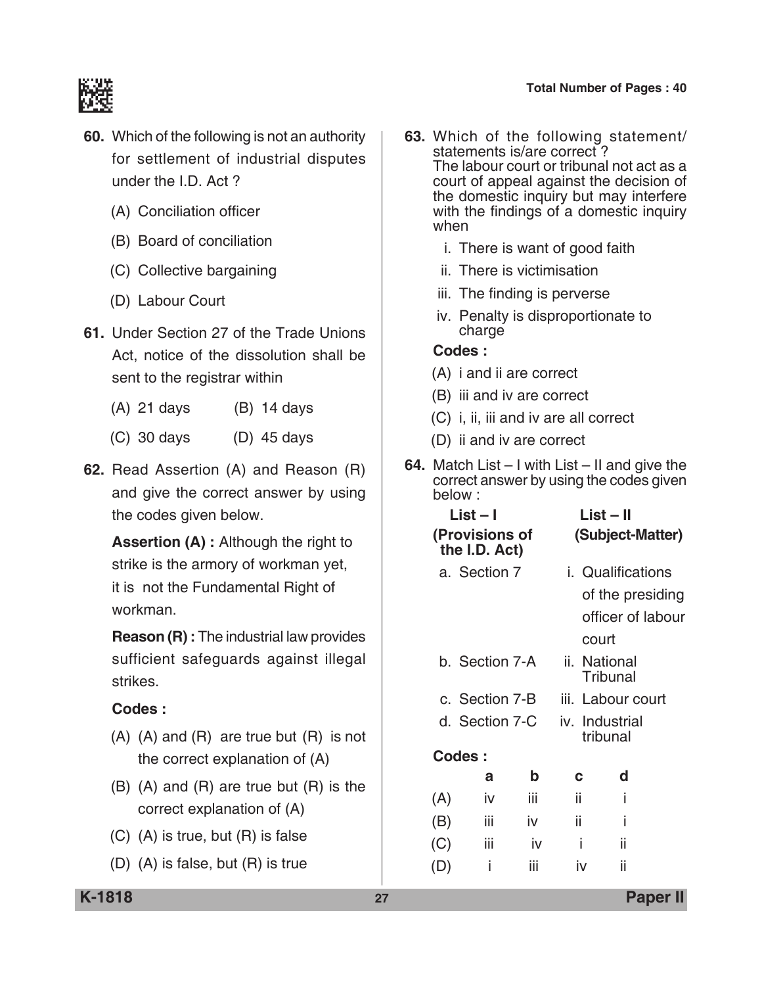

- **60.** Which of the following is not an authority for settlement of industrial disputes under the I.D. Act ?
	- (A) Conciliation officer
	- (B) Board of conciliation
	- (C) Collective bargaining
	- (D) Labour Court
- **61.** Under Section 27 of the Trade Unions Act, notice of the dissolution shall be sent to the registrar within
	- (A) 21 days (B) 14 days
	- (C) 30 days (D) 45 days
- **62.** Read Assertion (A) and Reason (R) and give the correct answer by using the codes given below.

 **Assertion (A) :** Although the right to strike is the armory of workman yet, it is not the Fundamental Right of workman.

**Reason (R) :** The industrial law provides sufficient safeguards against illegal strikes.

### **Codes :**

- (A) (A) and (R) are true but (R) is not the correct explanation of (A)
- (B) (A) and (R) are true but (R) is the correct explanation of (A)
- (C) (A) is true, but (R) is false
- (D) (A) is false, but (R) is true
- **63.** Which of the following statement/ statements is/are correct ? The labour court or tribunal not act as a court of appeal against the decision of the domestic inquiry but may interfere with the findings of a domestic inquiry when
	- i. There is want of good faith
	- ii. There is victimisation
	- iii. The finding is perverse
	- iv. Penalty is disproportionate to charge

- (A) i and ii are correct
- (B) iii and iv are correct
- (C) i, ii, iii and iv are all correct
- (D) ii and iv are correct
- **64.** Match List I with List II and give the correct answer by using the codes given below :

| List – I<br>(Provisions of<br>the I.D. Act) |                          |    |                                                                                                             |  |  |
|---------------------------------------------|--------------------------|----|-------------------------------------------------------------------------------------------------------------|--|--|
| a. Section 7                                | <i>i.</i> Qualifications |    |                                                                                                             |  |  |
|                                             |                          |    |                                                                                                             |  |  |
|                                             |                          |    |                                                                                                             |  |  |
|                                             |                          |    |                                                                                                             |  |  |
| b. Section 7-A                              |                          |    |                                                                                                             |  |  |
| c. Section 7-B                              | iii. Labour court        |    |                                                                                                             |  |  |
| d. Section 7-C                              |                          |    | iv. Industrial<br>tribunal                                                                                  |  |  |
|                                             |                          |    |                                                                                                             |  |  |
| b                                           | C                        | d  |                                                                                                             |  |  |
| iii                                         | ii                       | j  |                                                                                                             |  |  |
| iv                                          | ii                       | i  |                                                                                                             |  |  |
| iv                                          | i                        | ii |                                                                                                             |  |  |
| iii                                         | iv                       | ii |                                                                                                             |  |  |
|                                             |                          |    | List – II<br>(Subject-Matter)<br>of the presiding<br>officer of labour<br>court<br>ii. National<br>Tribunal |  |  |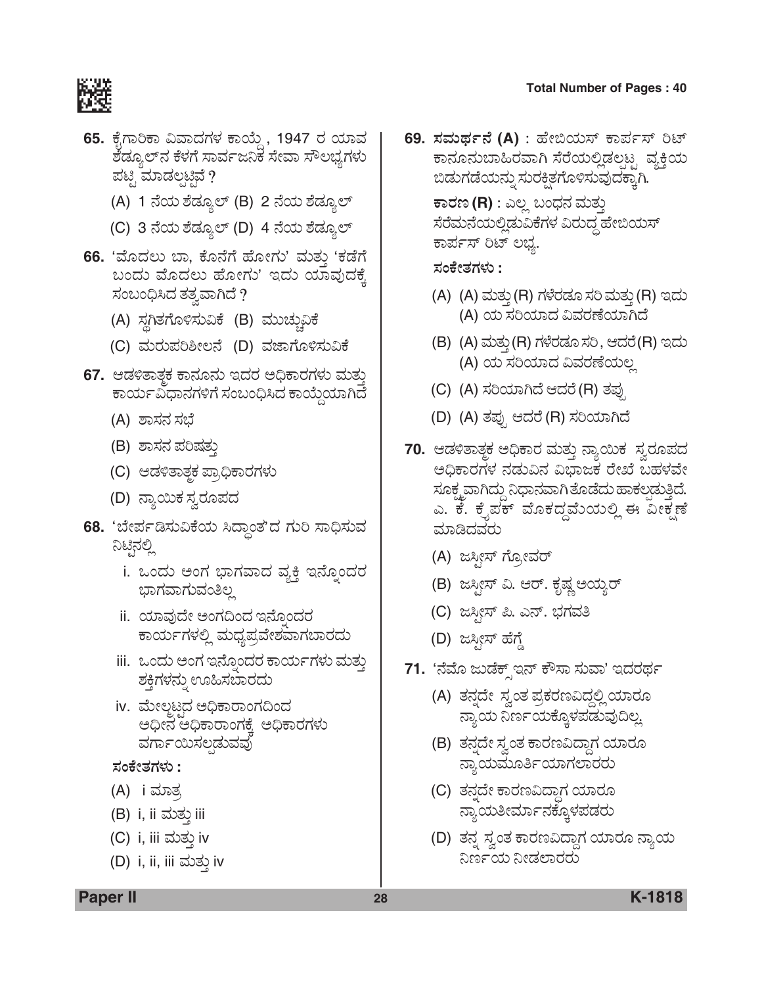

- **65.** ಕೈಗಾರಿಕಾ ವಿವಾದಗಳ ಕಾಯ್ದೆ , 1947 ರ ಯಾವ ಶೆಡ್ಯೂಲ್ನ ಕೆಳಗೆ ಸಾರ್ವಜನಿಕ ಸೇವಾ ಸೌಲಭ್ಯಗಳು<br>ಪಟ್ಟಿ ಮಾಡಲ್ಪಟ್ಟೆ ?
	- (A) 1 ನೆಯ ಶೆಡ್ಯೂಲ್ (B) 2 ನೆಯ ಶೆಡ್ಯೂಲ್
	- (C) 3 ನೆಯ ಶೆಡ್ಯೂಲ್ (D) 4 ನೆಯ ಶೆಡ್ಯೂಲ್
- **66.** 'ಮೊದಲು ಬಾ, ಕೊನೆಗೆ ಹೋಗು' ಮತು 'ಕಡೆಗೆ ಬಂದು ಮೊದಲು ಹೋಗು' ಇದು ಯಾವುದಕೆ, ಸಂಬಂಧಿಸಿದ ತತ್ವವಾಗಿದೆ ?
	- (A) ಸ್ಥಗಿತಗೊಳಿಸುವಿಕೆ (B) ಮುಚ್ಚುವಿಕೆ
	- (C) ಮರುಪರಿಶೀಲನೆ (D) ವಜಾಗೊಳಿಸುವಿಕೆ
- **67.** ಆಡಳಿತಾತ್ತಕ ಕಾನೂನು ಇದರ ಅಧಿಕಾರಗಳು ಮತ್ತು ಕಾರ್ಯವಿಧಾನಗಳಿಗೆ ಸಂಬಂಧಿಸಿದ ಕಾಯ್ದೆಯಾಗಿದೆ
	- (A) ಶಾಸನ ಸಭೆ
	- (B) ಶಾಸನ ಪರಿಷತ್ತು
	- (C) ಆಡಳಿತಾತ್ಮಕ ಪ್ರಾಧಿಕಾರಗಳು
	- (D) ನ್ಯಾಯಿಕ ಸ್ತರೂಪದ
- **68.** 'ಬೇರ್ಪಡಿಸುವಿಕೆಯ ಸಿದ್ದಾಂತ'ದ ಗುರಿ ಸಾಧಿಸುವ ನಿಟ್ಟಿನಲ್ಲಿ
	- i. ಒಂದು ಅಂಗ ಭಾಗವಾದ ವ್ಯಕ್ತಿ ಇನ್ನೊಂದರ ಭಾಗವಾಗುವಂತಿಲ್ಲ
	- ii. ಯಾವುದೇ ಅಂಗದಿಂದ ಇನ್ನೊಂದರ ಕಾರ್ಯಗಳಲ್ಲಿ ಮಧ್ಯಪ್ರವೇಶವಾಗಬಾರದು
	- iii. ಒಂದು ಅಂಗ ಇನ್ನೊಂದರ ಕಾರ್ಯಗಳು ಮತ್ತು ಶಕ್ತಿಗಳನ್ನು ಊಹಿಸಬಾರದು
	- iv. ಮೇಲ್ಮಟ್ಟದ ಅಧಿಕಾರಾಂಗದಿಂದ ಅಧೀನ ಅಧಿಕಾರಾಂಗಕೆ, ಅಧಿಕಾರಗಳು ವರ್ಗಾಯಿಸಲ್ಗಡುವವು

#### *ÓÜíPæàñÜWÜÙÜá* **:**

- (A) i ಮಾತ
- (B) i, ii ಮತ್ತು iii
- (C) i, iii ಮತ್ತು iv
- (D) i, ii, iii ಮತ್ತು iv

**69. ಸಮರ್ಥನೆ (A)** : ಹೇಬಿಯಸ್ ಕಾರ್ಪಸ್ ರಿಟ್ ಕಾನೂನುಬಾಹಿರವಾಗಿ ಸೆರೆಯಲ್ಲಿಡಲಟ್ನ ವ್ಯಕ್ತಿಯ ಬಿಡುಗಡೆಯನ್ನು ಸುರಕ್ಷಿತಗೊಳಿಸುವುದಕ್ಕಾಗಿ.  $\overline{\textbf{r}}$ ಾರಣ (R) : ಎಲ್ಲ ಬಂಧನ ಮತ್ತು ಸೆರೆಮನೆಯಲ್ಲಿಡುವಿಕೆಗಳ ವಿರುದ್ಧ ಹೇಬಿಯಸ್ ಕಾರ್ಪಸ್ ರಿಟ್ ಲಭ್ಯ.

*ÓÜíPæàñÜWÜÙÜá* **:**

- (A) (A) ಮತ್ತು (R) ಗಳೆರಡೂ ಸರಿ ಮತ್ತು (R) ಇದು (A) ಯ ಸರಿಯಾದ ವಿವರಣೆಯಾಗಿದೆ
- (B) (A) ಮತ್ತು(R) ಗಳೆರಡೂ ಸರಿ, ಆದರೆ(R) ಇದು (A) ಯ ಸರಿಯಾದ ವಿವರಣೆಯಲ್ಲ
- (C) (A) ಸರಿಯಾಗಿದೆ ಆದರೆ (R) ತಪು
- (D) (A) ತಪ್ಪು ಆದರೆ (R) ಸರಿಯಾಗಿದೆ
- **70.** ಆಡಳಿತಾತ್ತಕ ಅಧಿಕಾರ ಮತ್ತು ನ್ಯಾಯಿಕ*್ನ*ುರೂಪದ ಅಧಿಕಾರಗಳ ನಡುವಿನ ವಿಭಾಜಕ ರೇಖೆ ಬಹಳವೇ ಸೂಕ್ಷ್ಮವಾಗಿದ್ದು ನಿಧಾನವಾಗಿ ತೊಡೆದು ಹಾಕಲಡುತ್ತಿದೆ. ಎ. ಕೆ. ಕೈಪಕ್ ಮೊಕದ್ದಮೆಯಲ್ಲಿ ಈ ವೀಕ್ಷಣೆ ಮಾಡಿದವರು
	- (A) ಜಸ್ಪೀಸ್ ಗ್ರೋವರ್
	- (B) ಜಸ್ಪೀಸ್ ವಿ. ಆರ್. ಕೃಷ್ಣ ಅಯ್ಯರ್
	- (C) ಜಸೀಸ್ ಪಿ. ಎನ್. ಭಗವತಿ
	- (D) ಜಸ್ಪೀಸ್ ಹೆಗ್ಡೆ
- 71. *'ನೆ*ಮೊ ಜುಡೆಕ್ಸ್ಇನ್ ಕೌಸಾ ಸುವಾ' ಇದರರ್ಥ
	- (A) ತನ್ನದೇ ಸ್ವಂತ ಪ್ರಕರಣವಿದ್ದಲ್ಲಿ ಯಾರೂ ನ್ಯಾಯ ನಿರ್ಣಯಕ್ಕೊಳಪಡುವುದಿಲ್ಲ
	- (B) ತನ್ನದೇ ಸ್ವಂತ ಕಾರಣವಿದ್ದಾಗ ಯಾರೂ ನ್ಯಾಯಮೂರ್ತಿಯಾಗಲಾರರು
	- (C) ತನದೇ ಕಾರಣವಿದ್ದಾಗ ಯಾರೂ ನ್ಯಾಯತೀರ್ಮಾನಕ್ಕೊಳಪಡರು
	- (D) ತನ್ನ ಸ್ವಂತ ಕಾರಣವಿದ್ದಾಗ ಯಾರೂ ನ್ಯಾಯ ನಿರ್ಣಯ ನೀಡಲಾರರು

**Paper II 28 K-1818**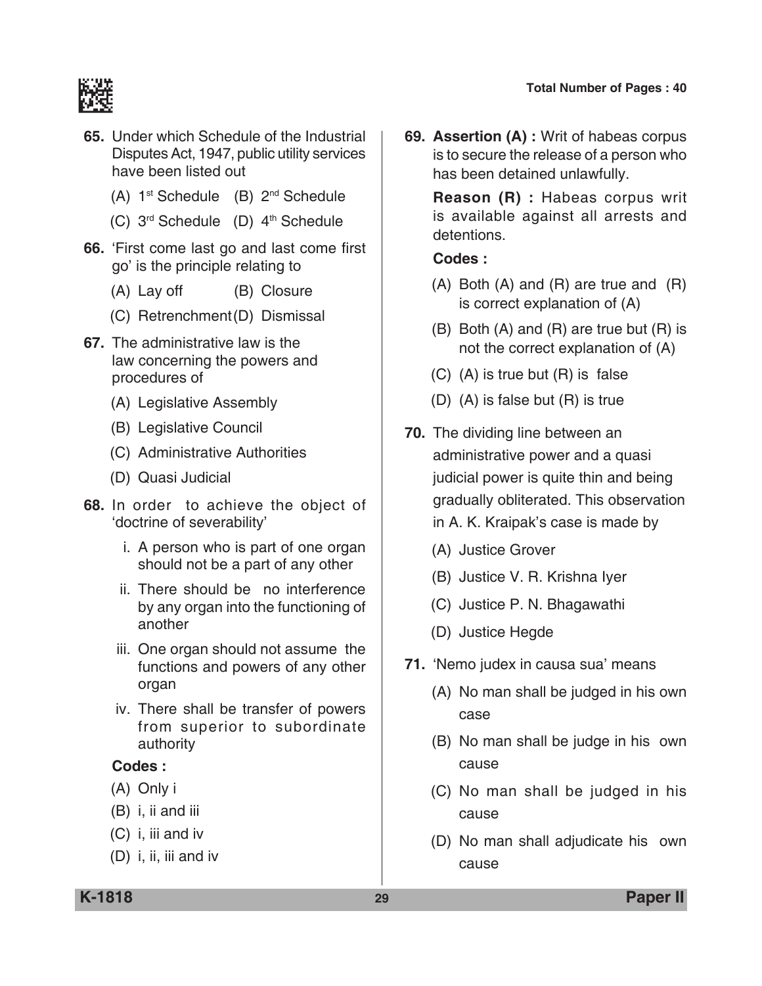

- **65.** Under which Schedule of the Industrial Disputes Act, 1947, public utility services have been listed out
	- (A) 1st Schedule (B) 2nd Schedule
	- $(C)$  3<sup>rd</sup> Schedule (D)  $4<sup>th</sup>$  Schedule
- **66.** 'First come last go and last come first go' is the principle relating to
	- (A) Lay off (B) Closure
	- (C) Retrenchment(D) Dismissal
- **67.** The administrative law is the law concerning the powers and procedures of
	- (A) Legislative Assembly
	- (B) Legislative council
	- (C) Administrative Authorities
	- (D) Quasi Judicial
- **68.** In order to achieve the object of 'doctrine of severability'
	- i. A person who is part of one organ should not be a part of any other
	- ii. There should be no interference by any organ into the functioning of another
	- iii. One organ should not assume the functions and powers of any other organ
	- iv. There shall be transfer of powers from superior to subordinate authority

#### **Codes :**

- (A) Only i
- (B) i, ii and iii
- (C) i, iii and iv
- (D) i, ii, iii and iv

**69. Assertion (A) :** Writ of habeas corpus is to secure the release of a person who has been detained unlawfully.

 **Reason (R) :** Habeas corpus writ is available against all arrests and detentions.

- (A) Both (A) and (R) are true and (R) is correct explanation of (A)
- (B) Both (A) and (R) are true but (R) is not the correct explanation of (A)
- (C) (A) is true but (R) is false
- (D) (A) is false but (R) is true
- **70.** The dividing line between an administrative power and a quasi judicial power is quite thin and being gradually obliterated. This observation in A. K. Kraipak's case is made by
	- (A) Justice Grover
	- (B) Justice V. R. Krishna Iyer
	- (C) Justice P. N. Bhagawathi
	- (D) Justice Hegde
- **71.** 'Nemo judex in causa sua' means
	- (A) No man shall be judged in his own case
	- (B) No man shall be judge in his own cause
	- (C) No man shall be judged in his cause
	- (D) No man shall adjudicate his own cause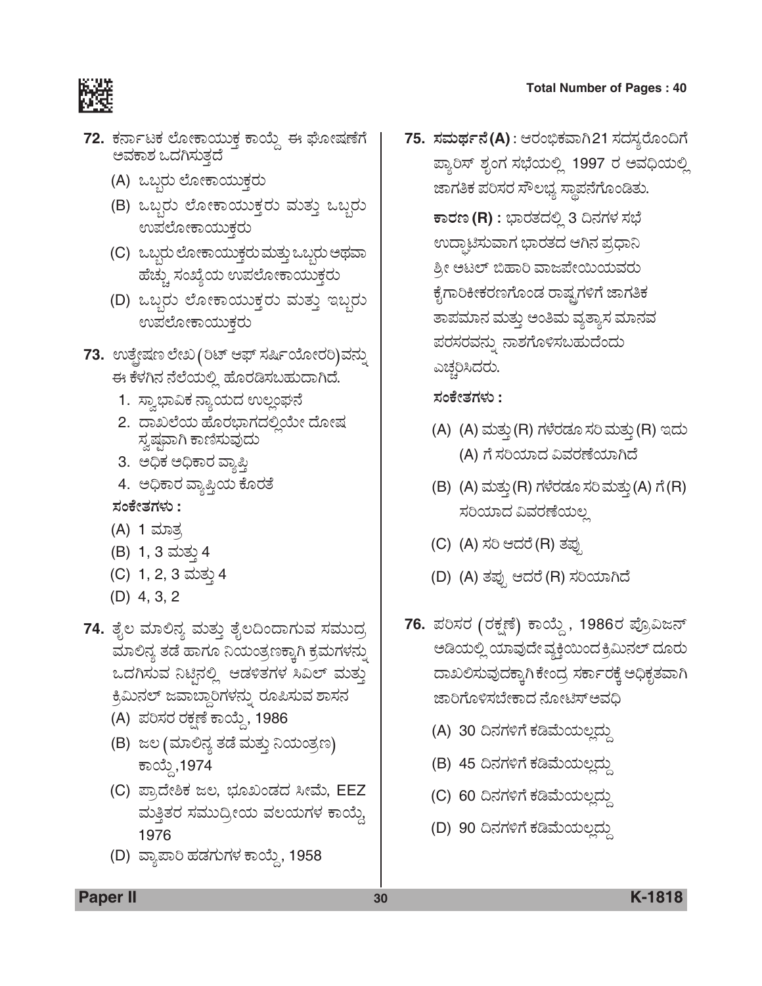

- 72. ಕರ್ನಾಟಕ ಲೋಕಾಯುಕ್ತ ಕಾಯ್ದೆ ಈ ಘೋಷಣೆಗೆ<br>ಅವಕಾಶ ಒದಗಿಸುತದೆ
	- (A) ಒಬ್ಬರು ಲೋಕಾಯುಕ್ತರು
	- (B) ಒಬ್ಬರು ಲೋಕಾಯುಕ್ತರು ಮತ್ತು ಒಬ್ಬರು ಉಪಲೋಕಾಯುಕ್ತರು
	- (C) ಒಬ್ಬರು ಲೋಕಾಯುಕ್ತರು ಮತ್ತು ಒಬ್ಬರು ಅಥವಾ ಹೆಚ್ಚು ಸಂಖ್ಯೆಯ ಉಪಲೋಕಾಯುಕ್ತರು
	- (D) ಒಬ್ಬರು ಲೋಕಾಯುಕ್ತರು ಮತ್ತು ಇಬ್ಬರು ಉಪಲೋಕಾಯುಕ್ತರು
- **73.** ಉತ್ಪ್ರೆಷಣ ಲೇಖ (ರಿಟ್ ಆಫ್ ಸರ್ಷಿಯೋರರಿ)ವನ್ನು ಈ ಕೆಳಗಿನ ನೆಲೆಯಲ್ಲಿ ಹೊರಡಿಸಬಹುದಾಗಿದೆ.
	- 1. ಸ್ವಾಭಾವಿಕ ನ್ಯಾಯದ ಉಲ್ಲಂಘನೆ
	- 2. ದಾಖಲೆಯ ಹೊರಭಾಗದಲ್ಲಿಯೇ ದೋಷ ಸ್ನಷ್ತವಾಗಿ ಕಾಣಿಸುವುದು
	- 3. ಅಧಿಕ ಅಧಿಕಾರ ವ್ಯಾಪ್ತಿ
	- 4. ಅಧಿಕಾರ ವ್ಯಾಪ್ತಿಯ ಕೊರತೆ
	- *ÓÜíPæàñÜWÜÙÜá* **:** (A) 1 ಮಾತ
	- (B) 1, 3 ಮತ್ತು 4
	- (C) 1, 2, 3 ಮತು 4
	- (D) 4, 3, 2
- **74.** ತೈಲ ಮಾಲಿನ್ಯ ಮತ್ತು ತೈಲದಿಂದಾಗುವ ಸಮುದ್ರ ಮಾಲಿನ್ಯ ತಡೆ ಹಾಗೂ ನಿಯಂತ್ರಣಕ್ಕಾಗಿ ಕ್ರಮಗಳನ್ನು ಒದಗಿಸುವ ನಿಟಿನಲ್ಲಿ ಆಡಳಿತಗಳ ಸಿವಿಲ್ ಮತ್ತು <u>ಕ್ರ</u>ೆಮಿನಲ್ ಜವಾಬ್ದಾರಿಗಳನ್ನು ರೂಪಿಸುವ ಶಾಸನ
	- (A) ಪರಿಸರ ರಕ್ಷಣೆ ಕಾಯ್ದೆ, 1986
	- (B) ಜಲ (ಮಾಲಿನ್ಯ ತಡೆ ಮತ್ತು ನಿಯಂತ್ರಣ) ಕಾಯ್ದೆ,1974
	- (C) ಪ್ರಾದೇಶಿಕ ಜಲ, ಭೂಖಂಡದ ಸೀಮೆ, EEZ ಮತ್ತಿತರ ಸಮುದ್ರೀಯ ವಲಯಗಳ ಕಾಯ್ತೆ 1976
	- (D) ವ್ಯಾಪಾರಿ ಹಡಗುಗಳ ಕಾಯ್ದೆ, 1958

**75. ಸಮರ್ಥನೆ(A)** : ಆರಂಭಿಕವಾಗಿ21 ಸದಸ್ಯರೊಂದಿಗೆ ಪ್ತಾರಿಸ್ ಶೃಂಗ ಸಭೆಯಲ್ಲಿ 1997 ರ ಅವಧಿಯಲ್ಲಿ ಜಾಗತಿಕ ಪರಿಸರ ಸೌಲಭ್ಯ ಸ್ಥಾಪನೆಗೊಂಡಿತು.

 $\overline{\textbf{r}}$ ಾರೂ (R) : ಭಾರತದಲ್ಲಿ 3 ದಿನಗಳ ಸಭೆ ಉದ್ಘಾಟಿಸುವಾಗ ಭಾರತದ ಆಗಿನ ಪ್ರಧಾನಿ ಶ್ರೀ ಅಟಲ್ ಬಿಹಾರಿ ವಾಜಪೇಯಿಯವರು ಕೈಗಾರಿಕೀಕರಣಗೊಂಡ ರಾಷ್ಟ್ರಗಳಿಗೆ ಜಾಗತಿಕ ತಾಪಮಾನ ಮತ್ತು ಅಂತಿಮ ವ್ಯತ್ಯಾಸ ಮಾನವ ಪರಸರವನ್ನು ನಾಶಗೊಳಿಸಬಹುದೆಂದು ಎಚ್ಚರಿಸಿದರು.

*ÓÜíPæàñÜWÜÙÜá* **:**

- (A) (A) ಮತ್ತು (R) ಗಳೆರಡೂ ಸರಿ ಮತ್ತು (R) ಇದು (A) ಗೆ ಸರಿಯಾದ ವಿವರಣೆಯಾಗಿದೆ
- (B) (A) ಮತ್ತು (R) ಗಳೆರಡೂ ಸರಿ ಮತ್ತು (A) ಗೆ (R) ಸರಿಯಾದ ವಿವರಣೆಯಲ್ಲ
- (C) (A) ಸರಿ ಆದರೆ (R) ತಪು
- (D) (A) ತಪ್ಪು ಆದರೆ (R) ಸರಿಯಾಗಿದೆ
- 76. ಪರಿಸರ (ರಕ್ಷಣೆ) ಕಾಯ್ದೆ , 1986ರ ಪ್ರೊವಿಜನ್ ಅಡಿಯಲ್ಲಿ ಯಾವುದೇ ವ್ಯಕ್ತಿಯಿಂದ ಕ್ರಿಮಿನಲ್ ದೂರು ದಾಖಲಿಸುವುದಕ್ಕಾಗಿ ಕೇಂದ್ರ ಸರ್ಕಾರಕ್ಕೆ ಅಧಿಕೃತವಾಗಿ ಜಾರಿಗೊಳಿಸಬೇಕಾದ ನೋಟಿಸ್ಅವಧಿ
	- (A) 30 ದಿನಗಳಿಗೆ ಕಡಿಮೆಯಲ್ಪದ್ದು
	- (B) 45 ದಿನಗಳಿಗೆ ಕಡಿಮೆಯಲ್ಲದ್ದು
	- (C) 60 ದಿನಗಳಿಗೆ ಕಡಿಮೆಯಲ್ಲದ್ದು
	- (D) 90 ದಿನಗಳಿಗೆ ಕಡಿಮೆಯಲದು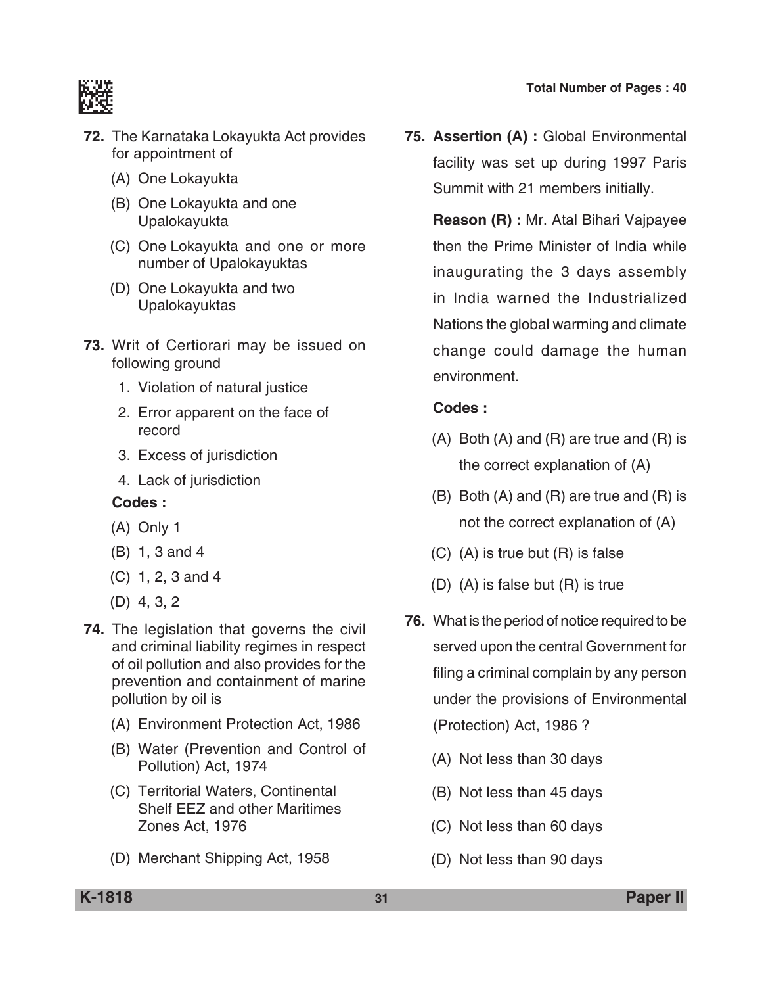

- **72.** The Karnataka Lokayukta Act provides for appointment of
	- (A) One Lokayukta
	- (B) One Lokayukta and one Upalokayukta
	- (C) One Lokayukta and one or more number of Upalokayuktas
	- (D) One Lokayukta and two Upalokayuktas
- **73.** Writ of Certiorari may be issued on following ground
	- 1. Violation of natural justice
	- 2. Error apparent on the face of record
	- 3. Excess of jurisdiction
	- 4. Lack of jurisdiction

#### **Codes :**

- (A) Only 1
- (B) 1, 3 and 4
- (C) 1, 2, 3 and 4
- (D) 4, 3, 2
- **74.** The legislation that governs the civil and criminal liability regimes in respect of oil pollution and also provides for the prevention and containment of marine pollution by oil is
	- (A) Environment Protection Act, 1986
	- (B) Water (Prevention and control of pollution) Act, 1974
	- (C) Territorial waters, continental shelf EEZ and other maritimes zones Act, 1976
	- (D) Merchant Shipping Act, 1958

**75. Assertion (A) :** Global Environmental facility was set up during 1997 Paris Summit with 21 members initially.

 **Reason (R) :** Mr. Atal Bihari Vajpayee then the Prime Minister of India while inaugurating the 3 days assembly in India warned the Industrialized Nations the global warming and climate change could damage the human environment.

- $(A)$  Both  $(A)$  and  $(R)$  are true and  $(R)$  is the correct explanation of (A)
- (B) Both (A) and (R) are true and (R) is not the correct explanation of (A)
- (C) (A) is true but (R) is false
- (D) (A) is false but (R) is true
- **76.** What is the period of notice required to be served upon the central Government for filing a criminal complain by any person under the provisions of Environmental (Protection) Act, 1986 ?
	- (A) Not less than 30 days
	- (B) Not less than 45 days
	- (C) Not less than 60 days
	- (D) Not less than 90 days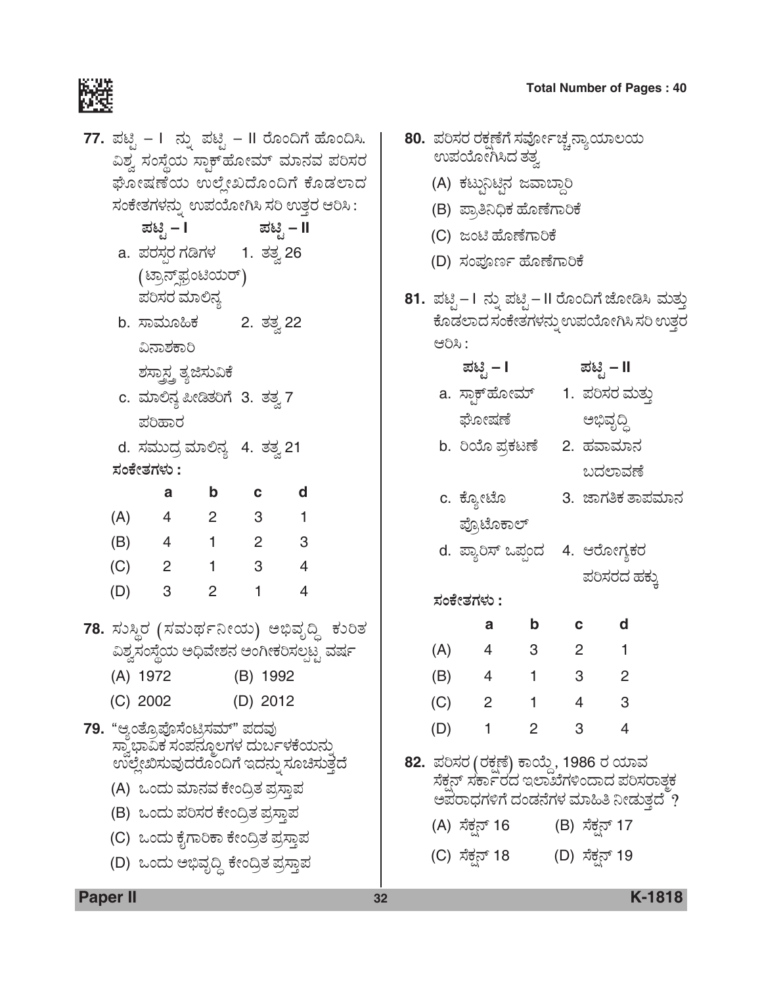|     | 77. ಪಟ್ಟಿ – I  ನ್ನು ಪಟ್ಟಿ – II ರೊಂದಿಗೆ ಹೊಂದಿಸಿ.<br>ವಿಶ್ವ ಸಂಸ್ಥೆಯ ಸ್ಥಾಕ್ <i></i> ಹೋಮ್ ಮಾನವ ಪರಿಸರ<br>ಘೋಷಣೆಯ ಉಲ್ಲೇಖದೊಂದಿಗೆ ಕೊಡಲಾದ |                            |                         |                |  |
|-----|--------------------------------------------------------------------------------------------------------------------------------|----------------------------|-------------------------|----------------|--|
|     | ಸಂಕೇತಗಳನ್ನು ಉಪಯೋಗಿಸಿ ಸರಿ ಉತ್ತರ ಆರಿಸಿ :                                                                                         |                            |                         |                |  |
|     | ಪಟ್ಟಿ – I                                                                                                                      |                            |                         | ಪಟ್ಟಿ – II     |  |
|     | a. ಪರಸ್ಪರ ಗಡಿಗಳ     1.  ತತ್ತ 26                                                                                                |                            |                         |                |  |
|     | (ಟ್ರಾನ್ಶ್ ಪ್ರಂಟಿಯರ್)                                                                                                           |                            |                         |                |  |
|     | ಪರಿಸರ ಮಾಲಿನ್ಯ                                                                                                                  |                            |                         |                |  |
|     | b. ಸಾಮೂಹಿಕ                                                                                                                     |                            | 2. ತತ್ವ 22              |                |  |
|     | ವಿನಾಶಕಾರಿ                                                                                                                      |                            |                         |                |  |
|     | ಶಸ್ತ್ರಾಸ್ತ್ರ ತ್ಯಜಿಸುವಿಕೆ                                                                                                       |                            |                         |                |  |
|     | c. ಮಾಲಿನ್ಯ ಪೀಡಿತರಿಗೆ 3. ತತ್ವ 7                                                                                                 |                            |                         |                |  |
|     | ಪರಿಹಾರ                                                                                                                         |                            |                         |                |  |
|     | d. ಸಮುದ್ರ ಮಾಲಿನ್ಯ  4.  ತತ್ತ 21                                                                                                 |                            |                         |                |  |
|     | ಸಂಕೇತಗಳು :                                                                                                                     |                            |                         |                |  |
|     | а                                                                                                                              | b                          | C                       | d              |  |
| (A) | $\overline{4}$                                                                                                                 | $\overline{\phantom{0}}^2$ | $\overline{\mathbf{3}}$ | 1              |  |
|     | $(B)$ 4                                                                                                                        | $\overline{1}$             | $2 \t 3$                |                |  |
|     | $(C)$ 2                                                                                                                        | $\overline{1}$             | $\overline{\mathbf{3}}$ | $\overline{4}$ |  |
|     | $(D)$ 3                                                                                                                        | $\overline{2}$             | $\overline{1}$          | 4              |  |
|     | 78. ಸುಸ್ಥಿರ (ಸಮರ್ಥನೀಯ) ಅಭಿವೃದ್ಧಿ ಕುರಿತ                                                                                         |                            |                         |                |  |
|     | ವಿಶ್ವಸಂಸ್ಥೆಯ ಅಧಿವೇಶನ ಅಂಗೀಕರಿಸಲ್ಪಟ್ಟ ವರ್ಷ                                                                                       |                            |                         |                |  |
|     | (A) 1972 (B) 1992                                                                                                              |                            |                         |                |  |
|     | (C) 2002                                                                                                                       |                            | (D) 2012                |                |  |
|     |                                                                                                                                |                            |                         |                |  |
|     | 79. "ಆ್ಯಂತ್ರೊಪೊಸೆಂಟ್ರಿಸಮ್" ಪದವು                                                                                                |                            |                         |                |  |
|     | ಉಲ್ಲೇಖಿಸುವುದರೊಂದಿಗೆ ಇದನ್ನು ಸೂಚಿಸುತ್ತದೆ                                                                                         |                            |                         |                |  |
|     | (A)  ಒಂದು ಮಾನವ ಕೇಂದ್ರಿತ ಪ್ರಸ್ತಾಪ                                                                                               |                            |                         |                |  |
|     | (B) ಒಂದು ಪರಿಸರ ಕೇಂದ್ರಿತ ಪ್ರಸ್ತಾಪ                                                                                               |                            |                         |                |  |
|     | (C)  ಒಂದು ಕೈಗಾರಿಕಾ ಕೇಂದ್ರಿತ ಪ್ರಸ್ತಾಪ                                                                                           |                            |                         |                |  |
|     | (D)  ಒಂದು ಅಭಿವೃದ್ದಿ ಕೇಂದ್ರಿತ ಪ್ರಸ್ತಾಪ                                                                                          |                            |                         |                |  |
|     |                                                                                                                                |                            |                         |                |  |

|     |                | 80.  ಪರಿಸರ ರಕ್ಷಣೆಗೆ ಸರ್ವೋಚ್ಚನ್ನಾಯಾಲಯ                                                                                      |                |    |                |                  |  |
|-----|----------------|---------------------------------------------------------------------------------------------------------------------------|----------------|----|----------------|------------------|--|
|     |                | ಉಪಯೋಗಿಸಿದ ತತ್ವ                                                                                                            |                |    |                |                  |  |
|     |                | (A) ಕಟ್ಟುನಿಟಿನ ಜವಾಬ್ದಾರಿ                                                                                                  |                |    |                |                  |  |
|     |                | (B) ಪ್ರಾತಿನಿಧಿಕ ಹೊಣೆಗಾರಿಕೆ                                                                                                |                |    |                |                  |  |
|     |                | (C) ಜಂಟಿ ಹೊಣೆಗಾರಿಕೆ                                                                                                       |                |    |                |                  |  |
|     |                | (D) ಸಂಪೂರ್ಣ ಹೊಣೆಗಾರಿಕೆ                                                                                                    |                |    |                |                  |  |
|     |                | 81. ಪಟ್ಟಿ– I ನ್ನು ಪಟ್ಟಿ– II ರೊಂದಿಗೆ ಜೋಡಿಸಿ ಮತ್ತು<br>ಕೊಡಲಾದ ಸಂಕೇತಗಳನ್ನು ಉಪಯೋಗಿಸಿ ಸರಿ ಉತ್ತರ                                 |                |    |                |                  |  |
|     | ಆರಿಸಿ:         |                                                                                                                           |                |    |                |                  |  |
|     |                | ಪಟ್ಟಿ – I                                                                                                                 |                |    | ಪಟ್ಟಿ – II     |                  |  |
|     |                | a. ಸ್ತಾಕ್ <b>ಹೋಮ್</b>                                                                                                     |                |    |                | 1.  ಪರಿಸರ ಮತ್ತು  |  |
|     |                | ಘೋಷಣೆ                                                                                                                     |                |    | ಅಭಿವೃದ್ಧಿ      |                  |  |
|     |                | b.  ರಿಯೊ ಪ್ರಕಟಣೆ                                                                                                          |                |    | 2. ಹವಾಮಾನ      |                  |  |
|     |                |                                                                                                                           |                |    | ಬದಲಾವಣೆ        |                  |  |
|     | c. ಕ್ಯೋಟೊ      |                                                                                                                           |                |    |                | 3. ಜಾಗತಿಕ ತಾಪಮಾನ |  |
|     |                | ಪ್ರೊಟೊಕಾಲ್                                                                                                                |                |    |                |                  |  |
|     |                | d. ಪ್ಯಾರಿಸ್ ಒಪ್ಪಂದ   4. ಆರೋಗ್ಯಕರ                                                                                          |                |    |                |                  |  |
|     |                |                                                                                                                           |                |    |                | ಪರಿಸರದ ಹಕ್ಕು     |  |
|     | ಸಂಕೇತಗಳು :     |                                                                                                                           |                |    |                |                  |  |
|     |                | а                                                                                                                         | b              | C. |                | d                |  |
|     | (A)            | 4                                                                                                                         | 3              | 2  |                | 1                |  |
| (B) |                | $\overline{\phantom{0}}$                                                                                                  | 1              | 3  |                | 2                |  |
| (C) |                | $\overline{2}$                                                                                                            |                | 4  |                | 3                |  |
| (D) |                | $\overline{1}$                                                                                                            | $\overline{2}$ | 3  |                | 4                |  |
|     |                | 82. ಪರಿಸರ (ರಕ್ಷಣೆ) ಕಾಯ್ದೆ, 1986 ರ ಯಾವ<br>ಸೆಕ್ಷನ್ ಸರ್ಕಾರದ ಇಲಾಖೆಗಳಿಂದಾದ ಪರಿಸರಾತ್ಮಕ<br>ಅಪರಾಧಗಳಿಗೆ ದಂಡನೆಗಳ ಮಾಹಿತಿ ನೀಡುತ್ತದೆ ? |                |    |                |                  |  |
|     | (A) ಸೆಕ್ಷನ್ 16 |                                                                                                                           |                |    | (B) ಸೆಕ್ಷನ್ 17 |                  |  |

(C) ಸೆಕ್ಷನ್ 18 (D) ಸೆಕ್ಷನ್ 19

**Paper II 32 K-1818**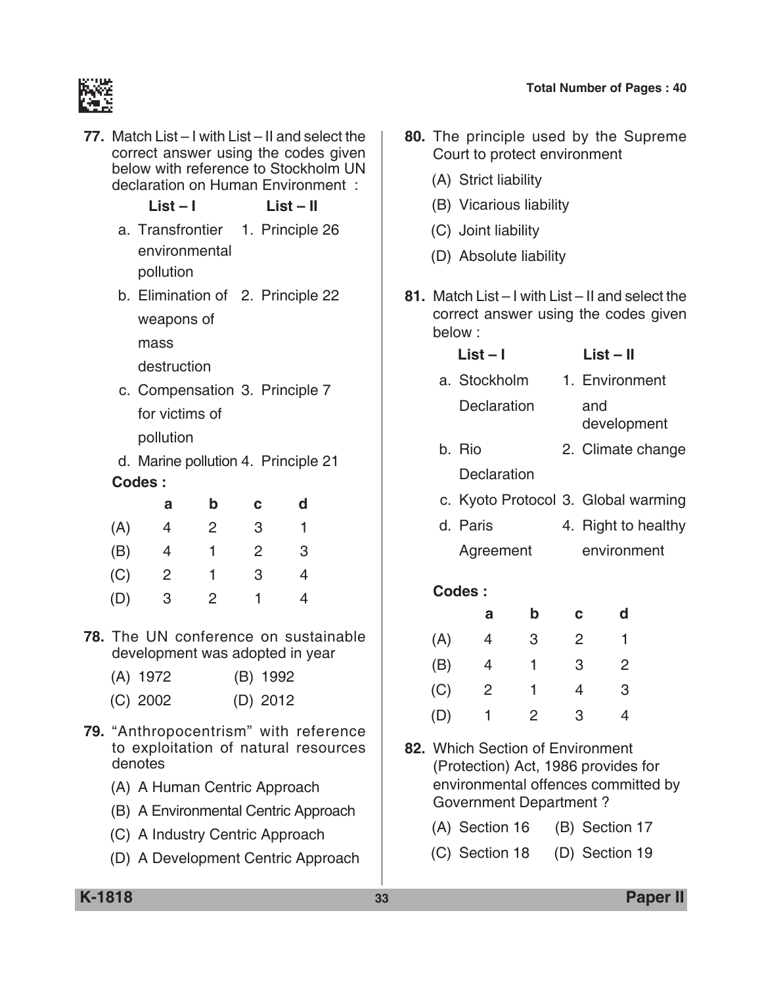

| 77. Match List – I with List – II and select the<br>correct answer using the codes given<br>below with reference to Stockholm UN<br>declaration on Human Environment :<br>$List - I$<br>$List - II$ |                                                                                                                 |                |          |                |  |
|-----------------------------------------------------------------------------------------------------------------------------------------------------------------------------------------------------|-----------------------------------------------------------------------------------------------------------------|----------------|----------|----------------|--|
|                                                                                                                                                                                                     | a. Transfrontier 1. Principle 26<br>environmental<br>pollution                                                  |                |          |                |  |
|                                                                                                                                                                                                     | b. Elimination of 2. Principle 22<br>weapons of<br>mass                                                         |                |          |                |  |
|                                                                                                                                                                                                     | destruction<br>c. Compensation 3. Principle 7<br>for victims of<br>pollution                                    |                |          |                |  |
|                                                                                                                                                                                                     | d. Marine pollution 4. Principle 21                                                                             |                |          |                |  |
|                                                                                                                                                                                                     | Codes:                                                                                                          |                |          |                |  |
|                                                                                                                                                                                                     | а                                                                                                               | b              | с        | d              |  |
| (A)                                                                                                                                                                                                 | 4                                                                                                               | $\overline{2}$ | 3        | 1              |  |
| (B)                                                                                                                                                                                                 | $\overline{4}$                                                                                                  | 1              | 2        | 3              |  |
| (C)                                                                                                                                                                                                 | $\overline{2}$                                                                                                  | 1              | 3        | $\overline{4}$ |  |
| (D)                                                                                                                                                                                                 | 3                                                                                                               | 2              | 1        | $\overline{4}$ |  |
|                                                                                                                                                                                                     | <b>78.</b> The UN conference on sustainable<br>development was adopted in year<br>(A) 1972 (B) 1992<br>(C) 2002 |                | (D) 2012 |                |  |
|                                                                                                                                                                                                     | 79. "Anthropocentrism" with reference<br>to exploitation of natural resources<br>denotes                        |                |          |                |  |
|                                                                                                                                                                                                     | (A) A Human Centric Approach                                                                                    |                |          |                |  |
|                                                                                                                                                                                                     | (B) A Environmental Centric Approach                                                                            |                |          |                |  |

- (C) A industry Centric Approach
- (D) A development Centric Approach
- **80.** The principle used by the Supreme court to protect environment
	- (A) Strict liability
	- (B) Vicarious liability
	- (C) Joint liability
	- (D) Absolute liability
- **81.** match List I with List II and select the correct answer using the codes given below :

### **List – I List – II**

- a. Stockholm 1. Environment Declaration and development
- b. Rio 2. Climate change **Declaration**
- c. Kyoto Protocol 3. Global warming
- d. Paris 4. Right to healthy Agreement environment

|     | а | b | С | d |
|-----|---|---|---|---|
| (A) | 4 | 3 | 2 |   |
| (B) | 4 | 1 | 3 | 2 |
| (C) | 2 | 1 | 4 | 3 |
| (D) | 1 | 2 | 3 | 4 |

- **82.** Which Section of Environment (Protection) Act, 1986 provides for environmental offences committed by Government Department ?
	- (A) Section 16 (B) Section 17
	- (C) Section 18 (D) Section 19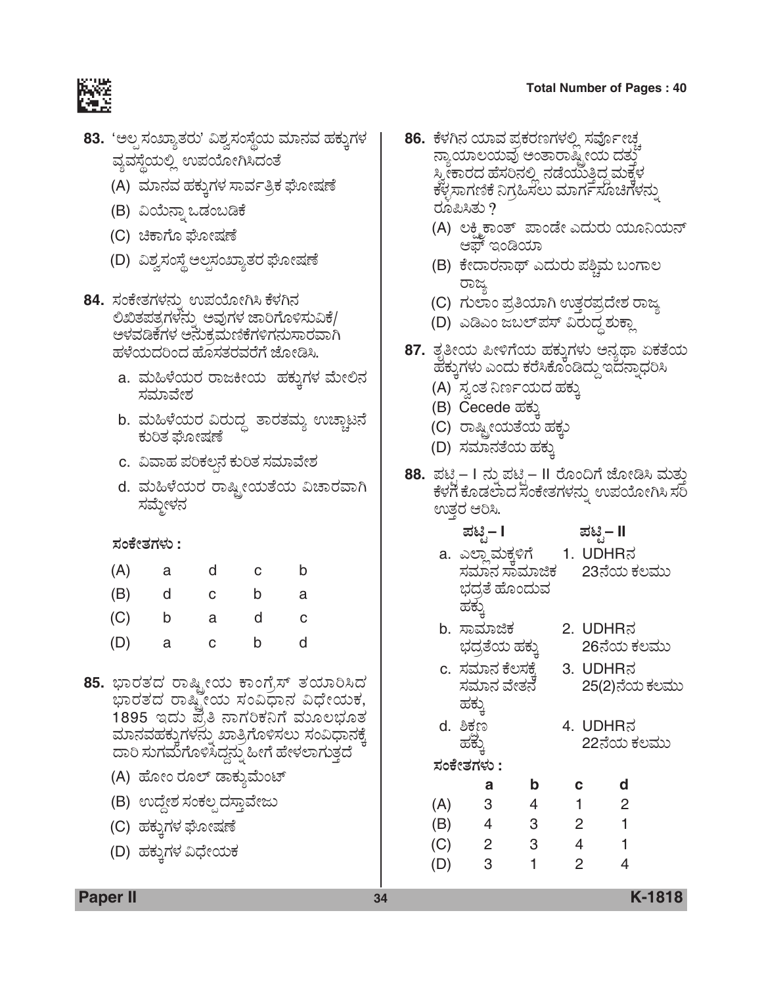

- **83.** 'ಅಲ್ಪಸಂಖ್ಯಾತರು' ವಿಶ್ವಸಂಸ್ಥೆಯ ಮಾನವ ಹಕ್ತುಗಳ ವ್ಯವಸ್ಥೆಯಲ್ಲಿ ಉಪಯೋಗಿಸಿದಂತೆ
	- (A) ಮಾನವ ಹಕ್ಕುಗಳ ಸಾರ್ವತ್ರಿಕ ಘೋಷಣೆ
	- (B) ವಿಯೆನ್ನಾ ಒಡಂಬಡಿಕೆ
	- (C) ಚಿಕಾಗೊ ಘೋಷಣೆ
	- (D) ವಿಶ್ವಸಂಸ್ಥೆ ಅಲ್ಪಸಂಖ್ಯಾತರ ಘೋಷಣೆ
- **84.** ಸಂಕೇತಗಳನ್ನು ಉಪಯೋಗಿಸಿ ಕೆಳಗಿನ ಲಿಖಿತಪತ್ರಗಳನ್ನು ಅವುಗಳ ಜಾರಿಗೊಳಿಸುವಿಕೆ/ ಅಳವಡಿಕೆಗಳ ಅನುಕ್ರಮಣಿಕೆಗಳಿಗನುಸಾರವಾಗಿ ಹಳೆಯದರಿಂದ ಹೊಸತರವರೆಗೆ ಜೋಡಿಸಿ.
	- a. ಮಹಿಳೆಯರ ರಾಜಕೀಯ ಹಕ್ತುಗಳ ಮೇಲಿನ ಸಮಾವೇಶ
	- b. ಮಹಿಳೆಯರ ವಿರುದ್ಧ ತಾರತಮ್ಯ ಉಚ್ಚಾಟನೆ ಕುರಿತ ಘೋಷಣೆ
	- c. ವಿವಾಹ ಪರಿಕಲ್ಪನೆ ಕುರಿತ ಸಮಾವೇಶ
	- d. ಮಹಿಳೆಯರ ರಾಷ್ಟ್ರೀಯತೆಯ ವಿಚಾರವಾಗಿ ಸಮ್ದೇಳನ

#### *ÓÜíPæàñÜWÜÙÜá* **:**

| (A) | а | d  | С | b |
|-----|---|----|---|---|
| (B) | d | С  | b | a |
| (C) | b | a  | d | С |
| (D) | а | C. | b | d |

- **85.** ಭಾರತದ ರಾಷ್ಟ್ರೀಯ ಕಾಂಗ್ರೆಸ್ ತಯಾರಿಸಿದ ಭಾರತದ ರಾಷ್ಟ್ರೀಯ ಸಂವಿಧಾನ ವಿಧೇಯಕ,<br>1895 ಇದು ಪ್ರತಿ ನಾಗರಿಕನಿಗೆ ಮೂಲಭೂತ ಮಾನವಹಕ್ತುಗಳನ್ನು ಖಾತ್ರಿಗೊಳಿಸಲು ಸಂವಿಧಾನಕ್ಕೆ ದಾರಿ ಸುಗಮೆಗೊಳಿಸಿದ್ದನ್ನು ಹೀಗೆ ಹೇಳಲಾಗುತ್ತದೆ
	- (A) ಹೋಂ ರೂಲ್ ಡಾಕ್ಯುಮೆಂಟ್
	- (B) ಉದ್ದೇಶ ಸಂಕಲ್ಪದಸ್ತಾವೇಜು
	- (C) ಹಕ್ಕುಗಳ ಘೋಷಣೆ
	- (D) ಹಕ್ಕುಗಳ ವಿಧೇಯಕ
- 8**6.** ಕೆಳಗಿನ ಯಾವ ಪ್ರಕರಣಗಳಲ್ಲಿ ಸರ್ವೋಚ್ಚ<br>ನ್ಯಾಯಾಲಯವು ಅಂತಾರಾಷ್ಟ್ರೀಯ ದತ್ತು ಸ್ನೀಕಾರದ ಹೆಸರಿನಲ್ಲಿ ನಡೆಯುತ್ತಿದ್ದ ಮಕ್ಕಳ ಕಳ್ಳಸಾಗಣಿಕೆ ನಿಗ್ರಹಿಸಲು ಮಾರ್ಗಸೂಚಿಗಳನ್ನು ರೂಪಿಸಿತು ?
	- (A) ಲಕ್ಮಿಕಾಂತ್ ಪಾಂಡೇ ಎದುರು ಯೂನಿಯನ್ ಆಫ್ ಇಂಡಿಯಾ
	- (B) ಕೇದಾರನಾಥ್ ಎದುರು ಪಶ್ಚಿಮ ಬಂಗಾಲ ರಾಜ್ಯ
	- (C) ಗುಲಾಂ ಪ್ರತಿಯಾಗಿ ಉತ್ತರಪ್ರದೇಶ ರಾಜ್ಯ
	- (D) ಎಡಿಎಂ ಜಬಲ್ಪಸ್ ವಿರುದ್ಧ ಶುಕ್ತಾ
- 87. ತೃತೀಯ ಪೀಳಿಗೆಯ ಹಕ್ಕುಗಳು ಅನ್ನಥಾ ಏಕತೆಯ ಹೆಕ್ತುಗಳು ಎಂದು ಕರೆಸಿಕೊಂಡಿದ್ದು ಇದನ್ನಾಧರಿಸಿ
	- (A) ಸ್ವಂತ ನಿರ್ಣಯದ ಹಕ್ಕು
	- (B) Cecede ಹಕ್ಕು
	- (C) ರಾಷ್ಟ್ರೀಯತೆಯ ಹಕ್ಕು
	- (D) ಸಮಾನತೆಯ ಹಕ್ಕು
- 88. ಪಟ್ಟಿ I ನ್ನು ಪಟ್ಟಿ II ರೊಂದಿಗೆ ಜೋಡಿಸಿ ಮತ್ತು<br>ಕೆಳಗೆ ಕೊಡಲಾದ ಸಂಕೇತಗಳನ್ನು ಉಪಯೋಗಿಸಿ ಸರಿ ಉತ್ತರ ಆರಿಸಿ.

| ಪಟಿೃ– I                       | ಪಟಿಸ− II |
|-------------------------------|----------|
| a. ಎಲ್ಲಾಮಕ್ಕಳಿಗೆ 1. UDHRನ     |          |
| ಸಮಾನ ಸಾಮಾಜಿಕ       23ನೆಯ ಕಲಮು |          |
| ಭದ್ರತೆ ಹೊಂದುವ                 |          |
| ಹಕು,                          |          |
| ಸಾವರಾಜಿಕ                      | ⊟DHR≾    |

- ಭದ್ರತೆಯ ಹಕ್ಕು 26ನೆಯ ಕಲಮು
- c. ಸಮಾನ ಕೆಲಸಕ್ಕೆ 3. UDHRನ<br> ಸಮಾನ ವೇತನ 25(2)ನೆಯ ಕಲಮು<br> ಹಕ್ಕು
	- d. ÎPÜÒ| 4. UDHR®Ü ÖÜPÜáR <sup>22</sup>®æ¿á PÜÆÊÜáá
	- *ÓÜíPæàñÜWÜÙÜá* **:**

|     | а | b | с | d |  |
|-----|---|---|---|---|--|
| (A) | 3 | 4 |   | 2 |  |
| (B) | 4 | 3 | 2 |   |  |
| (C) | 2 | 3 | 4 |   |  |
| (D) | 3 |   | 2 | 4 |  |

**Paper II 34 K-1818**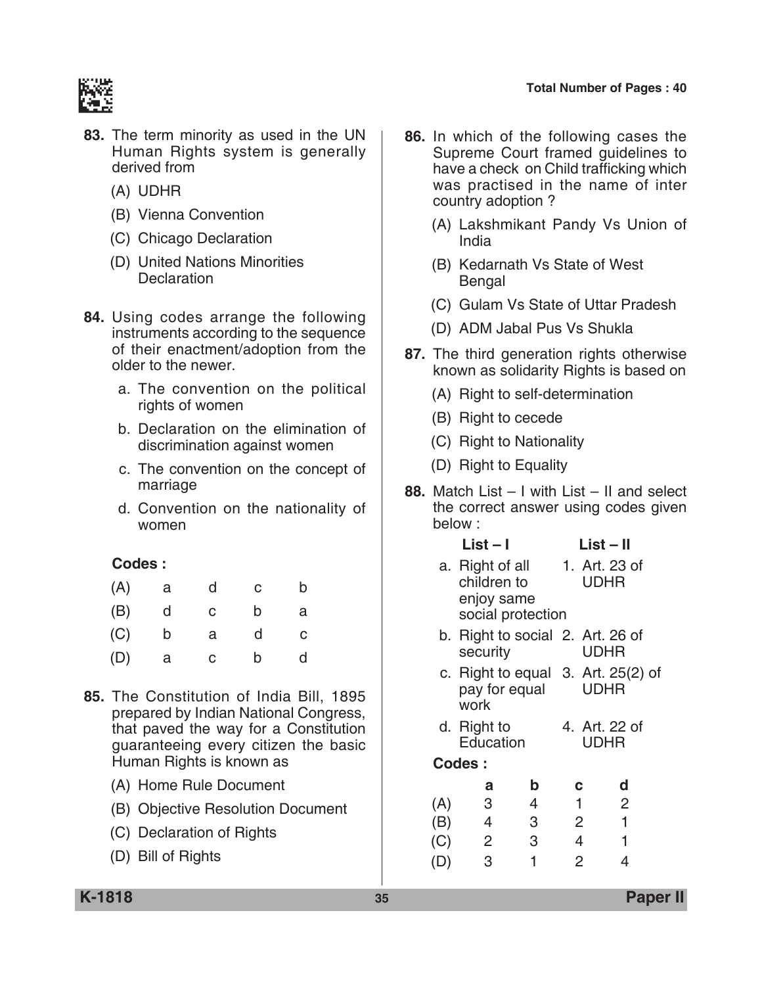

- **83.** The term minority as used in the UN Human Rights system is generally derived from
	- (A) UDHR
	- (B) Vienna Convention
	- (C) Chicago Declaration
	- (D) United Nations minorities **Declaration**
- **84.** Using codes arrange the following instruments according to the sequence of their enactment/adoption from the older to the newer.
	- a. The convention on the political rights of women
	- b. Declaration on the elimination of discrimination against women
	- c. The convention on the concept of marriage
	- d. Convention on the nationality of women

| (A) | а | d  | С | b |
|-----|---|----|---|---|
| (B) | d | C. | b | а |
| (C) | b | a  | d | C |
| (D) | а | C. | b | d |

- **85.** The Constitution of India Bill, 1895 prepared by Indian National Congress, that paved the way for a Constitution guaranteeing every citizen the basic Human Rights is known as
	- (A) Home Rule Document
	- (B) Objective Resolution Document
	- (C) Declaration of Rights
	- (D) Bill of Rights
- **86.** In which of the following cases the Supreme Court framed guidelines to have a check on Child trafficking which was practised in the name of inter country adoption ?
	- (A) Lakshmikant Pandy vs Union of India
	- (B) Kedarnath vs State of West Bengal
	- (C) Gulam vs State of Uttar Pradesh
	- (D) ADM Jabal Pus Vs Shukla
- **87.** The third generation rights otherwise known as solidarity Rights is based on
	- (A) Right to self-determination
	- (B) Right to cecede
	- (C) Right to Nationality
	- (D) Right to Equality
- **88.** Match List I with List II and select the correct answer using codes given below :

| $List - I$ | $List - II$ |
|------------|-------------|
|------------|-------------|

- a. Right of all 1. Art. 23 of children to UDHR enjoy same social protection
- b. Right to social 2. Art. 26 of security UDHR
- c. Right to equal 3. Art. 25(2) of pay for equal UDHR work
- d. Right to 4. Art. 22 of Education UDHR
- **Codes :**

|     | а | b | с | d |
|-----|---|---|---|---|
| (A) | 3 | 4 | 1 | 2 |
| (B) | 4 | 3 | 2 |   |
| (C) | 2 | 3 | 4 |   |
| (D) | 3 |   | 2 |   |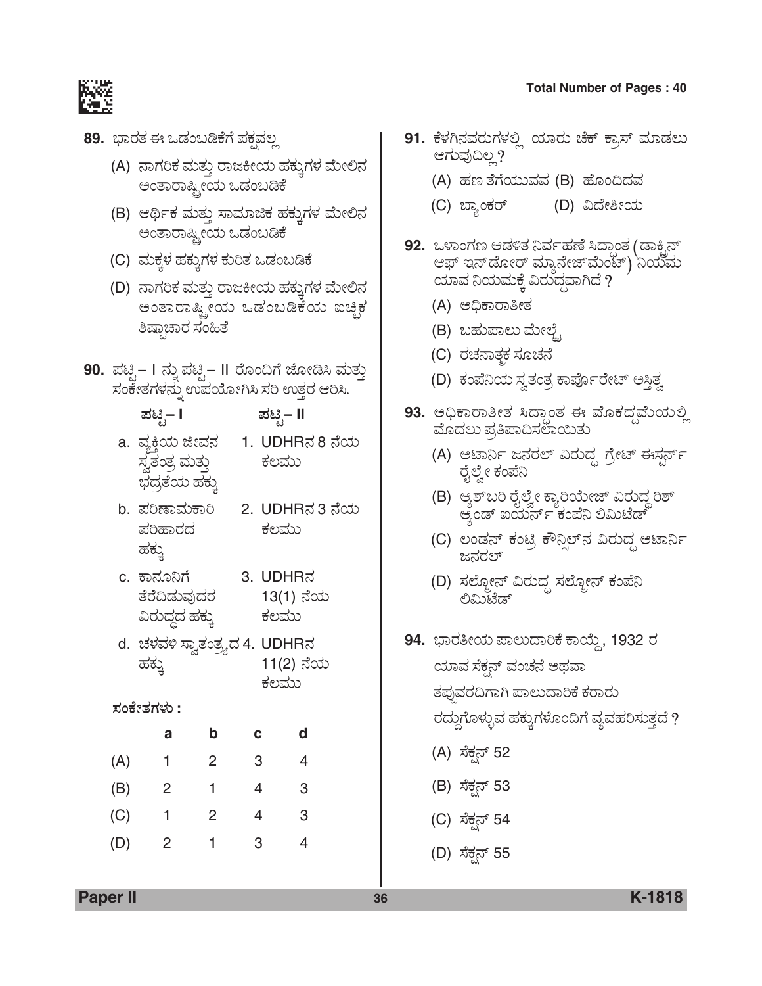- **89.** ಭಾರತ ಈ ಒಡಂಬಡಿಕೆಗೆ ಪಕ್ಷವಲ್ಲ
	- (A) ನಾಗರಿಕ ಮತ್ತು ರಾಜಕೀಯ ಹಕ್ಕುಗಳ ಮೇಲಿನ ಅಂತಾರಾಷ್ಟ್ರೀಯ ಒಡಂಬಡಿಕೆ
	- (B) ಆರ್ಥಿಕ ಮತ್ತು ಸಾಮಾಜಿಕ ಹಕ್ತುಗಳ ಮೇಲಿನ ಅಂತಾರಾಷ್ಟ್ರೀಯ ಒಡಂಬಡಿಕೆ
	- (C) ಮಕ್ಕಳ ಹಕ್ಕುಗಳ ಕುರಿತ ಒಡಂಬಡಿಕೆ
	- (D) ನಾಗರಿಕ ಮತ್ತು ರಾಜಕೀಯ ಹಕ್ತುಗಳ ಮೇಲಿನ ಅಂತಾರಾಷ್ಟ್ರೀಯ ಒಡಂಬಡಿಕೆಯ ಐಚ್ಚಿಕ ಶಿಷ್ಠಾಚಾರ ಸಂಹಿತೆ
- **90.** ಪಟೈ– I ನ್ನು ಪಟೈ– II ರೊಂದಿಗೆ ಜೋಡಿಸಿ ಮತ್ತು ಸಂಕೇತಗಳನ್ನು ಉಪಯೋಗಿಸಿ ಸರಿ ಉತ್ತರ ಆರಿಸಿ.
	- *±Üqr* **I** *±Üqr* **II**
	- a. ವ್ಯಕಿಯ ಜೀವನ 1. UDHRನ 8 ನೆಯ ÓÜÌñÜíñÜÅ ÊÜáñÜá¤ PÜÆÊÜáá ಭದ್ರತೆಯ ಹಕ್ಕು
	- b. ಪರಿಣಾಮಕಾರಿ 2. UDHRನ 3 ನೆಯ ಪರಿಹಾರದ ಕಲಮು ಹಕ್ಕು
	- c. ಕಾನೂನಿಗೆ 3. UDHRನ ತೆರೆದಿಡುವುದರ 13(1) ನೆಯ ËÃÜá¨Üœ¨Ü ÖÜPÜáR PÜÆÊÜáá
	- d. aÜÙÜÊÜÚ ÓÝÌñÜíñÜÅé¨Ü 4. UDHR®Ü 11(2) ನೆಯ ಕಲಮು

#### *ÓÜíPæàñÜWÜÙÜá* **:**

|     | а              | b | с | a |
|-----|----------------|---|---|---|
| (A) |                | 2 | 3 |   |
| (B) | $\overline{2}$ | 1 | 4 | 3 |
| (C) | 1              | 2 | 4 | 3 |
| (D) | 2              |   | 3 |   |

- **91.** ಕೆಳಗಿನವರುಗಳಲ್ಲಿ ಯಾರು ಚೆಕ್ ಕ್ರಾಸ್ ಮಾಡಲು ಆಗುವುದಿಲ್ಲ?
	- (A) ಹಣ ತೆಗೆಯುವವ (B) ಹೊಂದಿದವ
	- (C) ¸ÝÂíPÜÃ… (D) ˨æàÎà¿á
- 92. ಒಳಾಂಗಣ ಆಡಳಿತ ನಿರ್ವಹಣೆ ಸಿದ್ಧಾಂತ (ಡಾಕ್ಬಿನ್ ಆಫ್ ಇನ್*ಡೋರ್ ಮ್ಯಾನೇಜ್* ಮೆಂಟ್) ನಿಯಮ<br>ಯಾವ ನಿಯಮಕ್ಕೆ ವಿರುದ್ಧವಾಗಿದೆ ?
	- (A) ಅಧಿಕಾರಾತೀತ
	- (B) ಬಹುಪಾಲು ಮೇಲ್ಟೈ
	- (C) ರಚನಾತ್<del>ಕ</del>ಕ ಸೂಚನೆ
	- (D) ಕಂಪೆನಿಯ ಸ್ವತಂತ್ರ ಕಾರ್ಪೊರೇಟ್ ಅಸ್ತಿತ್ವ
- **93.** ಅಧಿಕಾರಾತೀತ ಸಿದ್ಧಾಂತ ಈ ಮೊಕದ್ದಮೆಯಲ್ಲಿ ಮೊದಲು ಪ್ರತಿಪಾದಿಸಲಾಯಿತು
	- (A) ಆಟಾರ್ನಿ ಜನರಲ್ ವಿರುದ್ಧ ಗ್ರೇಟ್ ಈಸ್ಟರ್ನ್ ರೈಲ್ವೇ ಕಂಪೆನಿ
	- (B) ಆ್ಯಶ್*ಬರಿ* ರೈಲ್ವೇ ಕ್ಯಾರಿಯೇಜ್ ವಿರುದ್ಧ ರಿಶ್ ಆ್ಯಂಡ್ ಐಯರ್ನ್ ಕಂಪೆನಿ ಲಿಮಿಟೆಡ್
	- (C) ಲಂಡನ್ ಕಂಟ್ರಿ ಕೌನ್ಸಿಲ್ನ ವಿರುದ್ಧ ಅಟಾರ್ನಿ ಜನರಲ್
	- (D) ಸಲ್ಮೋನ್ ವಿರುದ್ಧ ಸಲ್ಮೋನ್ ಕಂಪೆನಿ ಲಿಮಿಟೆಡ್
- **94.** ಭಾರತೀಯ ಪಾಲುದಾರಿಕೆ ಕಾಯ್ದೆ, 1932 ರ ಯಾವ ಸೆಕ್ಷನ್ ವಂಚನೆ ಅಥವಾ ತಪುವರದಿಗಾಗಿ ಪಾಲುದಾರಿಕೆ ಕರಾರು ರದ್ದುಗೊಳ್ಳುವ ಹಕ್ಕುಗಳೊಂದಿಗೆ ವ್ಯವಹರಿಸುತ್ತದೆ ? (A) ಸೆಕ್ಷನ್ 52 (B) ಸೆಕ್ಸನ್ 53
	- (C) ಸೆಕ್ಷನ್ 54
	- (D) ಸೆಕ್ಷನ್ 55

## **Total Number of Pages : 40**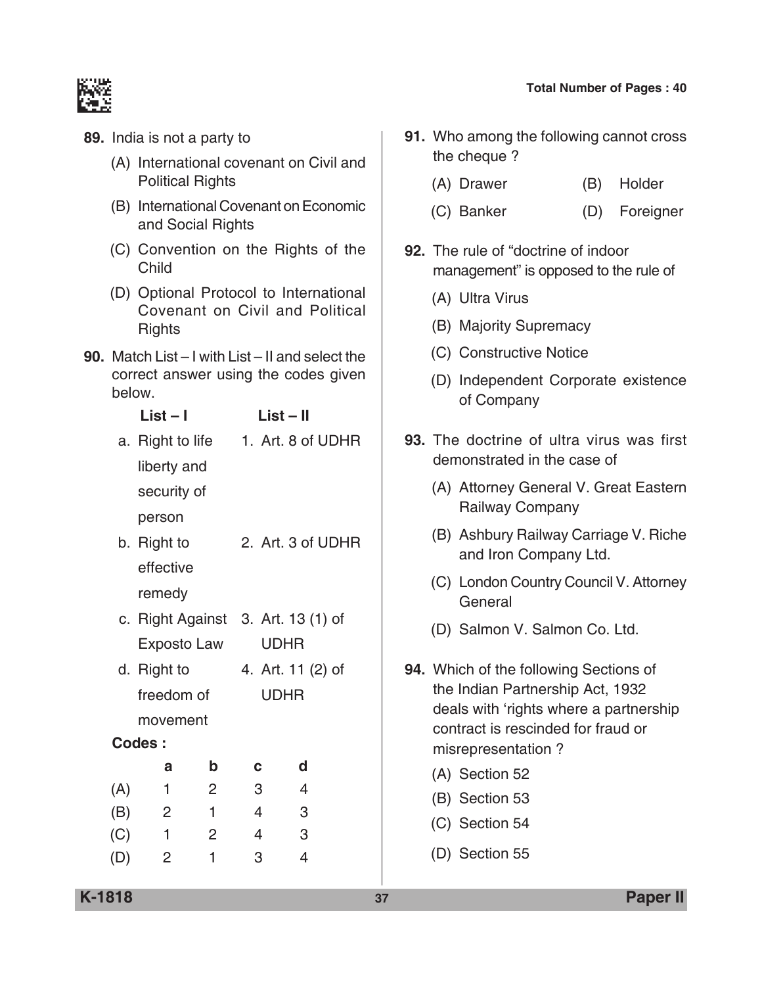- **89.** India is not a party to
	- (A) International covenant on Civil and Political Rights
	- (B) International Covenant on Economic and social Rights
	- (C) Convention on the Rights of the Child
	- (D) Optional Protocol to International Covenant on Civil and Political **Rights**
- **90.** Match List I with List II and select the correct answer using the codes given below.
	- **List I List II**
	- a. Right to life 1. Art. 8 of UDHR liberty and security of person b. Right to 2. Art. 3 of UDHR
	- effective remedy
	- c. Right Against 3. Art. 13 (1) of Exposto Law UDHR
	- d. Right to  $4.$  Art. 11 (2) of freedom of UDHR movement

# **Codes :**

|     | а | b | C | d |
|-----|---|---|---|---|
| (A) |   | 2 | 3 | 4 |
| (B) | 2 | ٦ | 4 | 3 |
| (C) |   | 2 | 4 | 3 |
| (D) | 2 |   | 3 |   |

- **91.** Who among the following cannot cross the cheque ?
	- (A) Drawer (B) Holder
	- (C) Banker (D) Foreigner
- **92.** The rule of "doctrine of indoor management" is opposed to the rule of
	- (A) Ultra Virus
	- (B) Majority Supremacy
	- (C) Constructive Notice
	- (D) Independent corporate existence of company
- **93.** The doctrine of ultra virus was first demonstrated in the case of
	- (A) Attorney General V. Great Eastern Railway company
	- (B) Ashbury Railway carriage V. Riche and Iron Company Ltd.
	- (C) London Country Council V. Attorney **General**
	- (D) Salmon V. Salmon Co. Ltd.
- **94.** Which of the following Sections of the Indian partnership Act, 1932 deals with 'rights where a partnership contract is rescinded for fraud or misrepresentation ?
	- (A) Section 52
	- (B) Section 53
	- (C) Section 54
	- (D) Section 55

**K-1818 37 Paper II**

# **Total Number of Pages : 40**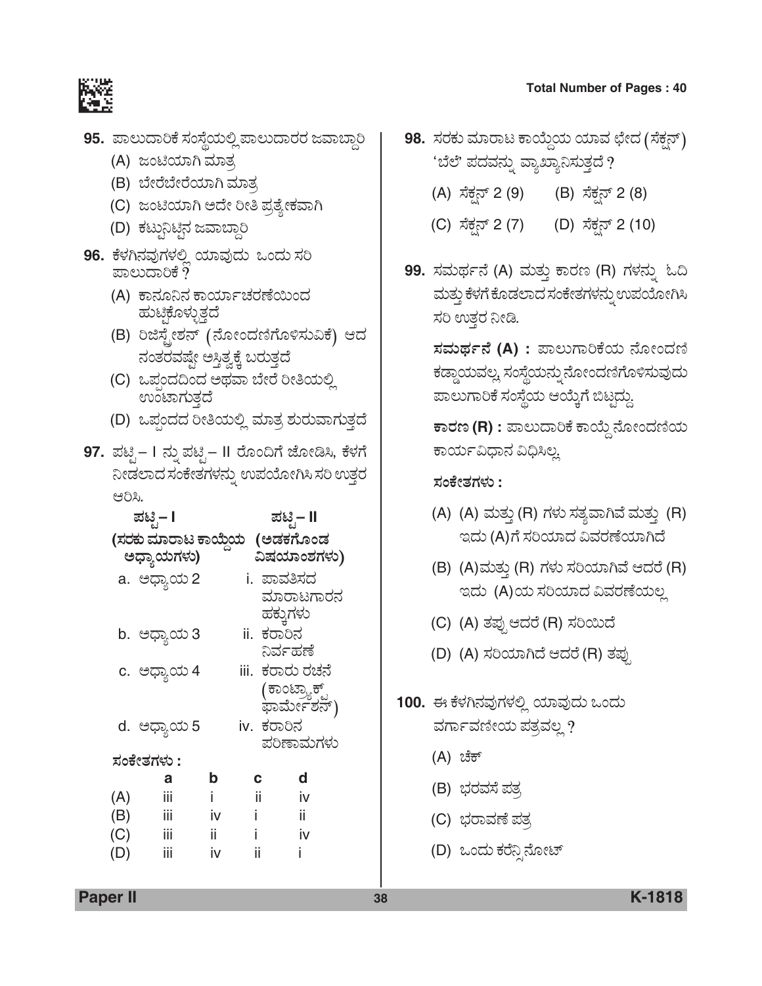- **95.** ಪಾಲುದಾರಿಕೆ ಸಂಸ್ಥೆಯಲ್ಲಿ ಪಾಲುದಾರರ ಜವಾಬ್ದಾರಿ
	- (A) ಜಂಟಿಯಾಗಿ ಮಾತ್ರ
	- (B) ಬೇರೆಬೇರೆಯಾಗಿ ಮಾತ್ರ
	- (C) ಜಂಟಿಯಾಗಿ ಅದೇ ರೀತಿ ಪ್ರತ್ಯೇಕವಾಗಿ
	- (D) ಕಟ್ಟುನಿಟಿನ ಜವಾಬ್ದಾರಿ
- **96.** ಕೆಳಗಿನವುಗಳಲ್ಲಿ ಯಾವುದು ಒಂದು ಸರಿ ಪಾಲುದಾರಿಕೆ ?
	- (A) ಕಾನೂನಿನ ಕಾರ್ಯಾಚರಣೆಯಿಂದ ಹುಟಿಕೊಳ್ಳುತ್ತದೆ
	- (B) ರಿಜಿಸ್ಟೇಶನ್ (ನೋಂದಣಿಗೊಳಿಸುವಿಕೆ) ಆದ ನಂತರವಷ್ಟೇ ಅಸ್ತಿತ್ವಕ್ಕೆ ಬರುತ್ತದೆ
	- (C) ಒಪಂದದಿಂದ ಅಥವಾ ಬೇರೆ ರೀತಿಯಲ್ಲಿ ಉಂಟಾಗುತ್ತದೆ
	- (D) ಒಪ್ಪಂದದ ರೀತಿಯಲ್ಲಿ ಮಾತ್ರ ಶುರುವಾಗುತ್ತದೆ
- 97. ಪಟ್ಟಿ– I ನ್ನು ಪಟ್ಟಿ– II ರೊಂದಿಗೆ ಜೋಡಿಸಿ, ಕೆಳಗೆ ನೀಡಲಾದ ಸಂಕೇತಗಳನ್ನು ಉಪಯೋಗಿಸಿ ಸರಿ ಉತ್ತರ ಆರಿಸಿ.

|     | ಪಟಿೖ– I                        |     |                  | ಪಟಿೖ– II                     |
|-----|--------------------------------|-----|------------------|------------------------------|
|     | (ಸರಕು ಮಾರಾಟ ಕಾಯ್ದೆಯ   (ಅಡಕಗೊಂಡ |     |                  |                              |
|     | ಅಧ್ಯಾಯಗಳು)                     |     |                  | ವಿಷಯಾಂಶಗಳು)                  |
|     | a. ಅಧ್ಯಾಯ 2                    |     | i. ಪಾವತಿಸದ       |                              |
|     |                                |     |                  | ಮಾರಾಟಗಾರನ                    |
|     |                                |     | ಹಕ್ಕುಗಳು         |                              |
|     | b. ಅಧ್ಯಾಯ 3                    |     | ii. ಕರಾರಿನ       |                              |
|     |                                |     | ನಿರ್ವಹಣೆ         |                              |
|     | c. ಅಧ್ಯಾಯ 4                    |     | iii.  ಕರಾರು ರಚನೆ |                              |
|     |                                |     |                  | (ಕಾಂಟ್ರ್ಯಾಕ್ಟ್<br>ಫಾರ್ಮೇಶನ್) |
|     |                                |     |                  |                              |
|     | d. ಅಧ್ಯಾಯ 5                    |     | iv. ಕರಾರಿನ       |                              |
|     |                                |     |                  | ಪರಿಣಾಮಗಳು                    |
|     | ಸಂಕೇತಗಳು :                     |     |                  |                              |
|     | а                              | b   | с                | d                            |
| (A) | iij                            |     | ii.              | iv                           |
| (B) | iij                            | İV  | i.               | ii.                          |
| (C) | iij                            | ii. |                  | iv                           |
| (D) | iij                            | iv  | ii               |                              |

- **98.** ಸರಕು ಮಾರಾಟ ಕಾಯ್ದೆಯ ಯಾವ ಛೇದ (ಸೆಕ್ಷನ್) <u>'</u>ಬೆಲೆ' ಪದವನ್ನು ವ್ಯಾಖ್ಯಾನಿಸುತ್ತದೆ ?
	- (A) ಸೆಕ್ಸನ್ 2 (9) (B) ಸೆಕ್ಸನ್ 2 (8)
	- (C) ಸೆಕ್ಷನ್ 2 (7) (D) ಸೆಕ್ಷನ್ 2 (10)
- 99. ಸಮರ್ಥನೆ (A) ಮತ್ತು ಕಾರಣ (R) ಗಳನ್ನು ಓದಿ ಮತ್ತು ಕೆಳಗೆ ಕೊಡಲಾದ ಸಂಕೇತಗಳನ್ನು ಉಪಯೋಗಿಸಿ ಸರಿ ಉತ್ತರ ನೀಡಿ.

ಸಮರ್ಥನೆ (A) : ಪಾಲುಗಾರಿಕೆಯ ನೋಂದಣಿ ಕಡ್ಡಾಯವಲ್ಲ. ಸಂಸ್ಥೆಯನ್ನು ನೋಂದಣಿಗೊಳಿಸುವುದು ಪಾಲುಗಾರಿಕೆ ಸಂಸ್ಥೆಯ ಆಯ್ಕೆಗೆ ಬಿಟ್ಟದ್ದು.

 $\overline{P}$ ಕಾರಣ (R) : ಪಾಲುದಾರಿಕೆ ಕಾಯ್ದೆ ನೋಂದಣಿಯ ಕಾರ್ಯವಿಧಾನ ವಿಧಿಸಿಲ್ಲ

#### *ÓÜíPæàñÜWÜÙÜá* **:**

- (A) (A) ಮತ್ತು (R) ಗಳು ಸತ್ಯವಾಗಿವೆ ಮತ್ತು (R) ಇದು (A)ಗೆ ಸರಿಯಾದ ವಿವರಣೆಯಾಗಿದೆ
- (B) (A)ಮತ್ತು (R) ಗಳು ಸರಿಯಾಗಿವೆ ಆದರೆ (R) ಇದು (A)ಯ ಸರಿಯಾದ ವಿವರಣೆಯಲ್ಲ
- (C) (A) ತಪ್ಪು ಆದರೆ (R) ಸರಿಯಿದೆ
- (D) (A) ಸರಿಯಾಗಿದೆ ಆದರೆ (R) ತಪು
- 100. ಈ ಕೆಳಗಿನವುಗಳಲ್ಲಿ ಯಾವುದು ಒಂದು ವರ್ಗಾವಣೀಯ ಪತ್ರವಲ್ಲ ?
	- $(A)$  ಚೆಕ್
	- (B) ಭರವಸೆ ಪತ್ರ
	- (C) ಭರಾವಣೆ ಪತ್ರ
	- (D) ಒಂದು ಕರೆನ್ಪಿನೋಟ್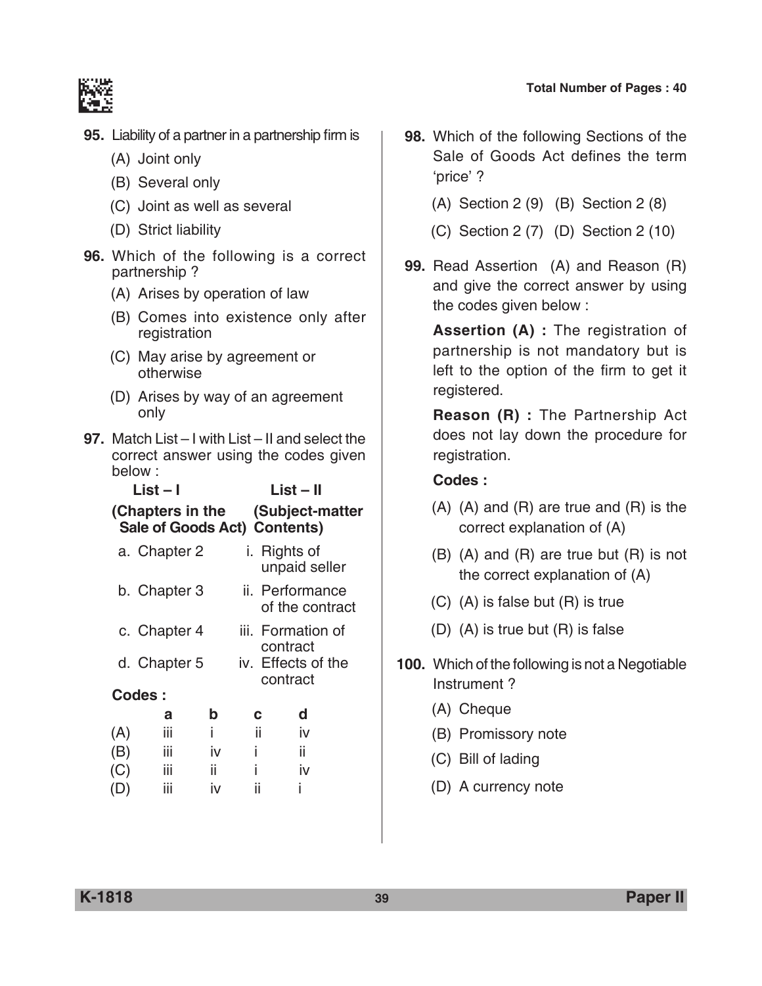



- **95.** Liability of a partner in a partnership firm is
	- (A) Joint only
	- (B) Several only
	- (C) Joint as well as several
	- (D) Strict liability
- **96.** Which of the following is a correct partnership ?
	- (A) Arises by operation of law
	- (B) Comes into existence only after registration
	- (C) May arise by agreement or otherwise
	- (D) Arises by way of an agreement only
- **97.** Match List I with List II and select the correct answer using the codes given below :

| $List - I$   | $List - II$                                                       |
|--------------|-------------------------------------------------------------------|
|              | (Chapters in the (Subject-matter)<br>Sale of Goods Act) Contents) |
| a. Chapter 2 | i. Rights of                                                      |

- unpaid seller b. Chapter 3 ii. Performance of the contract c. Chapter 4 iii. Formation of
- contract d. Chapter 5 iv. Effects of the contract
- **Codes :**

|     | a   | b  | с  | d  |
|-----|-----|----|----|----|
| (A) | iij |    | ΪÎ | İV |
| (B) | iij | iv |    | ii |
| (C) | iij | ÎÎ |    | iv |
| (D) | iij | İV | ii | ı  |

- **98.** Which of the following Sections of the Sale of Goods Act defines the term 'price' ?
	- (A) Section 2 (9) (B) Section 2 (8)
	- (C) Section 2 (7) (D) Section 2 (10)
- **99.** Read Assertion (A) and Reason (R) and give the correct answer by using the codes given below :

 **Assertion (A) :** The registration of partnership is not mandatory but is left to the option of the firm to get it registered.

**Reason (R) : The Partnership Act** does not lay down the procedure for registration.

- (A) (A) and (R) are true and (R) is the correct explanation of (A)
- (B) (A) and (R) are true but (R) is not the correct explanation of (A)
- (C) (A) is false but (R) is true
- (D) (A) is true but (R) is false
- **100.** Which of the following is not a Negotiable Instrument ?
	- (A) Cheque
	- (B) Promissory note
	- (C) Bill of lading
	- (D) A currency note